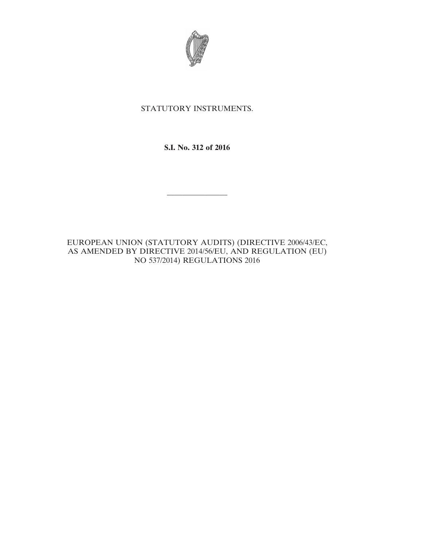

# STATUTORY INSTRUMENTS.

# **S.I. No. 312 of 2016**

————————

EUROPEAN UNION (STATUTORY AUDITS) (DIRECTIVE 2006/43/EC, AS AMENDED BY DIRECTIVE 2014/56/EU, AND REGULATION (EU) NO 537/2014) REGULATIONS 2016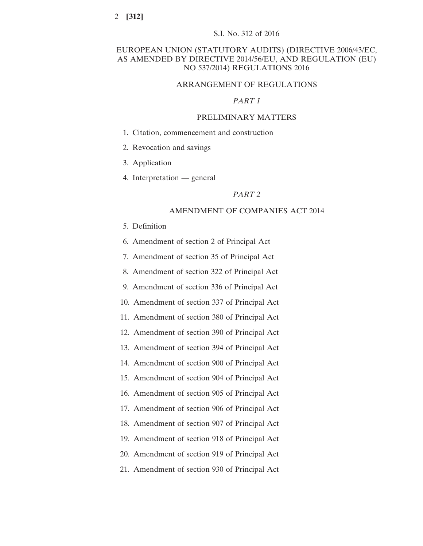# EUROPEAN UNION (STATUTORY AUDITS) (DIRECTIVE 2006/43/EC, AS AMENDED BY DIRECTIVE 2014/56/EU, AND REGULATION (EU) NO 537/2014) REGULATIONS 2016

# ARRANGEMENT OF REGULATIONS

### *PART 1*

# PRELIMINARY MATTERS

- 1. Citation, commencement and construction
- 2. Revocation and savings
- 3. Application
- 4. Interpretation general

### *PART 2*

#### AMENDMENT OF COMPANIES ACT 2014

- 5. Definition
- 6. Amendment of section 2 of Principal Act
- 7. Amendment of section 35 of Principal Act
- 8. Amendment of section 322 of Principal Act
- 9. Amendment of section 336 of Principal Act
- 10. Amendment of section 337 of Principal Act
- 11. Amendment of section 380 of Principal Act
- 12. Amendment of section 390 of Principal Act
- 13. Amendment of section 394 of Principal Act
- 14. Amendment of section 900 of Principal Act
- 15. Amendment of section 904 of Principal Act
- 16. Amendment of section 905 of Principal Act
- 17. Amendment of section 906 of Principal Act
- 18. Amendment of section 907 of Principal Act
- 19. Amendment of section 918 of Principal Act
- 20. Amendment of section 919 of Principal Act
- 21. Amendment of section 930 of Principal Act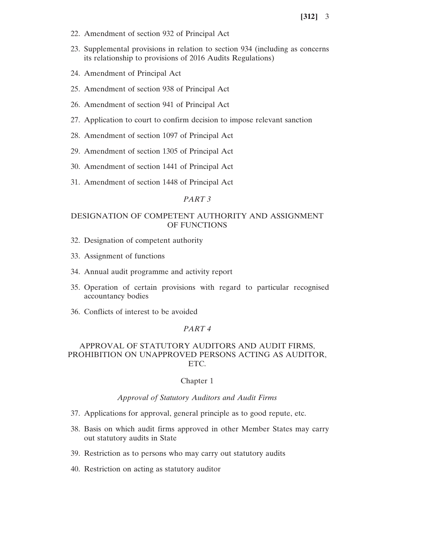- 22. Amendment of section 932 of Principal Act
- 23. Supplemental provisions in relation to section 934 (including as concerns its relationship to provisions of 2016 Audits Regulations)
- 24. Amendment of Principal Act
- 25. Amendment of section 938 of Principal Act
- 26. Amendment of section 941 of Principal Act
- 27. Application to court to confirm decision to impose relevant sanction
- 28. Amendment of section 1097 of Principal Act
- 29. Amendment of section 1305 of Principal Act
- 30. Amendment of section 1441 of Principal Act
- 31. Amendment of section 1448 of Principal Act

### *PART 3*

# DESIGNATION OF COMPETENT AUTHORITY AND ASSIGNMENT OF FUNCTIONS

- 32. Designation of competent authority
- 33. Assignment of functions
- 34. Annual audit programme and activity report
- 35. Operation of certain provisions with regard to particular recognised accountancy bodies
- 36. Conflicts of interest to be avoided

### *PART 4*

# APPROVAL OF STATUTORY AUDITORS AND AUDIT FIRMS, PROHIBITION ON UNAPPROVED PERSONS ACTING AS AUDITOR, ETC.

#### Chapter 1

# *Approval of Statutory Auditors and Audit Firms*

- 37. Applications for approval, general principle as to good repute, etc.
- 38. Basis on which audit firms approved in other Member States may carry out statutory audits in State
- 39. Restriction as to persons who may carry out statutory audits
- 40. Restriction on acting as statutory auditor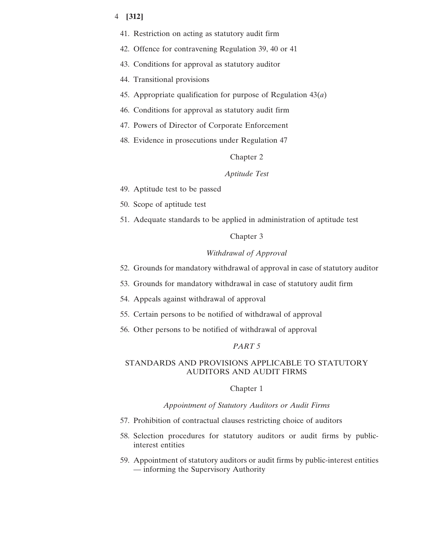- 41. Restriction on acting as statutory audit firm
- 42. Offence for contravening Regulation 39, 40 or 41
- 43. Conditions for approval as statutory auditor
- 44. Transitional provisions
- 45. Appropriate qualification for purpose of Regulation 43(*a*)
- 46. Conditions for approval as statutory audit firm
- 47. Powers of Director of Corporate Enforcement
- 48. Evidence in prosecutions under Regulation 47

# Chapter 2

### *Aptitude Test*

- 49. Aptitude test to be passed
- 50. Scope of aptitude test
- 51. Adequate standards to be applied in administration of aptitude test

#### Chapter 3

# *Withdrawal of Approval*

- 52. Grounds for mandatory withdrawal of approval in case of statutory auditor
- 53. Grounds for mandatory withdrawal in case of statutory audit firm
- 54. Appeals against withdrawal of approval
- 55. Certain persons to be notified of withdrawal of approval
- 56. Other persons to be notified of withdrawal of approval

# *PART 5*

# STANDARDS AND PROVISIONS APPLICABLE TO STATUTORY AUDITORS AND AUDIT FIRMS

### Chapter 1

## *Appointment of Statutory Auditors or Audit Firms*

- 57. Prohibition of contractual clauses restricting choice of auditors
- 58. Selection procedures for statutory auditors or audit firms by publicinterest entities
- 59. Appointment of statutory auditors or audit firms by public-interest entities — informing the Supervisory Authority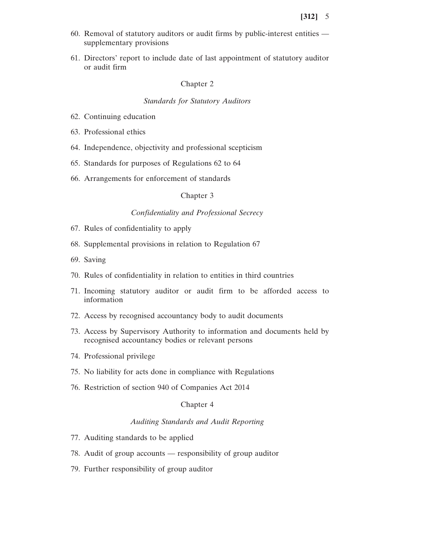- 60. Removal of statutory auditors or audit firms by public-interest entities supplementary provisions
- 61. Directors' report to include date of last appointment of statutory auditor or audit firm

### Chapter 2

### *Standards for Statutory Auditors*

- 62. Continuing education
- 63. Professional ethics
- 64. Independence, objectivity and professional scepticism
- 65. Standards for purposes of Regulations 62 to 64
- 66. Arrangements for enforcement of standards

### Chapter 3

# *Confidentiality and Professional Secrecy*

- 67. Rules of confidentiality to apply
- 68. Supplemental provisions in relation to Regulation 67
- 69. Saving
- 70. Rules of confidentiality in relation to entities in third countries
- 71. Incoming statutory auditor or audit firm to be afforded access to information
- 72. Access by recognised accountancy body to audit documents
- 73. Access by Supervisory Authority to information and documents held by recognised accountancy bodies or relevant persons
- 74. Professional privilege
- 75. No liability for acts done in compliance with Regulations
- 76. Restriction of section 940 of Companies Act 2014

## Chapter 4

# *Auditing Standards and Audit Reporting*

- 77. Auditing standards to be applied
- 78. Audit of group accounts responsibility of group auditor
- 79. Further responsibility of group auditor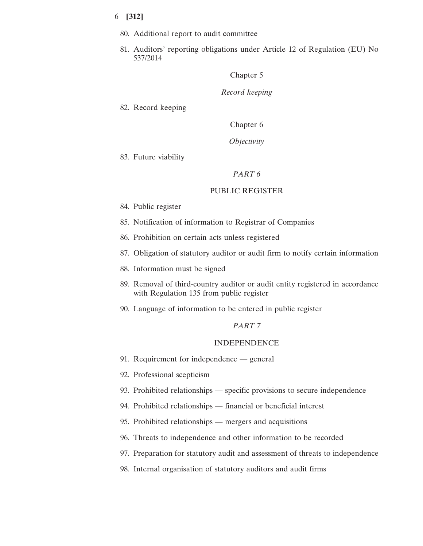- 80. Additional report to audit committee
- 81. Auditors' reporting obligations under Article 12 of Regulation (EU) No 537/2014

Chapter 5

*Record keeping*

82. Record keeping

Chapter 6

*Objectivity*

83. Future viability

### *PART 6*

#### PUBLIC REGISTER

- 84. Public register
- 85. Notification of information to Registrar of Companies
- 86. Prohibition on certain acts unless registered
- 87. Obligation of statutory auditor or audit firm to notify certain information
- 88. Information must be signed
- 89. Removal of third-country auditor or audit entity registered in accordance with Regulation 135 from public register
- 90. Language of information to be entered in public register

### *PART 7*

#### INDEPENDENCE

- 91. Requirement for independence general
- 92. Professional scepticism
- 93. Prohibited relationships specific provisions to secure independence
- 94. Prohibited relationships financial or beneficial interest
- 95. Prohibited relationships mergers and acquisitions
- 96. Threats to independence and other information to be recorded
- 97. Preparation for statutory audit and assessment of threats to independence
- 98. Internal organisation of statutory auditors and audit firms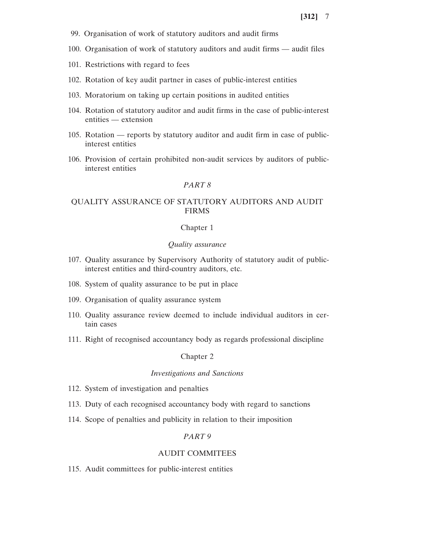- 99. Organisation of work of statutory auditors and audit firms
- 100. Organisation of work of statutory auditors and audit firms audit files
- 101. Restrictions with regard to fees
- 102. Rotation of key audit partner in cases of public-interest entities
- 103. Moratorium on taking up certain positions in audited entities
- 104. Rotation of statutory auditor and audit firms in the case of public-interest entities — extension
- 105. Rotation reports by statutory auditor and audit firm in case of publicinterest entities
- 106. Provision of certain prohibited non-audit services by auditors of publicinterest entities

# *PART 8*

# QUALITY ASSURANCE OF STATUTORY AUDITORS AND AUDIT FIRMS

# Chapter 1

# *Quality assurance*

- 107. Quality assurance by Supervisory Authority of statutory audit of publicinterest entities and third-country auditors, etc.
- 108. System of quality assurance to be put in place
- 109. Organisation of quality assurance system
- 110. Quality assurance review deemed to include individual auditors in certain cases
- 111. Right of recognised accountancy body as regards professional discipline

### Chapter 2

### *Investigations and Sanctions*

- 112. System of investigation and penalties
- 113. Duty of each recognised accountancy body with regard to sanctions
- 114. Scope of penalties and publicity in relation to their imposition

### *PART 9*

### AUDIT COMMITEES

115. Audit committees for public-interest entities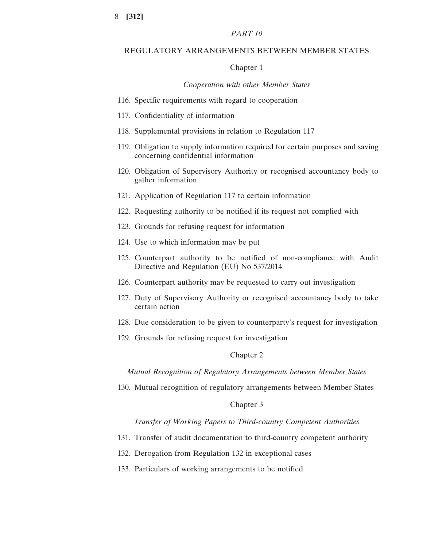# *PART 10*

#### REGULATORY ARRANGEMENTS BETWEEN MEMBER STATES

### Chapter 1

#### *Cooperation with other Member States*

- 116. Specific requirements with regard to cooperation
- 117. Confidentiality of information
- 118. Supplemental provisions in relation to Regulation 117
- 119. Obligation to supply information required for certain purposes and saving concerning confidential information
- 120. Obligation of Supervisory Authority or recognised accountancy body to gather information
- 121. Application of Regulation 117 to certain information
- 122. Requesting authority to be notified if its request not complied with
- 123. Grounds for refusing request for information
- 124. Use to which information may be put
- 125. Counterpart authority to be notified of non-compliance with Audit Directive and Regulation (EU) No 537/2014
- 126. Counterpart authority may be requested to carry out investigation
- 127. Duty of Supervisory Authority or recognised accountancy body to take certain action
- 128. Due consideration to be given to counterparty's request for investigation
- 129. Grounds for refusing request for investigation

# Chapter 2

*Mutual Recognition of Regulatory Arrangements between Member States*

130. Mutual recognition of regulatory arrangements between Member States

#### Chapter 3

### *Transfer of Working Papers to Third-country Competent Authorities*

- 131. Transfer of audit documentation to third-country competent authority
- 132. Derogation from Regulation 132 in exceptional cases
- 133. Particulars of working arrangements to be notified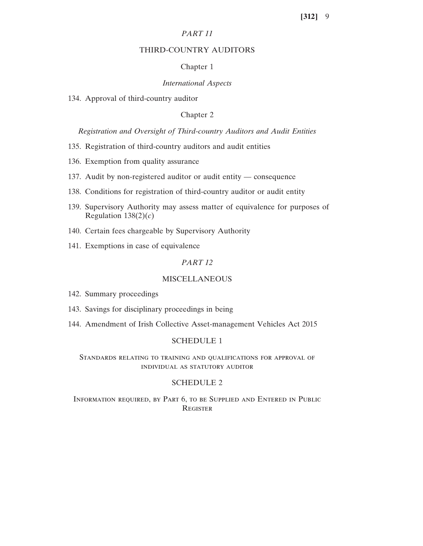# *PART 11*

## THIRD-COUNTRY AUDITORS

# Chapter 1

# *International Aspects*

134. Approval of third-country auditor

# Chapter 2

# *Registration and Oversight of Third-country Auditors and Audit Entities*

- 135. Registration of third-country auditors and audit entities
- 136. Exemption from quality assurance
- 137. Audit by non-registered auditor or audit entity consequence
- 138. Conditions for registration of third-country auditor or audit entity
- 139. Supervisory Authority may assess matter of equivalence for purposes of Regulation  $138(2)(c)$
- 140. Certain fees chargeable by Supervisory Authority
- 141. Exemptions in case of equivalence

# *PART 12*

# **MISCELLANEOUS**

- 142. Summary proceedings
- 143. Savings for disciplinary proceedings in being
- 144. Amendment of Irish Collective Asset-management Vehicles Act 2015

### SCHEDULE 1

# Standards relating to training and qualifications for approval of individual as statutory auditor

# SCHEDULE 2

Information required, by Part 6, to be Supplied and Entered in Public Register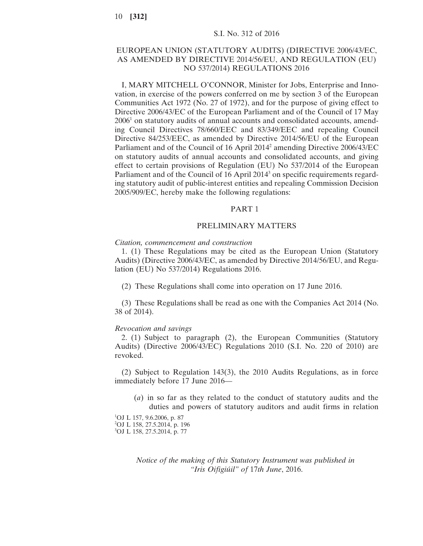# S.I. No. 312 of 2016

# EUROPEAN UNION (STATUTORY AUDITS) (DIRECTIVE 2006/43/EC, AS AMENDED BY DIRECTIVE 2014/56/EU, AND REGULATION (EU) NO 537/2014) REGULATIONS 2016

I, MARY MITCHELL O'CONNOR, Minister for Jobs, Enterprise and Innovation, in exercise of the powers conferred on me by section 3 of the European Communities Act 1972 (No. 27 of 1972), and for the purpose of giving effect to Directive 2006/43/EC of the European Parliament and of the Council of 17 May 20061 on statutory audits of annual accounts and consolidated accounts, amending Council Directives 78/660/EEC and 83/349/EEC and repealing Council Directive 84/253/EEC, as amended by Directive 2014/56/EU of the European Parliament and of the Council of 16 April 20142 amending Directive 2006/43/EC on statutory audits of annual accounts and consolidated accounts, and giving effect to certain provisions of Regulation (EU) No 537/2014 of the European Parliament and of the Council of 16 April 2014<sup>3</sup> on specific requirements regarding statutory audit of public-interest entities and repealing Commission Decision 2005/909/EC, hereby make the following regulations:

#### PART 1

### PRELIMINARY MATTERS

#### *Citation, commencement and construction*

1. (1) These Regulations may be cited as the European Union (Statutory Audits) (Directive 2006/43/EC, as amended by Directive 2014/56/EU, and Regulation (EU) No 537/2014) Regulations 2016.

(2) These Regulations shall come into operation on 17 June 2016.

(3) These Regulations shall be read as one with the Companies Act 2014 (No. 38 of 2014).

#### *Revocation and savings*

2. (1) Subject to paragraph (2), the European Communities (Statutory Audits) (Directive 2006/43/EC) Regulations 2010 (S.I. No. 220 of 2010) are revoked.

(2) Subject to Regulation 143(3), the 2010 Audits Regulations, as in force immediately before 17 June 2016—

(*a*) in so far as they related to the conduct of statutory audits and the duties and powers of statutory auditors and audit firms in relation

1 OJ L 157, 9.6.2006, p. 87 2 OJ L 158, 27.5.2014, p. 196 3 OJ L 158, 27.5.2014, p. 77

> *Notice of the making of this Statutory Instrument was published in "Iris Oifigiúil" of* 17*th June*, 2016.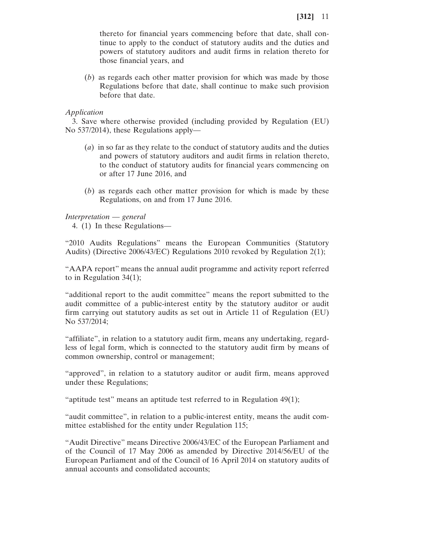thereto for financial years commencing before that date, shall continue to apply to the conduct of statutory audits and the duties and powers of statutory auditors and audit firms in relation thereto for those financial years, and

(*b*) as regards each other matter provision for which was made by those Regulations before that date, shall continue to make such provision before that date.

# *Application*

3. Save where otherwise provided (including provided by Regulation (EU) No 537/2014), these Regulations apply—

- (*a*) in so far as they relate to the conduct of statutory audits and the duties and powers of statutory auditors and audit firms in relation thereto, to the conduct of statutory audits for financial years commencing on or after 17 June 2016, and
- (*b*) as regards each other matter provision for which is made by these Regulations, on and from 17 June 2016.

*Interpretation* — *general*

4. (1) In these Regulations—

"2010 Audits Regulations" means the European Communities (Statutory Audits) (Directive 2006/43/EC) Regulations 2010 revoked by Regulation 2(1);

"AAPA report" means the annual audit programme and activity report referred to in Regulation 34(1);

"additional report to the audit committee" means the report submitted to the audit committee of a public-interest entity by the statutory auditor or audit firm carrying out statutory audits as set out in Article 11 of Regulation (EU) No 537/2014;

"affiliate", in relation to a statutory audit firm, means any undertaking, regardless of legal form, which is connected to the statutory audit firm by means of common ownership, control or management;

"approved", in relation to a statutory auditor or audit firm, means approved under these Regulations;

"aptitude test" means an aptitude test referred to in Regulation 49(1);

"audit committee", in relation to a public-interest entity, means the audit committee established for the entity under Regulation 115;

"Audit Directive" means Directive 2006/43/EC of the European Parliament and of the Council of 17 May 2006 as amended by Directive 2014/56/EU of the European Parliament and of the Council of 16 April 2014 on statutory audits of annual accounts and consolidated accounts;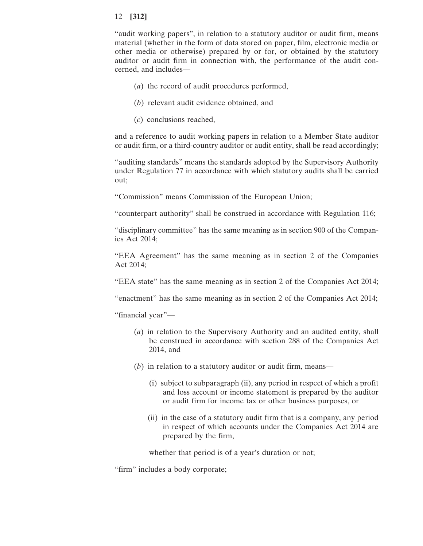"audit working papers", in relation to a statutory auditor or audit firm, means material (whether in the form of data stored on paper, film, electronic media or other media or otherwise) prepared by or for, or obtained by the statutory auditor or audit firm in connection with, the performance of the audit concerned, and includes—

- (*a*) the record of audit procedures performed,
- (*b*) relevant audit evidence obtained, and
- (*c*) conclusions reached,

and a reference to audit working papers in relation to a Member State auditor or audit firm, or a third-country auditor or audit entity, shall be read accordingly;

"auditing standards" means the standards adopted by the Supervisory Authority under Regulation 77 in accordance with which statutory audits shall be carried out;

"Commission" means Commission of the European Union;

"counterpart authority" shall be construed in accordance with Regulation 116;

"disciplinary committee" has the same meaning as in section 900 of the Companies Act 2014;

"EEA Agreement" has the same meaning as in section 2 of the Companies Act 2014;

"EEA state" has the same meaning as in section 2 of the Companies Act 2014;

"enactment" has the same meaning as in section 2 of the Companies Act 2014;

"financial year"—

- (*a*) in relation to the Supervisory Authority and an audited entity, shall be construed in accordance with section 288 of the Companies Act 2014, and
- (*b*) in relation to a statutory auditor or audit firm, means—
	- (i) subject to subparagraph (ii), any period in respect of which a profit and loss account or income statement is prepared by the auditor or audit firm for income tax or other business purposes, or
	- (ii) in the case of a statutory audit firm that is a company, any period in respect of which accounts under the Companies Act 2014 are prepared by the firm,

whether that period is of a year's duration or not;

"firm" includes a body corporate;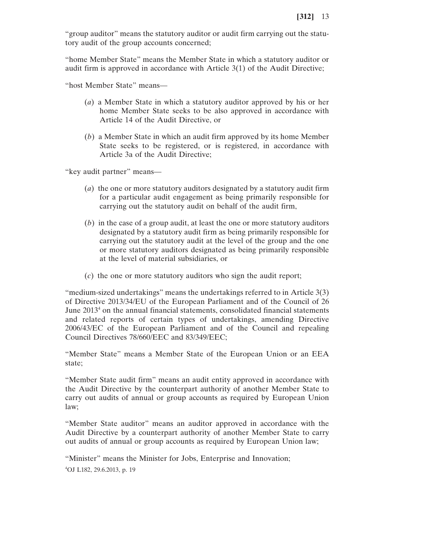"group auditor" means the statutory auditor or audit firm carrying out the statutory audit of the group accounts concerned;

"home Member State" means the Member State in which a statutory auditor or audit firm is approved in accordance with Article 3(1) of the Audit Directive;

"host Member State" means—

- (*a*) a Member State in which a statutory auditor approved by his or her home Member State seeks to be also approved in accordance with Article 14 of the Audit Directive, or
- (*b*) a Member State in which an audit firm approved by its home Member State seeks to be registered, or is registered, in accordance with Article 3a of the Audit Directive;

"key audit partner" means—

- (*a*) the one or more statutory auditors designated by a statutory audit firm for a particular audit engagement as being primarily responsible for carrying out the statutory audit on behalf of the audit firm,
- (*b*) in the case of a group audit, at least the one or more statutory auditors designated by a statutory audit firm as being primarily responsible for carrying out the statutory audit at the level of the group and the one or more statutory auditors designated as being primarily responsible at the level of material subsidiaries, or
- (*c*) the one or more statutory auditors who sign the audit report;

"medium-sized undertakings" means the undertakings referred to in Article 3(3) of Directive 2013/34/EU of the European Parliament and of the Council of 26 June 20134 on the annual financial statements, consolidated financial statements and related reports of certain types of undertakings, amending Directive 2006/43/EC of the European Parliament and of the Council and repealing Council Directives 78/660/EEC and 83/349/EEC;

"Member State" means a Member State of the European Union or an EEA state;

"Member State audit firm" means an audit entity approved in accordance with the Audit Directive by the counterpart authority of another Member State to carry out audits of annual or group accounts as required by European Union law;

"Member State auditor" means an auditor approved in accordance with the Audit Directive by a counterpart authority of another Member State to carry out audits of annual or group accounts as required by European Union law;

"Minister" means the Minister for Jobs, Enterprise and Innovation; 4 OJ L182, 29.6.2013, p. 19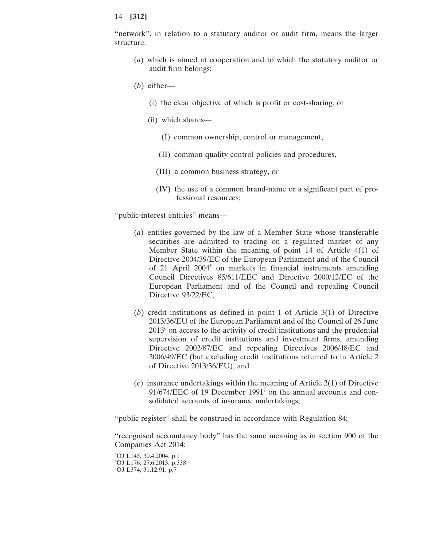"network", in relation to a statutory auditor or audit firm, means the larger structure:

- (*a*) which is aimed at cooperation and to which the statutory auditor or audit firm belongs;
- (*b*) either—
	- (i) the clear objective of which is profit or cost-sharing, or
	- (ii) which shares—
		- (I) common ownership, control or management,
		- (II) common quality control policies and procedures,
		- (III) a common business strategy, or
		- (IV) the use of a common brand-name or a significant part of professional resources;

"public-interest entities" means—

- (*a*) entities governed by the law of a Member State whose transferable securities are admitted to trading on a regulated market of any Member State within the meaning of point 14 of Article 4(1) of Directive 2004/39/EC of the European Parliament and of the Council of 21 April 2004<sup>5</sup> on markets in financial instruments amending Council Directives 85/611/EEC and Directive 2000/12/EC of the European Parliament and of the Council and repealing Council Directive 93/22/EC,
- (*b*) credit institutions as defined in point 1 of Article 3(1) of Directive 2013/36/EU of the European Parliament and of the Council of 26 June  $2013<sup>6</sup>$  on access to the activity of credit institutions and the prudential supervision of credit institutions and investment firms, amending Directive 2002/87/EC and repealing Directives 2006/48/EC and 2006/49/EC (but excluding credit institutions referred to in Article 2 of Directive 2013/36/EU), and
- (*c*) insurance undertakings within the meaning of Article 2(1) of Directive 91/674/EEC of 19 December 1991<sup>7</sup> on the annual accounts and consolidated accounts of insurance undertakings;

"public register" shall be construed in accordance with Regulation 84;

"recognised accountancy body" has the same meaning as in section 900 of the Companies Act 2014;

5 OJ L145, 30.4.2004, p.1 6 OJ L176, 27.6.2013, p.338 7 OJ L374, 31.12.91, p.7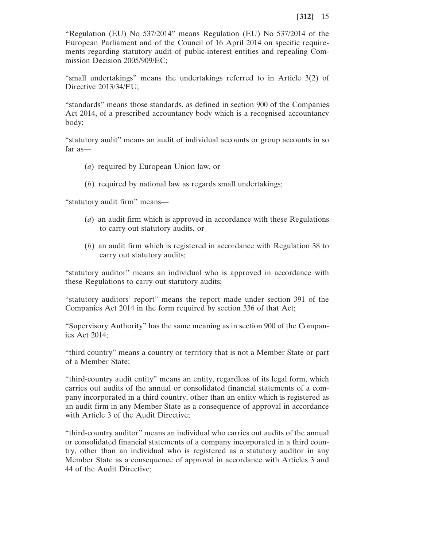"Regulation (EU) No 537/2014" means Regulation (EU) No 537/2014 of the European Parliament and of the Council of 16 April 2014 on specific requirements regarding statutory audit of public-interest entities and repealing Commission Decision 2005/909/EC;

"small undertakings" means the undertakings referred to in Article 3(2) of Directive 2013/34/EU;

"standards" means those standards, as defined in section 900 of the Companies Act 2014, of a prescribed accountancy body which is a recognised accountancy body;

"statutory audit" means an audit of individual accounts or group accounts in so far as—

- (*a*) required by European Union law, or
- (*b*) required by national law as regards small undertakings;

"statutory audit firm" means—

- (*a*) an audit firm which is approved in accordance with these Regulations to carry out statutory audits, or
- (*b*) an audit firm which is registered in accordance with Regulation 38 to carry out statutory audits;

"statutory auditor" means an individual who is approved in accordance with these Regulations to carry out statutory audits;

"statutory auditors' report" means the report made under section 391 of the Companies Act 2014 in the form required by section 336 of that Act;

"Supervisory Authority" has the same meaning as in section 900 of the Companies Act 2014;

"third country" means a country or territory that is not a Member State or part of a Member State;

"third-country audit entity" means an entity, regardless of its legal form, which carries out audits of the annual or consolidated financial statements of a company incorporated in a third country, other than an entity which is registered as an audit firm in any Member State as a consequence of approval in accordance with Article 3 of the Audit Directive;

"third-country auditor" means an individual who carries out audits of the annual or consolidated financial statements of a company incorporated in a third country, other than an individual who is registered as a statutory auditor in any Member State as a consequence of approval in accordance with Articles 3 and 44 of the Audit Directive;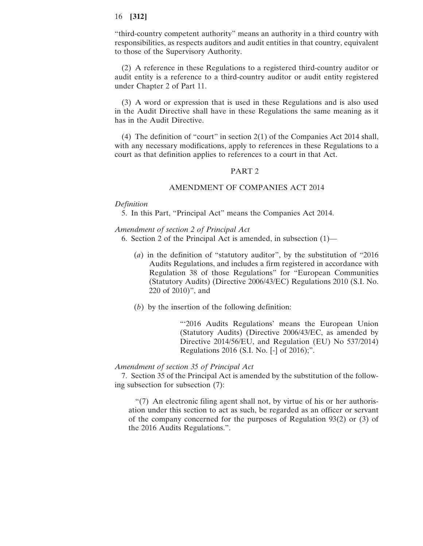"third-country competent authority" means an authority in a third country with responsibilities, as respects auditors and audit entities in that country, equivalent to those of the Supervisory Authority.

(2) A reference in these Regulations to a registered third-country auditor or audit entity is a reference to a third-country auditor or audit entity registered under Chapter 2 of Part 11.

(3) A word or expression that is used in these Regulations and is also used in the Audit Directive shall have in these Regulations the same meaning as it has in the Audit Directive.

(4) The definition of "court" in section 2(1) of the Companies Act 2014 shall, with any necessary modifications, apply to references in these Regulations to a court as that definition applies to references to a court in that Act.

## PART 2

### AMENDMENT OF COMPANIES ACT 2014

### *Definition*

5. In this Part, "Principal Act" means the Companies Act 2014.

### *Amendment of section 2 of Principal Act*

6. Section 2 of the Principal Act is amended, in subsection (1)—

- (*a*) in the definition of "statutory auditor", by the substitution of "2016 Audits Regulations, and includes a firm registered in accordance with Regulation 38 of those Regulations" for "European Communities (Statutory Audits) (Directive 2006/43/EC) Regulations 2010 (S.I. No. 220 of 2010)", and
- (*b*) by the insertion of the following definition:

"'2016 Audits Regulations' means the European Union (Statutory Audits) (Directive 2006/43/EC, as amended by Directive 2014/56/EU, and Regulation (EU) No 537/2014) Regulations 2016 (S.I. No. [-] of 2016);".

#### *Amendment of section 35 of Principal Act*

7. Section 35 of the Principal Act is amended by the substitution of the following subsection for subsection (7):

"(7) An electronic filing agent shall not, by virtue of his or her authorisation under this section to act as such, be regarded as an officer or servant of the company concerned for the purposes of Regulation 93(2) or (3) of the 2016 Audits Regulations.".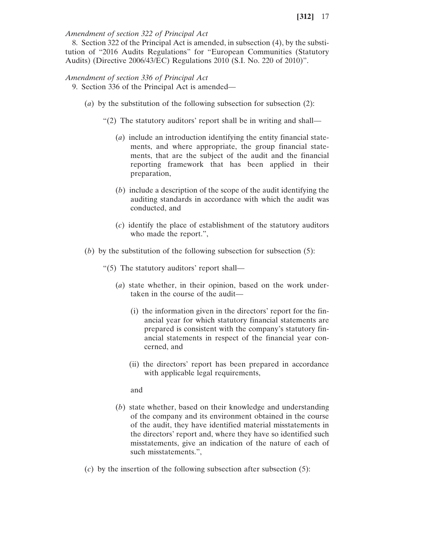# *Amendment of section 322 of Principal Act*

8. Section 322 of the Principal Act is amended, in subsection (4), by the substitution of "2016 Audits Regulations" for "European Communities (Statutory Audits) (Directive 2006/43/EC) Regulations 2010 (S.I. No. 220 of 2010)".

# *Amendment of section 336 of Principal Act*

- 9. Section 336 of the Principal Act is amended—
	- (*a*) by the substitution of the following subsection for subsection (2):
		- "(2) The statutory auditors' report shall be in writing and shall—
			- (*a*) include an introduction identifying the entity financial statements, and where appropriate, the group financial statements, that are the subject of the audit and the financial reporting framework that has been applied in their preparation,
			- (*b*) include a description of the scope of the audit identifying the auditing standards in accordance with which the audit was conducted, and
			- (*c*) identify the place of establishment of the statutory auditors who made the report.",
	- (*b*) by the substitution of the following subsection for subsection (5):
		- "(5) The statutory auditors' report shall—
			- (*a*) state whether, in their opinion, based on the work undertaken in the course of the audit—
				- (i) the information given in the directors' report for the financial year for which statutory financial statements are prepared is consistent with the company's statutory financial statements in respect of the financial year concerned, and
				- (ii) the directors' report has been prepared in accordance with applicable legal requirements,

and

- (*b*) state whether, based on their knowledge and understanding of the company and its environment obtained in the course of the audit, they have identified material misstatements in the directors' report and, where they have so identified such misstatements, give an indication of the nature of each of such misstatements.",
- (*c*) by the insertion of the following subsection after subsection (5):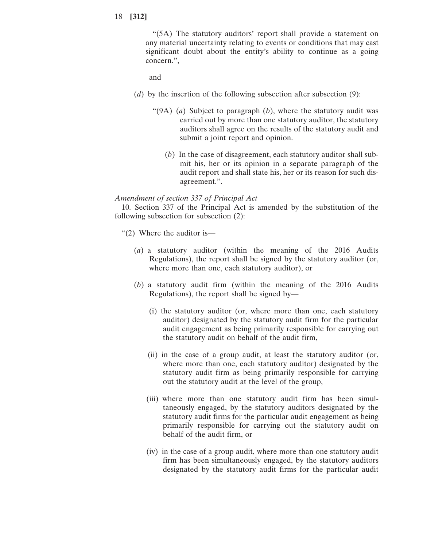"(5A) The statutory auditors' report shall provide a statement on any material uncertainty relating to events or conditions that may cast significant doubt about the entity's ability to continue as a going concern.",

and

- (*d*) by the insertion of the following subsection after subsection (9):
	- "(9A) (*a*) Subject to paragraph (*b*), where the statutory audit was carried out by more than one statutory auditor, the statutory auditors shall agree on the results of the statutory audit and submit a joint report and opinion.
		- (*b*) In the case of disagreement, each statutory auditor shall submit his, her or its opinion in a separate paragraph of the audit report and shall state his, her or its reason for such disagreement.".

### *Amendment of section 337 of Principal Act*

10. Section 337 of the Principal Act is amended by the substitution of the following subsection for subsection (2):

- "(2) Where the auditor is—
	- (*a*) a statutory auditor (within the meaning of the 2016 Audits Regulations), the report shall be signed by the statutory auditor (or, where more than one, each statutory auditor), or
	- (*b*) a statutory audit firm (within the meaning of the 2016 Audits Regulations), the report shall be signed by—
		- (i) the statutory auditor (or, where more than one, each statutory auditor) designated by the statutory audit firm for the particular audit engagement as being primarily responsible for carrying out the statutory audit on behalf of the audit firm,
		- (ii) in the case of a group audit, at least the statutory auditor (or, where more than one, each statutory auditor) designated by the statutory audit firm as being primarily responsible for carrying out the statutory audit at the level of the group,
		- (iii) where more than one statutory audit firm has been simultaneously engaged, by the statutory auditors designated by the statutory audit firms for the particular audit engagement as being primarily responsible for carrying out the statutory audit on behalf of the audit firm, or
		- (iv) in the case of a group audit, where more than one statutory audit firm has been simultaneously engaged, by the statutory auditors designated by the statutory audit firms for the particular audit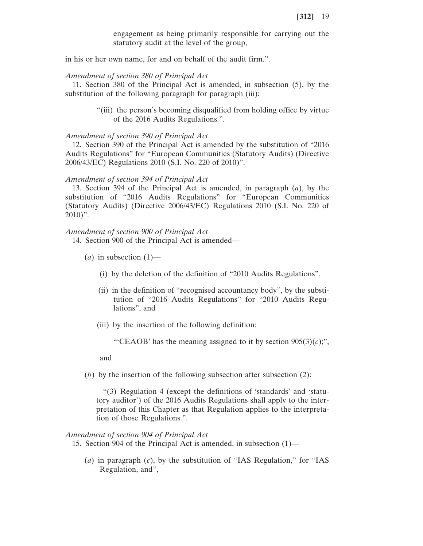engagement as being primarily responsible for carrying out the statutory audit at the level of the group,

in his or her own name, for and on behalf of the audit firm.".

# *Amendment of section 380 of Principal Act*

11. Section 380 of the Principal Act is amended, in subsection (5), by the substitution of the following paragraph for paragraph (iii):

> "(iii) the person's becoming disqualified from holding office by virtue of the 2016 Audits Regulations.".

### *Amendment of section 390 of Principal Act*

12. Section 390 of the Principal Act is amended by the substitution of "2016 Audits Regulations" for "European Communities (Statutory Audits) (Directive 2006/43/EC) Regulations 2010 (S.I. No. 220 of 2010)".

### *Amendment of section 394 of Principal Act*

13. Section 394 of the Principal Act is amended, in paragraph (*a*), by the substitution of "2016 Audits Regulations" for "European Communities (Statutory Audits) (Directive 2006/43/EC) Regulations 2010 (S.I. No. 220 of 2010)".

#### *Amendment of section 900 of Principal Act*

14. Section 900 of the Principal Act is amended—

- $(a)$  in subsection  $(1)$ 
	- (i) by the deletion of the definition of "2010 Audits Regulations",
	- (ii) in the definition of "recognised accountancy body", by the substitution of "2016 Audits Regulations" for "2010 Audits Regulations", and
	- (iii) by the insertion of the following definition:

"'CEAOB' has the meaning assigned to it by section  $905(3)(c)$ ;",

and

(*b*) by the insertion of the following subsection after subsection (2):

"(3) Regulation 4 (except the definitions of 'standards' and 'statutory auditor') of the 2016 Audits Regulations shall apply to the interpretation of this Chapter as that Regulation applies to the interpretation of those Regulations.".

#### *Amendment of section 904 of Principal Act*

15. Section 904 of the Principal Act is amended, in subsection (1)—

(*a*) in paragraph (*c*), by the substitution of "IAS Regulation," for "IAS Regulation, and",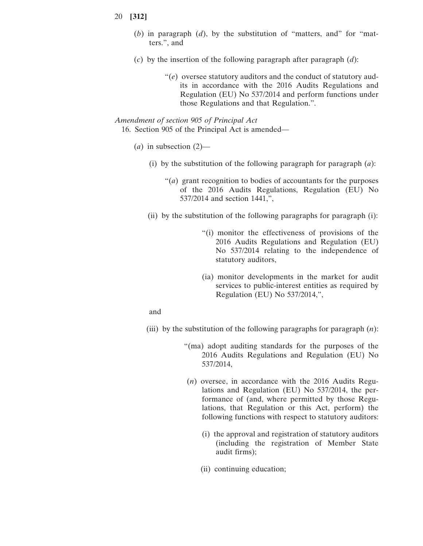- 20 **[312]**
	- (*b*) in paragraph (*d*), by the substitution of "matters, and" for "matters.", and
	- (*c*) by the insertion of the following paragraph after paragraph (*d*):
		- "(*e*) oversee statutory auditors and the conduct of statutory audits in accordance with the 2016 Audits Regulations and Regulation (EU) No 537/2014 and perform functions under those Regulations and that Regulation.".

# *Amendment of section 905 of Principal Act*

16. Section 905 of the Principal Act is amended—

- (*a*) in subsection (2)—
	- (i) by the substitution of the following paragraph for paragraph (*a*):
		- "(*a*) grant recognition to bodies of accountants for the purposes of the 2016 Audits Regulations, Regulation (EU) No 537/2014 and section 1441,",
	- (ii) by the substitution of the following paragraphs for paragraph  $(i)$ :
		- "(i) monitor the effectiveness of provisions of the 2016 Audits Regulations and Regulation (EU) No 537/2014 relating to the independence of statutory auditors,
		- (ia) monitor developments in the market for audit services to public-interest entities as required by Regulation (EU) No 537/2014,",

and

- (iii) by the substitution of the following paragraphs for paragraph (*n*):
	- "(ma) adopt auditing standards for the purposes of the 2016 Audits Regulations and Regulation (EU) No 537/2014,
	- (*n*) oversee, in accordance with the 2016 Audits Regulations and Regulation (EU) No 537/2014, the performance of (and, where permitted by those Regulations, that Regulation or this Act, perform) the following functions with respect to statutory auditors:
		- (i) the approval and registration of statutory auditors (including the registration of Member State audit firms);
		- (ii) continuing education;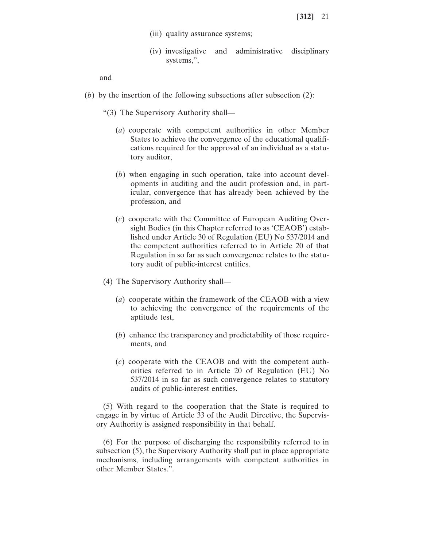- (iii) quality assurance systems;
- (iv) investigative and administrative disciplinary systems,",

and

- (*b*) by the insertion of the following subsections after subsection  $(2)$ :
	- "(3) The Supervisory Authority shall—
		- (*a*) cooperate with competent authorities in other Member States to achieve the convergence of the educational qualifications required for the approval of an individual as a statutory auditor,
		- (*b*) when engaging in such operation, take into account developments in auditing and the audit profession and, in particular, convergence that has already been achieved by the profession, and
		- (*c*) cooperate with the Committee of European Auditing Oversight Bodies (in this Chapter referred to as 'CEAOB') established under Article 30 of Regulation (EU) No 537/2014 and the competent authorities referred to in Article 20 of that Regulation in so far as such convergence relates to the statutory audit of public-interest entities.
	- (4) The Supervisory Authority shall—
		- (*a*) cooperate within the framework of the CEAOB with a view to achieving the convergence of the requirements of the aptitude test,
		- (*b*) enhance the transparency and predictability of those requirements, and
		- (*c*) cooperate with the CEAOB and with the competent authorities referred to in Article 20 of Regulation (EU) No 537/2014 in so far as such convergence relates to statutory audits of public-interest entities.

(5) With regard to the cooperation that the State is required to engage in by virtue of Article 33 of the Audit Directive, the Supervisory Authority is assigned responsibility in that behalf.

(6) For the purpose of discharging the responsibility referred to in subsection (5), the Supervisory Authority shall put in place appropriate mechanisms, including arrangements with competent authorities in other Member States.".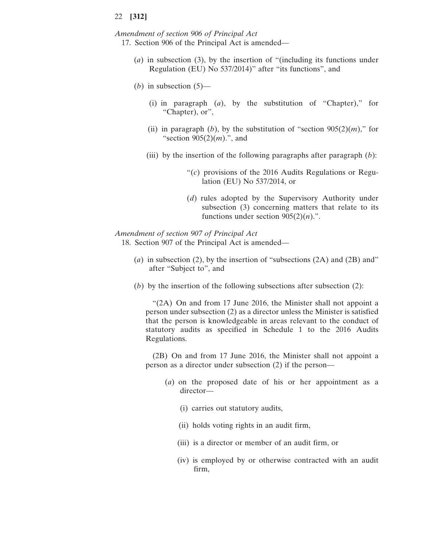*Amendment of section 906 of Principal Act* 17. Section 906 of the Principal Act is amended—

- (*a*) in subsection (3), by the insertion of "(including its functions under Regulation (EU) No 537/2014)" after "its functions", and
- $(b)$  in subsection  $(5)$ 
	- (i) in paragraph (*a*), by the substitution of "Chapter)," for "Chapter), or",
	- (ii) in paragraph (*b*), by the substitution of "section  $905(2)(m)$ ," for "section 905(2)(*m*).", and
	- (iii) by the insertion of the following paragraphs after paragraph (*b*):
		- "(*c*) provisions of the 2016 Audits Regulations or Regulation (EU) No 537/2014, or
		- (*d*) rules adopted by the Supervisory Authority under subsection (3) concerning matters that relate to its functions under section  $905(2)(n)$ .".

#### *Amendment of section 907 of Principal Act*

18. Section 907 of the Principal Act is amended—

- (*a*) in subsection (2), by the insertion of "subsections (2A) and (2B) and" after "Subject to", and
- (*b*) by the insertion of the following subsections after subsection  $(2)$ :

"(2A) On and from 17 June 2016, the Minister shall not appoint a person under subsection (2) as a director unless the Minister is satisfied that the person is knowledgeable in areas relevant to the conduct of statutory audits as specified in Schedule 1 to the 2016 Audits Regulations.

(2B) On and from 17 June 2016, the Minister shall not appoint a person as a director under subsection (2) if the person—

- (*a*) on the proposed date of his or her appointment as a director—
	- (i) carries out statutory audits,
	- (ii) holds voting rights in an audit firm,
	- (iii) is a director or member of an audit firm, or
	- (iv) is employed by or otherwise contracted with an audit firm,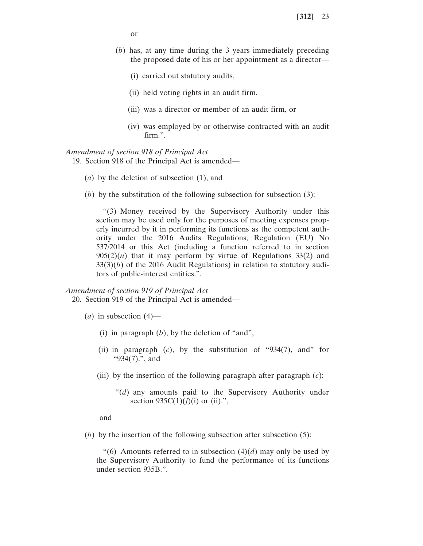or

- (*b*) has, at any time during the 3 years immediately preceding the proposed date of his or her appointment as a director—
	- (i) carried out statutory audits,
	- (ii) held voting rights in an audit firm,
	- (iii) was a director or member of an audit firm, or
	- (iv) was employed by or otherwise contracted with an audit firm.".

### *Amendment of section 918 of Principal Act*

19. Section 918 of the Principal Act is amended—

- (*a*) by the deletion of subsection (1), and
- (*b*) by the substitution of the following subsection for subsection (3):

"(3) Money received by the Supervisory Authority under this section may be used only for the purposes of meeting expenses properly incurred by it in performing its functions as the competent authority under the 2016 Audits Regulations, Regulation (EU) No 537/2014 or this Act (including a function referred to in section  $905(2)(n)$  that it may perform by virtue of Regulations 33(2) and 33(3)(*b*) of the 2016 Audit Regulations) in relation to statutory auditors of public-interest entities.".

#### *Amendment of section 919 of Principal Act*

20. Section 919 of the Principal Act is amended—

- $(a)$  in subsection  $(4)$ 
	- (i) in paragraph (*b*), by the deletion of "and",
	- (ii) in paragraph (*c*), by the substitution of "934(7), and" for "934(7).", and
	- (iii) by the insertion of the following paragraph after paragraph (*c*):
		- "(*d*) any amounts paid to the Supervisory Authority under section  $935C(1)(f)(i)$  or (ii).",

and

(*b*) by the insertion of the following subsection after subsection (5):

"(6) Amounts referred to in subsection  $(4)(d)$  may only be used by the Supervisory Authority to fund the performance of its functions under section 935B.".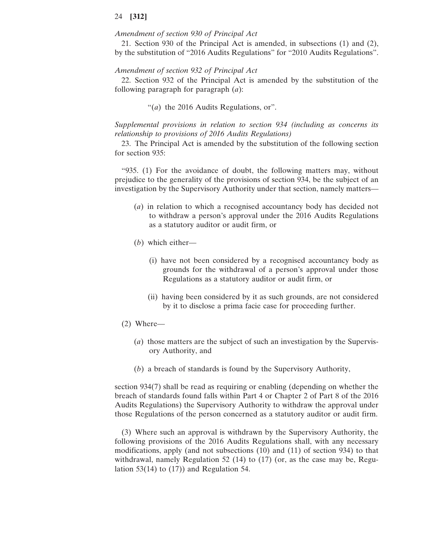### *Amendment of section 930 of Principal Act*

21. Section 930 of the Principal Act is amended, in subsections (1) and (2), by the substitution of "2016 Audits Regulations" for "2010 Audits Regulations".

#### *Amendment of section 932 of Principal Act*

22. Section 932 of the Principal Act is amended by the substitution of the following paragraph for paragraph (*a*):

"(*a*) the 2016 Audits Regulations, or".

*Supplemental provisions in relation to section 934 (including as concerns its relationship to provisions of 2016 Audits Regulations)*

23. The Principal Act is amended by the substitution of the following section for section 935:

"935. (1) For the avoidance of doubt, the following matters may, without prejudice to the generality of the provisions of section 934, be the subject of an investigation by the Supervisory Authority under that section, namely matters—

- (*a*) in relation to which a recognised accountancy body has decided not to withdraw a person's approval under the 2016 Audits Regulations as a statutory auditor or audit firm, or
- (*b*) which either—
	- (i) have not been considered by a recognised accountancy body as grounds for the withdrawal of a person's approval under those Regulations as a statutory auditor or audit firm, or
	- (ii) having been considered by it as such grounds, are not considered by it to disclose a prima facie case for proceeding further.
- (2) Where—
	- (*a*) those matters are the subject of such an investigation by the Supervisory Authority, and
	- (*b*) a breach of standards is found by the Supervisory Authority,

section 934(7) shall be read as requiring or enabling (depending on whether the breach of standards found falls within Part 4 or Chapter 2 of Part 8 of the 2016 Audits Regulations) the Supervisory Authority to withdraw the approval under those Regulations of the person concerned as a statutory auditor or audit firm.

(3) Where such an approval is withdrawn by the Supervisory Authority, the following provisions of the 2016 Audits Regulations shall, with any necessary modifications, apply (and not subsections (10) and (11) of section 934) to that withdrawal, namely Regulation 52 (14) to (17) (or, as the case may be, Regulation 53(14) to (17)) and Regulation 54.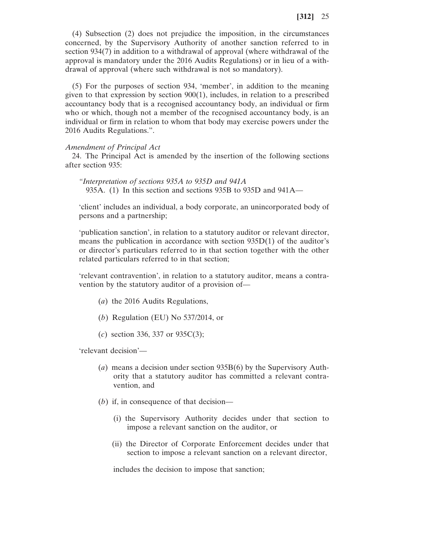(4) Subsection (2) does not prejudice the imposition, in the circumstances concerned, by the Supervisory Authority of another sanction referred to in section 934(7) in addition to a withdrawal of approval (where withdrawal of the approval is mandatory under the 2016 Audits Regulations) or in lieu of a withdrawal of approval (where such withdrawal is not so mandatory).

(5) For the purposes of section 934, 'member', in addition to the meaning given to that expression by section 900(1), includes, in relation to a prescribed accountancy body that is a recognised accountancy body, an individual or firm who or which, though not a member of the recognised accountancy body, is an individual or firm in relation to whom that body may exercise powers under the 2016 Audits Regulations.".

### *Amendment of Principal Act*

24. The Principal Act is amended by the insertion of the following sections after section 935:

*"Interpretation of sections 935A to 935D and 941A* 935A. (1) In this section and sections 935B to 935D and 941A—

'client' includes an individual, a body corporate, an unincorporated body of persons and a partnership;

'publication sanction', in relation to a statutory auditor or relevant director, means the publication in accordance with section 935D(1) of the auditor's or director's particulars referred to in that section together with the other related particulars referred to in that section;

'relevant contravention', in relation to a statutory auditor, means a contravention by the statutory auditor of a provision of—

- (*a*) the 2016 Audits Regulations,
- (*b*) Regulation (EU) No 537/2014, or
- (*c*) section 336, 337 or 935C(3);

'relevant decision'—

- (*a*) means a decision under section 935B(6) by the Supervisory Authority that a statutory auditor has committed a relevant contravention, and
- (*b*) if, in consequence of that decision—
	- (i) the Supervisory Authority decides under that section to impose a relevant sanction on the auditor, or
	- (ii) the Director of Corporate Enforcement decides under that section to impose a relevant sanction on a relevant director,

includes the decision to impose that sanction;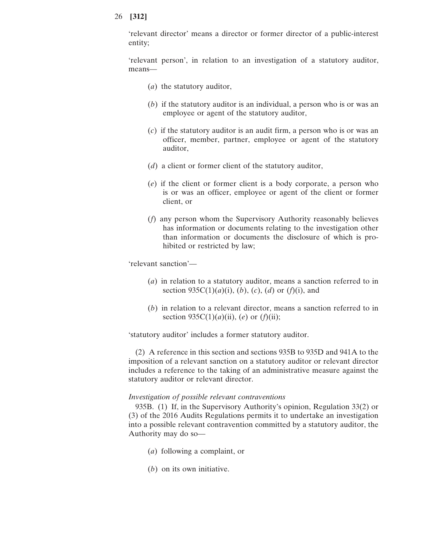'relevant director' means a director or former director of a public-interest entity;

'relevant person', in relation to an investigation of a statutory auditor, means—

- (*a*) the statutory auditor,
- (*b*) if the statutory auditor is an individual, a person who is or was an employee or agent of the statutory auditor,
- (*c*) if the statutory auditor is an audit firm, a person who is or was an officer, member, partner, employee or agent of the statutory auditor,
- (*d*) a client or former client of the statutory auditor,
- (*e*) if the client or former client is a body corporate, a person who is or was an officer, employee or agent of the client or former client, or
- (*f*) any person whom the Supervisory Authority reasonably believes has information or documents relating to the investigation other than information or documents the disclosure of which is prohibited or restricted by law;

'relevant sanction'—

- (*a*) in relation to a statutory auditor, means a sanction referred to in section  $935C(1)(a)(i)$ ,  $(b)$ ,  $(c)$ ,  $(d)$  or  $(f)(i)$ , and
- (*b*) in relation to a relevant director, means a sanction referred to in section  $935C(1)(a)(ii)$ , (*e*) or (*f*)(ii);

'statutory auditor' includes a former statutory auditor.

(2) A reference in this section and sections 935B to 935D and 941A to the imposition of a relevant sanction on a statutory auditor or relevant director includes a reference to the taking of an administrative measure against the statutory auditor or relevant director.

### *Investigation of possible relevant contraventions*

935B. (1) If, in the Supervisory Authority's opinion, Regulation 33(2) or (3) of the 2016 Audits Regulations permits it to undertake an investigation into a possible relevant contravention committed by a statutory auditor, the Authority may do so—

- (*a*) following a complaint, or
- (*b*) on its own initiative.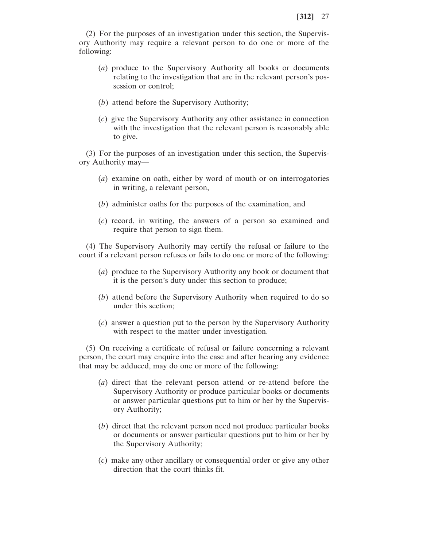(2) For the purposes of an investigation under this section, the Supervisory Authority may require a relevant person to do one or more of the following:

- (*a*) produce to the Supervisory Authority all books or documents relating to the investigation that are in the relevant person's possession or control;
- (*b*) attend before the Supervisory Authority;
- (*c*) give the Supervisory Authority any other assistance in connection with the investigation that the relevant person is reasonably able to give.

(3) For the purposes of an investigation under this section, the Supervisory Authority may—

- (*a*) examine on oath, either by word of mouth or on interrogatories in writing, a relevant person,
- (*b*) administer oaths for the purposes of the examination, and
- (*c*) record, in writing, the answers of a person so examined and require that person to sign them.

(4) The Supervisory Authority may certify the refusal or failure to the court if a relevant person refuses or fails to do one or more of the following:

- (*a*) produce to the Supervisory Authority any book or document that it is the person's duty under this section to produce;
- (*b*) attend before the Supervisory Authority when required to do so under this section;
- (*c*) answer a question put to the person by the Supervisory Authority with respect to the matter under investigation.

(5) On receiving a certificate of refusal or failure concerning a relevant person, the court may enquire into the case and after hearing any evidence that may be adduced, may do one or more of the following:

- (*a*) direct that the relevant person attend or re-attend before the Supervisory Authority or produce particular books or documents or answer particular questions put to him or her by the Supervisory Authority;
- (*b*) direct that the relevant person need not produce particular books or documents or answer particular questions put to him or her by the Supervisory Authority;
- (*c*) make any other ancillary or consequential order or give any other direction that the court thinks fit.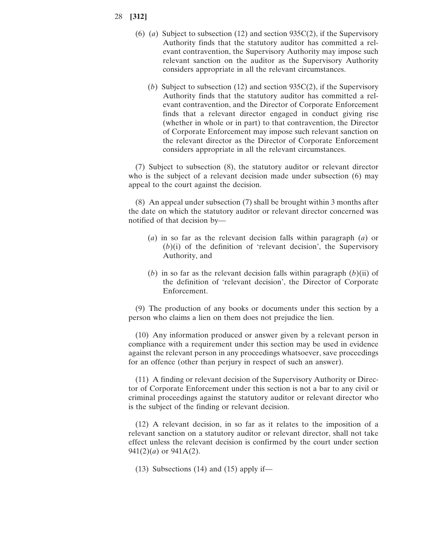- (6) (*a*) Subject to subsection (12) and section 935C(2), if the Supervisory Authority finds that the statutory auditor has committed a relevant contravention, the Supervisory Authority may impose such relevant sanction on the auditor as the Supervisory Authority considers appropriate in all the relevant circumstances.
	- (*b*) Subject to subsection (12) and section 935C(2), if the Supervisory Authority finds that the statutory auditor has committed a relevant contravention, and the Director of Corporate Enforcement finds that a relevant director engaged in conduct giving rise (whether in whole or in part) to that contravention, the Director of Corporate Enforcement may impose such relevant sanction on the relevant director as the Director of Corporate Enforcement considers appropriate in all the relevant circumstances.

(7) Subject to subsection (8), the statutory auditor or relevant director who is the subject of a relevant decision made under subsection (6) may appeal to the court against the decision.

(8) An appeal under subsection (7) shall be brought within 3 months after the date on which the statutory auditor or relevant director concerned was notified of that decision by—

- (*a*) in so far as the relevant decision falls within paragraph (*a*) or (*b*)(i) of the definition of 'relevant decision', the Supervisory Authority, and
- (*b*) in so far as the relevant decision falls within paragraph (*b*)(ii) of the definition of 'relevant decision', the Director of Corporate Enforcement.

(9) The production of any books or documents under this section by a person who claims a lien on them does not prejudice the lien.

(10) Any information produced or answer given by a relevant person in compliance with a requirement under this section may be used in evidence against the relevant person in any proceedings whatsoever, save proceedings for an offence (other than perjury in respect of such an answer).

(11) A finding or relevant decision of the Supervisory Authority or Director of Corporate Enforcement under this section is not a bar to any civil or criminal proceedings against the statutory auditor or relevant director who is the subject of the finding or relevant decision.

(12) A relevant decision, in so far as it relates to the imposition of a relevant sanction on a statutory auditor or relevant director, shall not take effect unless the relevant decision is confirmed by the court under section  $941(2)(a)$  or  $941A(2)$ .

(13) Subsections (14) and (15) apply if—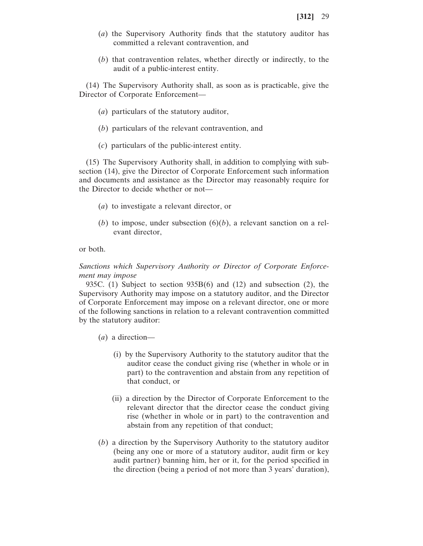- (*a*) the Supervisory Authority finds that the statutory auditor has committed a relevant contravention, and
- (*b*) that contravention relates, whether directly or indirectly, to the audit of a public-interest entity.

(14) The Supervisory Authority shall, as soon as is practicable, give the Director of Corporate Enforcement—

- (*a*) particulars of the statutory auditor,
- (*b*) particulars of the relevant contravention, and
- (*c*) particulars of the public-interest entity.

(15) The Supervisory Authority shall, in addition to complying with subsection (14), give the Director of Corporate Enforcement such information and documents and assistance as the Director may reasonably require for the Director to decide whether or not—

- (*a*) to investigate a relevant director, or
- (*b*) to impose, under subsection  $(6)(b)$ , a relevant sanction on a relevant director,

or both.

*Sanctions which Supervisory Authority or Director of Corporate Enforcement may impose*

935C. (1) Subject to section 935B(6) and (12) and subsection (2), the Supervisory Authority may impose on a statutory auditor, and the Director of Corporate Enforcement may impose on a relevant director, one or more of the following sanctions in relation to a relevant contravention committed by the statutory auditor:

- (*a*) a direction—
	- (i) by the Supervisory Authority to the statutory auditor that the auditor cease the conduct giving rise (whether in whole or in part) to the contravention and abstain from any repetition of that conduct, or
	- (ii) a direction by the Director of Corporate Enforcement to the relevant director that the director cease the conduct giving rise (whether in whole or in part) to the contravention and abstain from any repetition of that conduct;
- (*b*) a direction by the Supervisory Authority to the statutory auditor (being any one or more of a statutory auditor, audit firm or key audit partner) banning him, her or it, for the period specified in the direction (being a period of not more than 3 years' duration),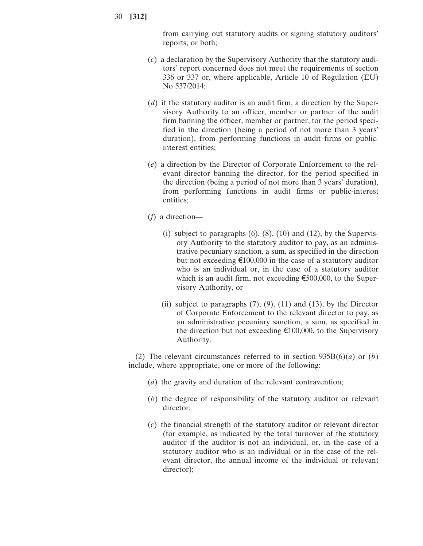from carrying out statutory audits or signing statutory auditors' reports, or both;

- (*c*) a declaration by the Supervisory Authority that the statutory auditors' report concerned does not meet the requirements of section 336 or 337 or, where applicable, Article 10 of Regulation (EU) No 537/2014;
- (*d*) if the statutory auditor is an audit firm, a direction by the Supervisory Authority to an officer, member or partner of the audit firm banning the officer, member or partner, for the period specified in the direction (being a period of not more than 3 years' duration), from performing functions in audit firms or publicinterest entities;
- (*e*) a direction by the Director of Corporate Enforcement to the relevant director banning the director, for the period specified in the direction (being a period of not more than 3 years' duration), from performing functions in audit firms or public-interest entities;
- (*f*) a direction—
	- (i) subject to paragraphs  $(6)$ ,  $(8)$ ,  $(10)$  and  $(12)$ , by the Supervisory Authority to the statutory auditor to pay, as an administrative pecuniary sanction, a sum, as specified in the direction but not exceeding €100,000 in the case of a statutory auditor who is an individual or, in the case of a statutory auditor which is an audit firm, not exceeding €500,000, to the Supervisory Authority, or
	- (ii) subject to paragraphs  $(7)$ ,  $(9)$ ,  $(11)$  and  $(13)$ , by the Director of Corporate Enforcement to the relevant director to pay, as an administrative pecuniary sanction, a sum, as specified in the direction but not exceeding  $\epsilon$ 100,000, to the Supervisory Authority.

(2) The relevant circumstances referred to in section 935B(6)(*a*) or (*b*) include, where appropriate, one or more of the following:

- (*a*) the gravity and duration of the relevant contravention;
- (*b*) the degree of responsibility of the statutory auditor or relevant director;
- (*c*) the financial strength of the statutory auditor or relevant director (for example, as indicated by the total turnover of the statutory auditor if the auditor is not an individual, or, in the case of a statutory auditor who is an individual or in the case of the relevant director, the annual income of the individual or relevant director);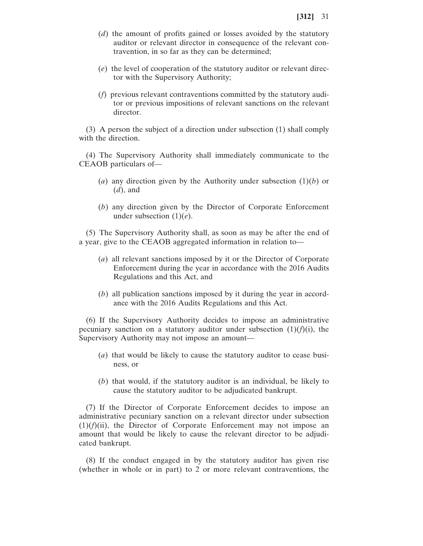- (*d*) the amount of profits gained or losses avoided by the statutory auditor or relevant director in consequence of the relevant contravention, in so far as they can be determined;
- (*e*) the level of cooperation of the statutory auditor or relevant director with the Supervisory Authority;
- (*f*) previous relevant contraventions committed by the statutory auditor or previous impositions of relevant sanctions on the relevant director.

(3) A person the subject of a direction under subsection (1) shall comply with the direction.

(4) The Supervisory Authority shall immediately communicate to the CEAOB particulars of—

- (*a*) any direction given by the Authority under subsection (1)(*b*) or (*d*), and
- (*b*) any direction given by the Director of Corporate Enforcement under subsection (1)(*e*).

(5) The Supervisory Authority shall, as soon as may be after the end of a year, give to the CEAOB aggregated information in relation to—

- (*a*) all relevant sanctions imposed by it or the Director of Corporate Enforcement during the year in accordance with the 2016 Audits Regulations and this Act, and
- (*b*) all publication sanctions imposed by it during the year in accordance with the 2016 Audits Regulations and this Act.

(6) If the Supervisory Authority decides to impose an administrative pecuniary sanction on a statutory auditor under subsection  $(1)(f)(i)$ , the Supervisory Authority may not impose an amount—

- (*a*) that would be likely to cause the statutory auditor to cease business, or
- (*b*) that would, if the statutory auditor is an individual, be likely to cause the statutory auditor to be adjudicated bankrupt.

(7) If the Director of Corporate Enforcement decides to impose an administrative pecuniary sanction on a relevant director under subsection  $(1)(f)(ii)$ , the Director of Corporate Enforcement may not impose an amount that would be likely to cause the relevant director to be adjudicated bankrupt.

(8) If the conduct engaged in by the statutory auditor has given rise (whether in whole or in part) to 2 or more relevant contraventions, the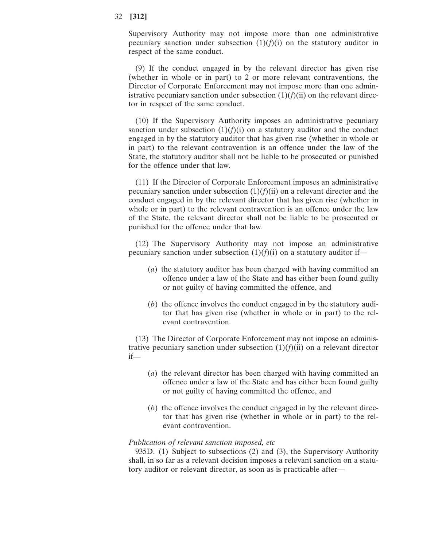Supervisory Authority may not impose more than one administrative pecuniary sanction under subsection  $(1)(f)(i)$  on the statutory auditor in respect of the same conduct.

(9) If the conduct engaged in by the relevant director has given rise (whether in whole or in part) to 2 or more relevant contraventions, the Director of Corporate Enforcement may not impose more than one administrative pecuniary sanction under subsection  $(1)(f)(ii)$  on the relevant director in respect of the same conduct.

(10) If the Supervisory Authority imposes an administrative pecuniary sanction under subsection  $(1)(f)(i)$  on a statutory auditor and the conduct engaged in by the statutory auditor that has given rise (whether in whole or in part) to the relevant contravention is an offence under the law of the State, the statutory auditor shall not be liable to be prosecuted or punished for the offence under that law.

(11) If the Director of Corporate Enforcement imposes an administrative pecuniary sanction under subsection  $(1)(f)(ii)$  on a relevant director and the conduct engaged in by the relevant director that has given rise (whether in whole or in part) to the relevant contravention is an offence under the law of the State, the relevant director shall not be liable to be prosecuted or punished for the offence under that law.

(12) The Supervisory Authority may not impose an administrative pecuniary sanction under subsection  $(1)(f)(i)$  on a statutory auditor if—

- (*a*) the statutory auditor has been charged with having committed an offence under a law of the State and has either been found guilty or not guilty of having committed the offence, and
- (*b*) the offence involves the conduct engaged in by the statutory auditor that has given rise (whether in whole or in part) to the relevant contravention.

(13) The Director of Corporate Enforcement may not impose an administrative pecuniary sanction under subsection  $(1)(f)(ii)$  on a relevant director if—

- (*a*) the relevant director has been charged with having committed an offence under a law of the State and has either been found guilty or not guilty of having committed the offence, and
- (*b*) the offence involves the conduct engaged in by the relevant director that has given rise (whether in whole or in part) to the relevant contravention.

# *Publication of relevant sanction imposed, etc*

935D. (1) Subject to subsections (2) and (3), the Supervisory Authority shall, in so far as a relevant decision imposes a relevant sanction on a statutory auditor or relevant director, as soon as is practicable after—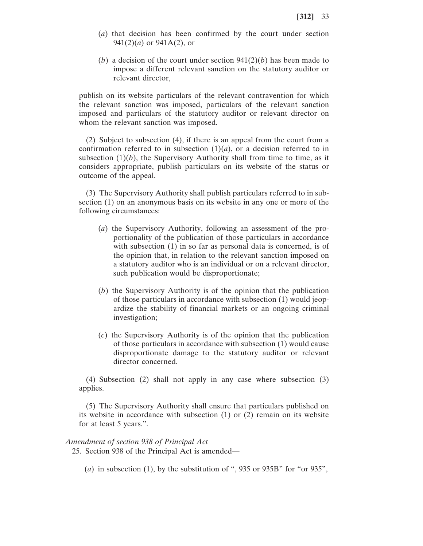- (*a*) that decision has been confirmed by the court under section 941(2)(*a*) or 941A(2), or
- (*b*) a decision of the court under section 941(2)(*b*) has been made to impose a different relevant sanction on the statutory auditor or relevant director,

publish on its website particulars of the relevant contravention for which the relevant sanction was imposed, particulars of the relevant sanction imposed and particulars of the statutory auditor or relevant director on whom the relevant sanction was imposed.

(2) Subject to subsection (4), if there is an appeal from the court from a confirmation referred to in subsection  $(1)(a)$ , or a decision referred to in subsection  $(1)(b)$ , the Supervisory Authority shall from time to time, as it considers appropriate, publish particulars on its website of the status or outcome of the appeal.

(3) The Supervisory Authority shall publish particulars referred to in subsection (1) on an anonymous basis on its website in any one or more of the following circumstances:

- (*a*) the Supervisory Authority, following an assessment of the proportionality of the publication of those particulars in accordance with subsection (1) in so far as personal data is concerned, is of the opinion that, in relation to the relevant sanction imposed on a statutory auditor who is an individual or on a relevant director, such publication would be disproportionate;
- (*b*) the Supervisory Authority is of the opinion that the publication of those particulars in accordance with subsection (1) would jeopardize the stability of financial markets or an ongoing criminal investigation;
- (*c*) the Supervisory Authority is of the opinion that the publication of those particulars in accordance with subsection (1) would cause disproportionate damage to the statutory auditor or relevant director concerned.

(4) Subsection (2) shall not apply in any case where subsection (3) applies.

(5) The Supervisory Authority shall ensure that particulars published on its website in accordance with subsection (1) or (2) remain on its website for at least 5 years.".

*Amendment of section 938 of Principal Act*

25. Section 938 of the Principal Act is amended—

(*a*) in subsection (1), by the substitution of ", 935 or 935B" for "or 935",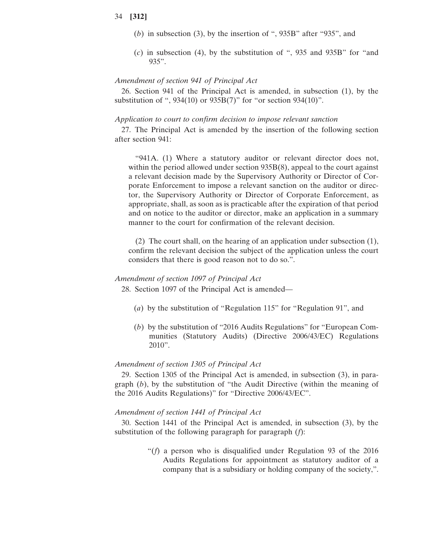- (*b*) in subsection (3), by the insertion of ", 935B" after "935", and
- (*c*) in subsection (4), by the substitution of ", 935 and 935B" for "and 935".

### *Amendment of section 941 of Principal Act*

26. Section 941 of the Principal Act is amended, in subsection (1), by the substitution of ", 934(10) or 935B(7)" for "or section 934(10)".

#### *Application to court to confirm decision to impose relevant sanction*

27. The Principal Act is amended by the insertion of the following section after section 941:

"941A. (1) Where a statutory auditor or relevant director does not, within the period allowed under section 935B(8), appeal to the court against a relevant decision made by the Supervisory Authority or Director of Corporate Enforcement to impose a relevant sanction on the auditor or director, the Supervisory Authority or Director of Corporate Enforcement, as appropriate, shall, as soon as is practicable after the expiration of that period and on notice to the auditor or director, make an application in a summary manner to the court for confirmation of the relevant decision.

(2) The court shall, on the hearing of an application under subsection (1), confirm the relevant decision the subject of the application unless the court considers that there is good reason not to do so.".

# *Amendment of section 1097 of Principal Act*

28. Section 1097 of the Principal Act is amended—

- (*a*) by the substitution of "Regulation 115" for "Regulation 91", and
- (*b*) by the substitution of "2016 Audits Regulations" for "European Communities (Statutory Audits) (Directive 2006/43/EC) Regulations 2010".

### *Amendment of section 1305 of Principal Act*

29. Section 1305 of the Principal Act is amended, in subsection (3), in paragraph (*b*), by the substitution of "the Audit Directive (within the meaning of the 2016 Audits Regulations)" for "Directive 2006/43/EC".

### *Amendment of section 1441 of Principal Act*

30. Section 1441 of the Principal Act is amended, in subsection (3), by the substitution of the following paragraph for paragraph (*f*):

> "(*f*) a person who is disqualified under Regulation 93 of the 2016 Audits Regulations for appointment as statutory auditor of a company that is a subsidiary or holding company of the society,".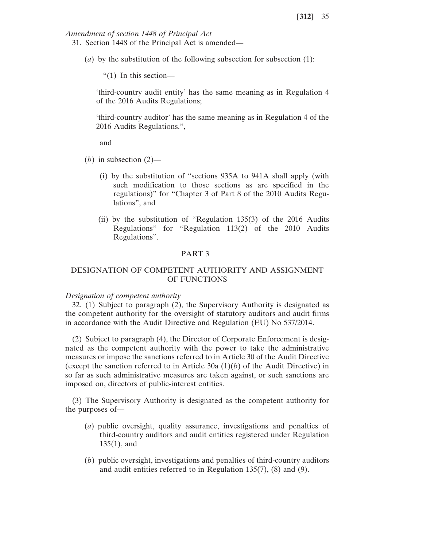*Amendment of section 1448 of Principal Act*

- 31. Section 1448 of the Principal Act is amended—
	- (*a*) by the substitution of the following subsection for subsection (1):

"(1) In this section—

'third-country audit entity' has the same meaning as in Regulation 4 of the 2016 Audits Regulations;

'third-country auditor' has the same meaning as in Regulation 4 of the 2016 Audits Regulations.",

and

- (*b*) in subsection  $(2)$ 
	- (i) by the substitution of "sections 935A to 941A shall apply (with such modification to those sections as are specified in the regulations)" for "Chapter 3 of Part 8 of the 2010 Audits Regulations", and
	- (ii) by the substitution of "Regulation 135(3) of the 2016 Audits Regulations" for "Regulation 113(2) of the 2010 Audits Regulations".

# PART 3

# DESIGNATION OF COMPETENT AUTHORITY AND ASSIGNMENT OF FUNCTIONS

### *Designation of competent authority*

32. (1) Subject to paragraph (2), the Supervisory Authority is designated as the competent authority for the oversight of statutory auditors and audit firms in accordance with the Audit Directive and Regulation (EU) No 537/2014.

(2) Subject to paragraph (4), the Director of Corporate Enforcement is designated as the competent authority with the power to take the administrative measures or impose the sanctions referred to in Article 30 of the Audit Directive (except the sanction referred to in Article 30a  $(1)(b)$  of the Audit Directive) in so far as such administrative measures are taken against, or such sanctions are imposed on, directors of public-interest entities.

(3) The Supervisory Authority is designated as the competent authority for the purposes of—

- (*a*) public oversight, quality assurance, investigations and penalties of third-country auditors and audit entities registered under Regulation 135(1), and
- (*b*) public oversight, investigations and penalties of third-country auditors and audit entities referred to in Regulation 135(7), (8) and (9).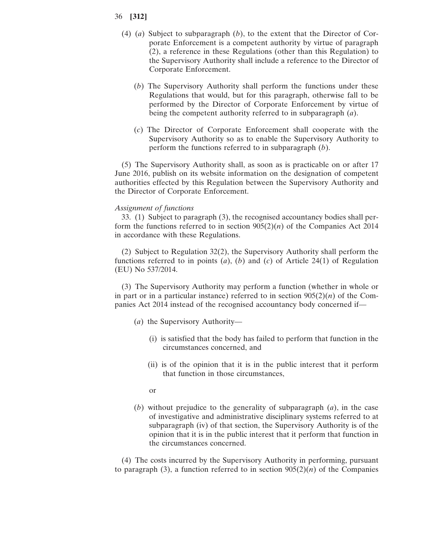- (4) (*a*) Subject to subparagraph (*b*), to the extent that the Director of Corporate Enforcement is a competent authority by virtue of paragraph (2), a reference in these Regulations (other than this Regulation) to the Supervisory Authority shall include a reference to the Director of Corporate Enforcement.
	- (*b*) The Supervisory Authority shall perform the functions under these Regulations that would, but for this paragraph, otherwise fall to be performed by the Director of Corporate Enforcement by virtue of being the competent authority referred to in subparagraph (*a*).
	- (*c*) The Director of Corporate Enforcement shall cooperate with the Supervisory Authority so as to enable the Supervisory Authority to perform the functions referred to in subparagraph (*b*).

(5) The Supervisory Authority shall, as soon as is practicable on or after 17 June 2016, publish on its website information on the designation of competent authorities effected by this Regulation between the Supervisory Authority and the Director of Corporate Enforcement.

# *Assignment of functions*

33. (1) Subject to paragraph (3), the recognised accountancy bodies shall perform the functions referred to in section  $905(2)(n)$  of the Companies Act 2014 in accordance with these Regulations.

(2) Subject to Regulation 32(2), the Supervisory Authority shall perform the functions referred to in points (*a*), (*b*) and (*c*) of Article 24(1) of Regulation (EU) No 537/2014.

(3) The Supervisory Authority may perform a function (whether in whole or in part or in a particular instance) referred to in section  $905(2)(n)$  of the Companies Act 2014 instead of the recognised accountancy body concerned if—

- (*a*) the Supervisory Authority—
	- (i) is satisfied that the body has failed to perform that function in the circumstances concerned, and
	- (ii) is of the opinion that it is in the public interest that it perform that function in those circumstances,
	- or
- (*b*) without prejudice to the generality of subparagraph (*a*), in the case of investigative and administrative disciplinary systems referred to at subparagraph (iv) of that section, the Supervisory Authority is of the opinion that it is in the public interest that it perform that function in the circumstances concerned.

(4) The costs incurred by the Supervisory Authority in performing, pursuant to paragraph (3), a function referred to in section  $905(2)(n)$  of the Companies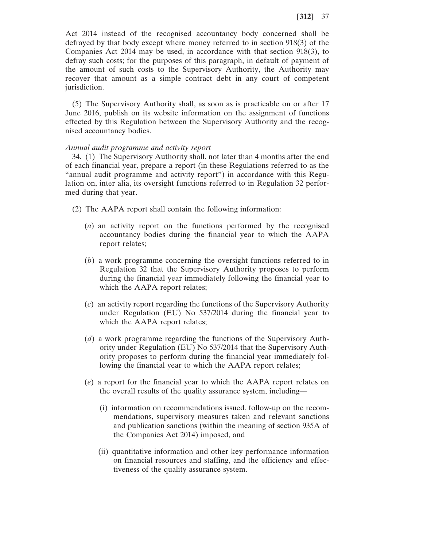Act 2014 instead of the recognised accountancy body concerned shall be defrayed by that body except where money referred to in section 918(3) of the Companies Act 2014 may be used, in accordance with that section 918(3), to defray such costs; for the purposes of this paragraph, in default of payment of the amount of such costs to the Supervisory Authority, the Authority may recover that amount as a simple contract debt in any court of competent jurisdiction.

(5) The Supervisory Authority shall, as soon as is practicable on or after 17 June 2016, publish on its website information on the assignment of functions effected by this Regulation between the Supervisory Authority and the recognised accountancy bodies.

# *Annual audit programme and activity report*

34. (1) The Supervisory Authority shall, not later than 4 months after the end of each financial year, prepare a report (in these Regulations referred to as the "annual audit programme and activity report") in accordance with this Regulation on, inter alia, its oversight functions referred to in Regulation 32 performed during that year.

- (2) The AAPA report shall contain the following information:
	- (*a*) an activity report on the functions performed by the recognised accountancy bodies during the financial year to which the AAPA report relates;
	- (*b*) a work programme concerning the oversight functions referred to in Regulation 32 that the Supervisory Authority proposes to perform during the financial year immediately following the financial year to which the AAPA report relates;
	- (*c*) an activity report regarding the functions of the Supervisory Authority under Regulation (EU) No 537/2014 during the financial year to which the AAPA report relates;
	- (*d*) a work programme regarding the functions of the Supervisory Authority under Regulation (EU) No 537/2014 that the Supervisory Authority proposes to perform during the financial year immediately following the financial year to which the AAPA report relates;
	- (*e*) a report for the financial year to which the AAPA report relates on the overall results of the quality assurance system, including—
		- (i) information on recommendations issued, follow-up on the recommendations, supervisory measures taken and relevant sanctions and publication sanctions (within the meaning of section 935A of the Companies Act 2014) imposed, and
		- (ii) quantitative information and other key performance information on financial resources and staffing, and the efficiency and effectiveness of the quality assurance system.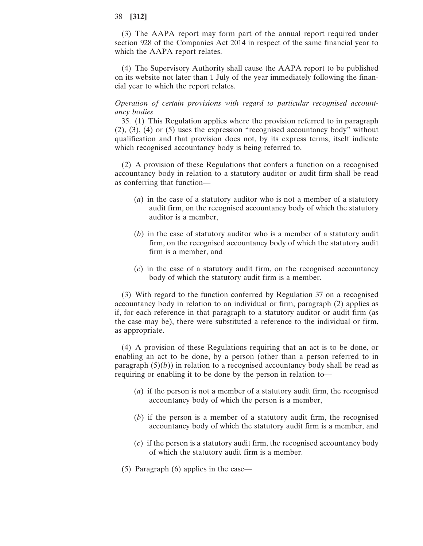(3) The AAPA report may form part of the annual report required under section 928 of the Companies Act 2014 in respect of the same financial year to which the AAPA report relates.

(4) The Supervisory Authority shall cause the AAPA report to be published on its website not later than 1 July of the year immediately following the financial year to which the report relates.

# *Operation of certain provisions with regard to particular recognised accountancy bodies*

35. (1) This Regulation applies where the provision referred to in paragraph (2), (3), (4) or (5) uses the expression "recognised accountancy body" without qualification and that provision does not, by its express terms, itself indicate which recognised accountancy body is being referred to.

(2) A provision of these Regulations that confers a function on a recognised accountancy body in relation to a statutory auditor or audit firm shall be read as conferring that function—

- (*a*) in the case of a statutory auditor who is not a member of a statutory audit firm, on the recognised accountancy body of which the statutory auditor is a member,
- (*b*) in the case of statutory auditor who is a member of a statutory audit firm, on the recognised accountancy body of which the statutory audit firm is a member, and
- (*c*) in the case of a statutory audit firm, on the recognised accountancy body of which the statutory audit firm is a member.

(3) With regard to the function conferred by Regulation 37 on a recognised accountancy body in relation to an individual or firm, paragraph (2) applies as if, for each reference in that paragraph to a statutory auditor or audit firm (as the case may be), there were substituted a reference to the individual or firm, as appropriate.

(4) A provision of these Regulations requiring that an act is to be done, or enabling an act to be done, by a person (other than a person referred to in paragraph  $(5)(b)$ ) in relation to a recognised accountancy body shall be read as requiring or enabling it to be done by the person in relation to—

- (*a*) if the person is not a member of a statutory audit firm, the recognised accountancy body of which the person is a member,
- (*b*) if the person is a member of a statutory audit firm, the recognised accountancy body of which the statutory audit firm is a member, and
- (*c*) if the person is a statutory audit firm, the recognised accountancy body of which the statutory audit firm is a member.
- (5) Paragraph (6) applies in the case—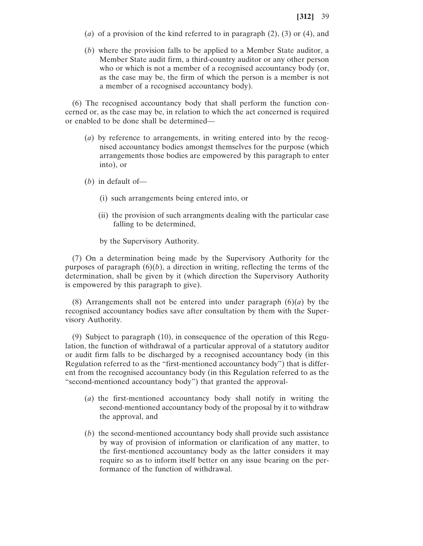- (*a*) of a provision of the kind referred to in paragraph (2), (3) or (4), and
- (*b*) where the provision falls to be applied to a Member State auditor, a Member State audit firm, a third-country auditor or any other person who or which is not a member of a recognised accountancy body (or, as the case may be, the firm of which the person is a member is not a member of a recognised accountancy body).

(6) The recognised accountancy body that shall perform the function concerned or, as the case may be, in relation to which the act concerned is required or enabled to be done shall be determined—

- (*a*) by reference to arrangements, in writing entered into by the recognised accountancy bodies amongst themselves for the purpose (which arrangements those bodies are empowered by this paragraph to enter into), or
- (*b*) in default of—
	- (i) such arrangements being entered into, or
	- (ii) the provision of such arrangments dealing with the particular case falling to be determined,
	- by the Supervisory Authority.

(7) On a determination being made by the Supervisory Authority for the purposes of paragraph  $(6)(b)$ , a direction in writing, reflecting the terms of the determination, shall be given by it (which direction the Supervisory Authority is empowered by this paragraph to give).

(8) Arrangements shall not be entered into under paragraph  $(6)(a)$  by the recognised accountancy bodies save after consultation by them with the Supervisory Authority.

(9) Subject to paragraph (10), in consequence of the operation of this Regulation, the function of withdrawal of a particular approval of a statutory auditor or audit firm falls to be discharged by a recognised accountancy body (in this Regulation referred to as the "first-mentioned accountancy body") that is different from the recognised accountancy body (in this Regulation referred to as the "second-mentioned accountancy body") that granted the approval-

- (*a*) the first-mentioned accountancy body shall notify in writing the second-mentioned accountancy body of the proposal by it to withdraw the approval, and
- (*b*) the second-mentioned accountancy body shall provide such assistance by way of provision of information or clarification of any matter, to the first-mentioned accountancy body as the latter considers it may require so as to inform itself better on any issue bearing on the performance of the function of withdrawal.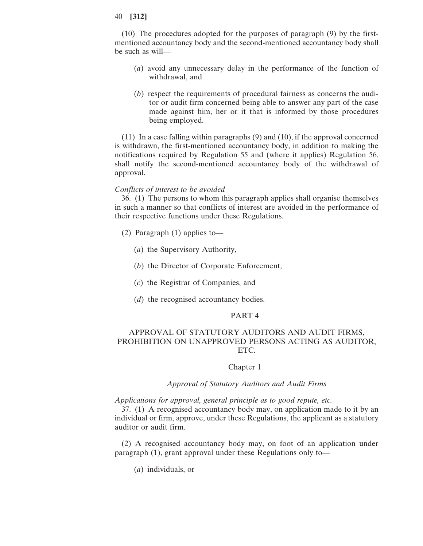(10) The procedures adopted for the purposes of paragraph (9) by the firstmentioned accountancy body and the second-mentioned accountancy body shall be such as will—

- (*a*) avoid any unnecessary delay in the performance of the function of withdrawal, and
- (*b*) respect the requirements of procedural fairness as concerns the auditor or audit firm concerned being able to answer any part of the case made against him, her or it that is informed by those procedures being employed.

(11) In a case falling within paragraphs (9) and (10), if the approval concerned is withdrawn, the first-mentioned accountancy body, in addition to making the notifications required by Regulation 55 and (where it applies) Regulation 56, shall notify the second-mentioned accountancy body of the withdrawal of approval.

# *Conflicts of interest to be avoided*

36. (1) The persons to whom this paragraph applies shall organise themselves in such a manner so that conflicts of interest are avoided in the performance of their respective functions under these Regulations.

- (2) Paragraph (1) applies to—
	- (*a*) the Supervisory Authority,
	- (*b*) the Director of Corporate Enforcement,
	- (*c*) the Registrar of Companies, and
	- (*d*) the recognised accountancy bodies.

## PART 4

# APPROVAL OF STATUTORY AUDITORS AND AUDIT FIRMS, PROHIBITION ON UNAPPROVED PERSONS ACTING AS AUDITOR, ETC.

### Chapter 1

### *Approval of Statutory Auditors and Audit Firms*

*Applications for approval, general principle as to good repute, etc.*

37. (1) A recognised accountancy body may, on application made to it by an individual or firm, approve, under these Regulations, the applicant as a statutory auditor or audit firm.

(2) A recognised accountancy body may, on foot of an application under paragraph (1), grant approval under these Regulations only to—

(*a*) individuals, or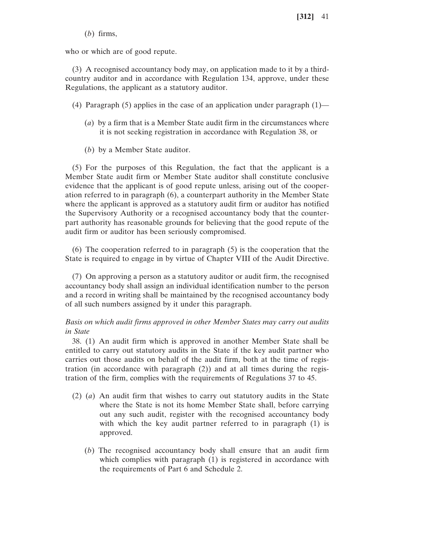(*b*) firms,

who or which are of good repute.

(3) A recognised accountancy body may, on application made to it by a thirdcountry auditor and in accordance with Regulation 134, approve, under these Regulations, the applicant as a statutory auditor.

(4) Paragraph (5) applies in the case of an application under paragraph  $(1)$ —

- (*a*) by a firm that is a Member State audit firm in the circumstances where it is not seeking registration in accordance with Regulation 38, or
- (*b*) by a Member State auditor.

(5) For the purposes of this Regulation, the fact that the applicant is a Member State audit firm or Member State auditor shall constitute conclusive evidence that the applicant is of good repute unless, arising out of the cooperation referred to in paragraph (6), a counterpart authority in the Member State where the applicant is approved as a statutory audit firm or auditor has notified the Supervisory Authority or a recognised accountancy body that the counterpart authority has reasonable grounds for believing that the good repute of the audit firm or auditor has been seriously compromised.

(6) The cooperation referred to in paragraph (5) is the cooperation that the State is required to engage in by virtue of Chapter VIII of the Audit Directive.

(7) On approving a person as a statutory auditor or audit firm, the recognised accountancy body shall assign an individual identification number to the person and a record in writing shall be maintained by the recognised accountancy body of all such numbers assigned by it under this paragraph.

# *Basis on which audit firms approved in other Member States may carry out audits in State*

38. (1) An audit firm which is approved in another Member State shall be entitled to carry out statutory audits in the State if the key audit partner who carries out those audits on behalf of the audit firm, both at the time of registration (in accordance with paragraph (2)) and at all times during the registration of the firm, complies with the requirements of Regulations 37 to 45.

- (2) (*a*) An audit firm that wishes to carry out statutory audits in the State where the State is not its home Member State shall, before carrying out any such audit, register with the recognised accountancy body with which the key audit partner referred to in paragraph (1) is approved.
	- (*b*) The recognised accountancy body shall ensure that an audit firm which complies with paragraph (1) is registered in accordance with the requirements of Part 6 and Schedule 2.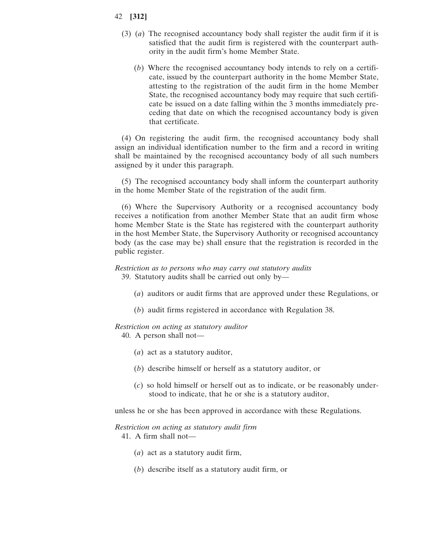- 42 **[312]**
	- (3) (*a*) The recognised accountancy body shall register the audit firm if it is satisfied that the audit firm is registered with the counterpart authority in the audit firm's home Member State.
		- (*b*) Where the recognised accountancy body intends to rely on a certificate, issued by the counterpart authority in the home Member State, attesting to the registration of the audit firm in the home Member State, the recognised accountancy body may require that such certificate be issued on a date falling within the 3 months immediately preceding that date on which the recognised accountancy body is given that certificate.

(4) On registering the audit firm, the recognised accountancy body shall assign an individual identification number to the firm and a record in writing shall be maintained by the recognised accountancy body of all such numbers assigned by it under this paragraph.

(5) The recognised accountancy body shall inform the counterpart authority in the home Member State of the registration of the audit firm.

(6) Where the Supervisory Authority or a recognised accountancy body receives a notification from another Member State that an audit firm whose home Member State is the State has registered with the counterpart authority in the host Member State, the Supervisory Authority or recognised accountancy body (as the case may be) shall ensure that the registration is recorded in the public register.

# *Restriction as to persons who may carry out statutory audits* 39. Statutory audits shall be carried out only by—

- (*a*) auditors or audit firms that are approved under these Regulations, or
- (*b*) audit firms registered in accordance with Regulation 38.

#### *Restriction on acting as statutory auditor*

40. A person shall not—

- (*a*) act as a statutory auditor,
- (*b*) describe himself or herself as a statutory auditor, or
- (*c*) so hold himself or herself out as to indicate, or be reasonably understood to indicate, that he or she is a statutory auditor,

unless he or she has been approved in accordance with these Regulations.

#### *Restriction on acting as statutory audit firm*

41. A firm shall not—

- (*a*) act as a statutory audit firm,
- (*b*) describe itself as a statutory audit firm, or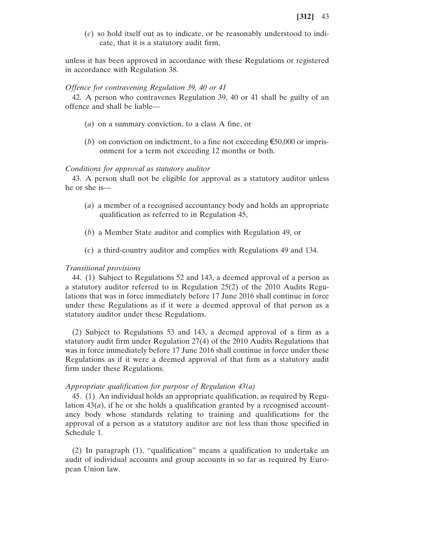(*c*) so hold itself out as to indicate, or be reasonably understood to indicate, that it is a statutory audit firm,

unless it has been approved in accordance with these Regulations or registered in accordance with Regulation 38.

#### *Offence for contravening Regulation 39, 40 or 41*

42. A person who contravenes Regulation 39, 40 or 41 shall be guilty of an offence and shall be liable—

- (*a*) on a summary conviction, to a class A fine, or
- (*b*) on conviction on indictment, to a fine not exceeding  $\epsilon$ 50,000 or imprisonment for a term not exceeding 12 months or both.

#### *Conditions for approval as statutory auditor*

43. A person shall not be eligible for approval as a statutory auditor unless he or she is—

- (*a*) a member of a recognised accountancy body and holds an appropriate qualification as referred to in Regulation 45,
- (*b*) a Member State auditor and complies with Regulation 49, or
- (*c*) a third-country auditor and complies with Regulations 49 and 134.

## *Transitional provisions*

44. (1) Subject to Regulations 52 and 143, a deemed approval of a person as a statutory auditor referred to in Regulation 25(2) of the 2010 Audits Regulations that was in force immediately before 17 June 2016 shall continue in force under these Regulations as if it were a deemed approval of that person as a statutory auditor under these Regulations.

(2) Subject to Regulations 53 and 143, a deemed approval of a firm as a statutory audit firm under Regulation 27(4) of the 2010 Audits Regulations that was in force immediately before 17 June 2016 shall continue in force under these Regulations as if it were a deemed approval of that firm as a statutory audit firm under these Regulations.

# *Appropriate qualification for purpose of Regulation 43(a)*

45. (1) An individual holds an appropriate qualification, as required by Regulation  $43(a)$ , if he or she holds a qualification granted by a recognised accountancy body whose standards relating to training and qualifications for the approval of a person as a statutory auditor are not less than those specified in Schedule 1.

(2) In paragraph (1), "qualification" means a qualification to undertake an audit of individual accounts and group accounts in so far as required by European Union law.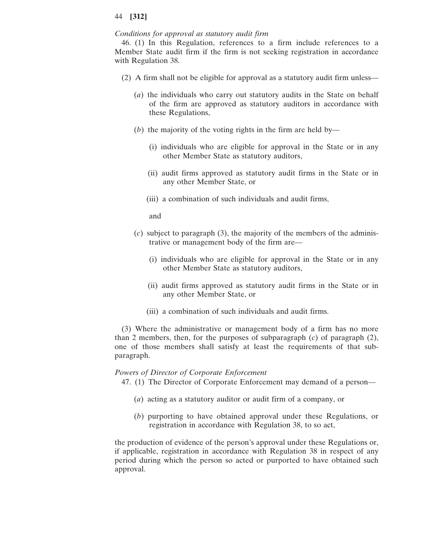## *Conditions for approval as statutory audit firm*

46. (1) In this Regulation, references to a firm include references to a Member State audit firm if the firm is not seeking registration in accordance with Regulation 38.

- (2) A firm shall not be eligible for approval as a statutory audit firm unless—
	- (*a*) the individuals who carry out statutory audits in the State on behalf of the firm are approved as statutory auditors in accordance with these Regulations,
	- (*b*) the majority of the voting rights in the firm are held by—
		- (i) individuals who are eligible for approval in the State or in any other Member State as statutory auditors,
		- (ii) audit firms approved as statutory audit firms in the State or in any other Member State, or
		- (iii) a combination of such individuals and audit firms,

and

- (*c*) subject to paragraph (3), the majority of the members of the administrative or management body of the firm are—
	- (i) individuals who are eligible for approval in the State or in any other Member State as statutory auditors,
	- (ii) audit firms approved as statutory audit firms in the State or in any other Member State, or
	- (iii) a combination of such individuals and audit firms.

(3) Where the administrative or management body of a firm has no more than 2 members, then, for the purposes of subparagraph (*c*) of paragraph (2), one of those members shall satisfy at least the requirements of that subparagraph.

## *Powers of Director of Corporate Enforcement*

47. (1) The Director of Corporate Enforcement may demand of a person—

- (*a*) acting as a statutory auditor or audit firm of a company, or
- (*b*) purporting to have obtained approval under these Regulations, or registration in accordance with Regulation 38, to so act,

the production of evidence of the person's approval under these Regulations or, if applicable, registration in accordance with Regulation 38 in respect of any period during which the person so acted or purported to have obtained such approval.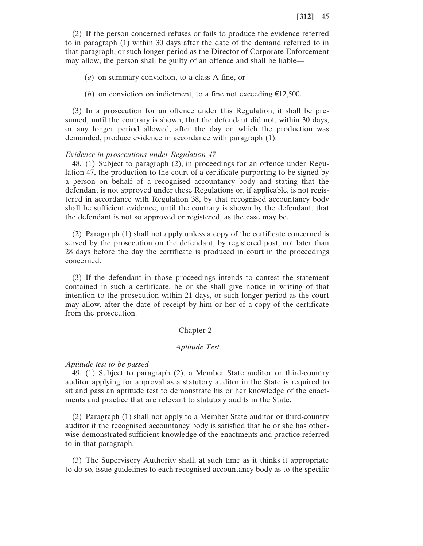(2) If the person concerned refuses or fails to produce the evidence referred to in paragraph (1) within 30 days after the date of the demand referred to in that paragraph, or such longer period as the Director of Corporate Enforcement may allow, the person shall be guilty of an offence and shall be liable—

(*a*) on summary conviction, to a class A fine, or

(*b*) on conviction on indictment, to a fine not exceeding  $\epsilon$ 12,500.

(3) In a prosecution for an offence under this Regulation, it shall be presumed, until the contrary is shown, that the defendant did not, within 30 days, or any longer period allowed, after the day on which the production was demanded, produce evidence in accordance with paragraph (1).

### *Evidence in prosecutions under Regulation 47*

48. (1) Subject to paragraph (2), in proceedings for an offence under Regulation 47, the production to the court of a certificate purporting to be signed by a person on behalf of a recognised accountancy body and stating that the defendant is not approved under these Regulations or, if applicable, is not registered in accordance with Regulation 38, by that recognised accountancy body shall be sufficient evidence, until the contrary is shown by the defendant, that the defendant is not so approved or registered, as the case may be.

(2) Paragraph (1) shall not apply unless a copy of the certificate concerned is served by the prosecution on the defendant, by registered post, not later than 28 days before the day the certificate is produced in court in the proceedings concerned.

(3) If the defendant in those proceedings intends to contest the statement contained in such a certificate, he or she shall give notice in writing of that intention to the prosecution within 21 days, or such longer period as the court may allow, after the date of receipt by him or her of a copy of the certificate from the prosecution.

# Chapter 2

#### *Aptitude Test*

## *Aptitude test to be passed*

49. (1) Subject to paragraph (2), a Member State auditor or third-country auditor applying for approval as a statutory auditor in the State is required to sit and pass an aptitude test to demonstrate his or her knowledge of the enactments and practice that are relevant to statutory audits in the State.

(2) Paragraph (1) shall not apply to a Member State auditor or third-country auditor if the recognised accountancy body is satisfied that he or she has otherwise demonstrated sufficient knowledge of the enactments and practice referred to in that paragraph.

(3) The Supervisory Authority shall, at such time as it thinks it appropriate to do so, issue guidelines to each recognised accountancy body as to the specific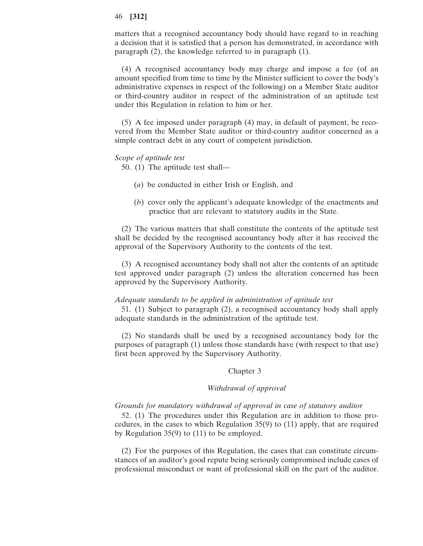matters that a recognised accountancy body should have regard to in reaching a decision that it is satisfied that a person has demonstrated, in accordance with paragraph (2), the knowledge referred to in paragraph (1).

(4) A recognised accountancy body may charge and impose a fee (of an amount specified from time to time by the Minister sufficient to cover the body's administrative expenses in respect of the following) on a Member State auditor or third-country auditor in respect of the administration of an aptitude test under this Regulation in relation to him or her.

(5) A fee imposed under paragraph (4) may, in default of payment, be recovered from the Member State auditor or third-country auditor concerned as a simple contract debt in any court of competent jurisdiction.

#### *Scope of aptitude test*

- 50. (1) The aptitude test shall—
	- (*a*) be conducted in either Irish or English, and
	- (*b*) cover only the applicant's adequate knowledge of the enactments and practice that are relevant to statutory audits in the State.

(2) The various matters that shall constitute the contents of the aptitude test shall be decided by the recognised accountancy body after it has received the approval of the Supervisory Authority to the contents of the test.

(3) A recognised accountancy body shall not alter the contents of an aptitude test approved under paragraph (2) unless the alteration concerned has been approved by the Supervisory Authority.

#### *Adequate standards to be applied in administration of aptitude test*

51. (1) Subject to paragraph (2), a recognised accountancy body shall apply adequate standards in the administration of the aptitude test.

(2) No standards shall be used by a recognised accountancy body for the purposes of paragraph (1) unless those standards have (with respect to that use) first been approved by the Supervisory Authority.

## Chapter 3

# *Withdrawal of approval*

## *Grounds for mandatory withdrawal of approval in case of statutory auditor*

52. (1) The procedures under this Regulation are in addition to those procedures, in the cases to which Regulation 35(9) to (11) apply, that are required by Regulation 35(9) to (11) to be employed.

(2) For the purposes of this Regulation, the cases that can constitute circumstances of an auditor's good repute being seriously compromised include cases of professional misconduct or want of professional skill on the part of the auditor.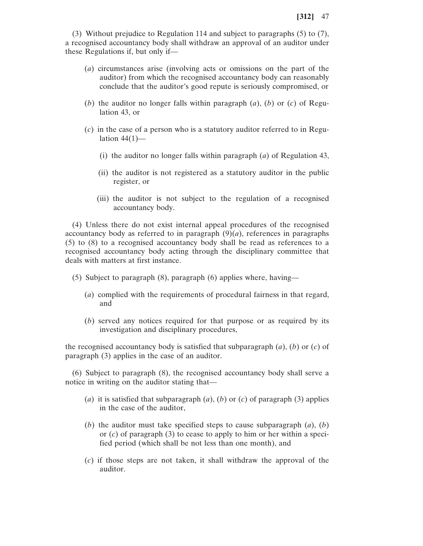(3) Without prejudice to Regulation 114 and subject to paragraphs (5) to (7), a recognised accountancy body shall withdraw an approval of an auditor under these Regulations if, but only if—

- (*a*) circumstances arise (involving acts or omissions on the part of the auditor) from which the recognised accountancy body can reasonably conclude that the auditor's good repute is seriously compromised, or
- (*b*) the auditor no longer falls within paragraph (*a*), (*b*) or (*c*) of Regulation 43, or
- (*c*) in the case of a person who is a statutory auditor referred to in Regulation  $44(1)$ —
	- (i) the auditor no longer falls within paragraph (*a*) of Regulation 43,
	- (ii) the auditor is not registered as a statutory auditor in the public register, or
	- (iii) the auditor is not subject to the regulation of a recognised accountancy body.

(4) Unless there do not exist internal appeal procedures of the recognised accountancy body as referred to in paragraph  $(9)(a)$ , references in paragraphs (5) to (8) to a recognised accountancy body shall be read as references to a recognised accountancy body acting through the disciplinary committee that deals with matters at first instance.

- (5) Subject to paragraph (8), paragraph (6) applies where, having—
	- (*a*) complied with the requirements of procedural fairness in that regard, and
	- (*b*) served any notices required for that purpose or as required by its investigation and disciplinary procedures,

the recognised accountancy body is satisfied that subparagraph (*a*), (*b*) or (*c*) of paragraph (3) applies in the case of an auditor.

(6) Subject to paragraph (8), the recognised accountancy body shall serve a notice in writing on the auditor stating that—

- (*a*) it is satisfied that subparagraph (*a*), (*b*) or (*c*) of paragraph (3) applies in the case of the auditor,
- (*b*) the auditor must take specified steps to cause subparagraph (*a*), (*b*) or (*c*) of paragraph (3) to cease to apply to him or her within a specified period (which shall be not less than one month), and
- (*c*) if those steps are not taken, it shall withdraw the approval of the auditor.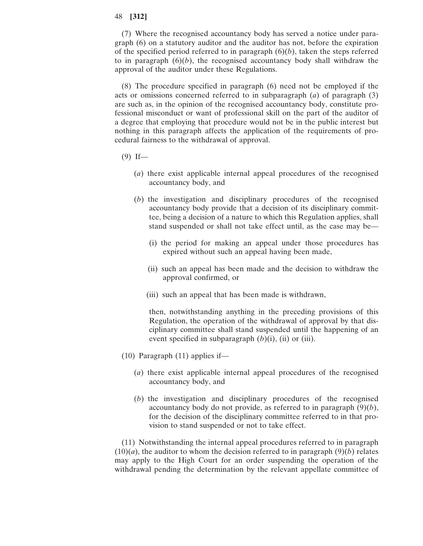(7) Where the recognised accountancy body has served a notice under paragraph (6) on a statutory auditor and the auditor has not, before the expiration of the specified period referred to in paragraph  $(6)(b)$ , taken the steps referred to in paragraph  $(6)(b)$ , the recognised accountancy body shall withdraw the approval of the auditor under these Regulations.

(8) The procedure specified in paragraph (6) need not be employed if the acts or omissions concerned referred to in subparagraph (*a*) of paragraph (3) are such as, in the opinion of the recognised accountancy body, constitute professional misconduct or want of professional skill on the part of the auditor of a degree that employing that procedure would not be in the public interest but nothing in this paragraph affects the application of the requirements of procedural fairness to the withdrawal of approval.

- $(9)$  If—
	- (*a*) there exist applicable internal appeal procedures of the recognised accountancy body, and
	- (*b*) the investigation and disciplinary procedures of the recognised accountancy body provide that a decision of its disciplinary committee, being a decision of a nature to which this Regulation applies, shall stand suspended or shall not take effect until, as the case may be—
		- (i) the period for making an appeal under those procedures has expired without such an appeal having been made,
		- (ii) such an appeal has been made and the decision to withdraw the approval confirmed, or
		- (iii) such an appeal that has been made is withdrawn,

then, notwithstanding anything in the preceding provisions of this Regulation, the operation of the withdrawal of approval by that disciplinary committee shall stand suspended until the happening of an event specified in subparagraph (*b*)(i), (ii) or (iii).

- (10) Paragraph (11) applies if—
	- (*a*) there exist applicable internal appeal procedures of the recognised accountancy body, and
	- (*b*) the investigation and disciplinary procedures of the recognised accountancy body do not provide, as referred to in paragraph (9)(*b*), for the decision of the disciplinary committee referred to in that provision to stand suspended or not to take effect.

(11) Notwithstanding the internal appeal procedures referred to in paragraph  $(10)(a)$ , the auditor to whom the decision referred to in paragraph  $(9)(b)$  relates may apply to the High Court for an order suspending the operation of the withdrawal pending the determination by the relevant appellate committee of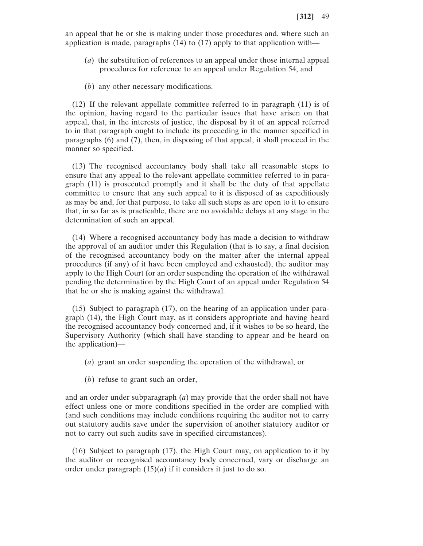an appeal that he or she is making under those procedures and, where such an application is made, paragraphs (14) to (17) apply to that application with—

- (*a*) the substitution of references to an appeal under those internal appeal procedures for reference to an appeal under Regulation 54, and
- (*b*) any other necessary modifications.

(12) If the relevant appellate committee referred to in paragraph (11) is of the opinion, having regard to the particular issues that have arisen on that appeal, that, in the interests of justice, the disposal by it of an appeal referred to in that paragraph ought to include its proceeding in the manner specified in paragraphs (6) and (7), then, in disposing of that appeal, it shall proceed in the manner so specified.

(13) The recognised accountancy body shall take all reasonable steps to ensure that any appeal to the relevant appellate committee referred to in paragraph (11) is prosecuted promptly and it shall be the duty of that appellate committee to ensure that any such appeal to it is disposed of as expeditiously as may be and, for that purpose, to take all such steps as are open to it to ensure that, in so far as is practicable, there are no avoidable delays at any stage in the determination of such an appeal.

(14) Where a recognised accountancy body has made a decision to withdraw the approval of an auditor under this Regulation (that is to say, a final decision of the recognised accountancy body on the matter after the internal appeal procedures (if any) of it have been employed and exhausted), the auditor may apply to the High Court for an order suspending the operation of the withdrawal pending the determination by the High Court of an appeal under Regulation 54 that he or she is making against the withdrawal.

(15) Subject to paragraph (17), on the hearing of an application under paragraph (14), the High Court may, as it considers appropriate and having heard the recognised accountancy body concerned and, if it wishes to be so heard, the Supervisory Authority (which shall have standing to appear and be heard on the application)—

- (*a*) grant an order suspending the operation of the withdrawal, or
- (*b*) refuse to grant such an order,

and an order under subparagraph (*a*) may provide that the order shall not have effect unless one or more conditions specified in the order are complied with (and such conditions may include conditions requiring the auditor not to carry out statutory audits save under the supervision of another statutory auditor or not to carry out such audits save in specified circumstances).

(16) Subject to paragraph (17), the High Court may, on application to it by the auditor or recognised accountancy body concerned, vary or discharge an order under paragraph  $(15)(a)$  if it considers it just to do so.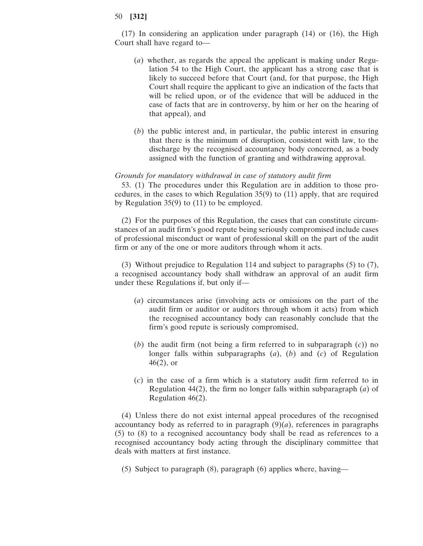(17) In considering an application under paragraph (14) or (16), the High Court shall have regard to—

- (*a*) whether, as regards the appeal the applicant is making under Regulation 54 to the High Court, the applicant has a strong case that is likely to succeed before that Court (and, for that purpose, the High Court shall require the applicant to give an indication of the facts that will be relied upon, or of the evidence that will be adduced in the case of facts that are in controversy, by him or her on the hearing of that appeal), and
- (*b*) the public interest and, in particular, the public interest in ensuring that there is the minimum of disruption, consistent with law, to the discharge by the recognised accountancy body concerned, as a body assigned with the function of granting and withdrawing approval.

# *Grounds for mandatory withdrawal in case of statutory audit firm*

53. (1) The procedures under this Regulation are in addition to those procedures, in the cases to which Regulation 35(9) to (11) apply, that are required by Regulation 35(9) to (11) to be employed.

(2) For the purposes of this Regulation, the cases that can constitute circumstances of an audit firm's good repute being seriously compromised include cases of professional misconduct or want of professional skill on the part of the audit firm or any of the one or more auditors through whom it acts.

(3) Without prejudice to Regulation 114 and subject to paragraphs (5) to (7), a recognised accountancy body shall withdraw an approval of an audit firm under these Regulations if, but only if—

- (*a*) circumstances arise (involving acts or omissions on the part of the audit firm or auditor or auditors through whom it acts) from which the recognised accountancy body can reasonably conclude that the firm's good repute is seriously compromised,
- (*b*) the audit firm (not being a firm referred to in subparagraph (*c*)) no longer falls within subparagraphs (*a*), (*b*) and (*c*) of Regulation 46(2), or
- (*c*) in the case of a firm which is a statutory audit firm referred to in Regulation 44(2), the firm no longer falls within subparagraph (*a*) of Regulation 46(2).

(4) Unless there do not exist internal appeal procedures of the recognised accountancy body as referred to in paragraph  $(9)(a)$ , references in paragraphs (5) to (8) to a recognised accountancy body shall be read as references to a recognised accountancy body acting through the disciplinary committee that deals with matters at first instance.

(5) Subject to paragraph (8), paragraph (6) applies where, having—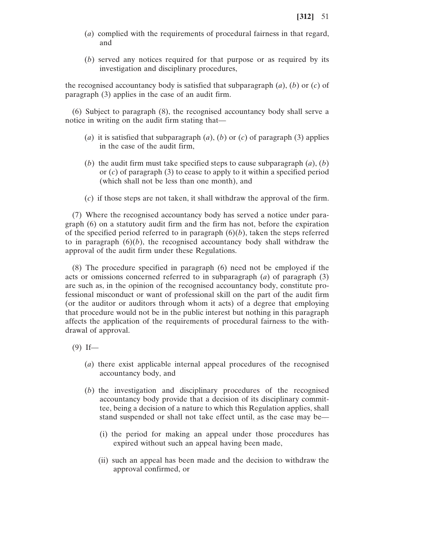- (*a*) complied with the requirements of procedural fairness in that regard, and
- (*b*) served any notices required for that purpose or as required by its investigation and disciplinary procedures,

the recognised accountancy body is satisfied that subparagraph (*a*), (*b*) or (*c*) of paragraph (3) applies in the case of an audit firm.

(6) Subject to paragraph (8), the recognised accountancy body shall serve a notice in writing on the audit firm stating that—

- (*a*) it is satisfied that subparagraph (*a*), (*b*) or (*c*) of paragraph (3) applies in the case of the audit firm,
- (*b*) the audit firm must take specified steps to cause subparagraph  $(a)$ ,  $(b)$ or (*c*) of paragraph (3) to cease to apply to it within a specified period (which shall not be less than one month), and
- (*c*) if those steps are not taken, it shall withdraw the approval of the firm.

(7) Where the recognised accountancy body has served a notice under paragraph (6) on a statutory audit firm and the firm has not, before the expiration of the specified period referred to in paragraph  $(6)(b)$ , taken the steps referred to in paragraph  $(6)(b)$ , the recognised accountancy body shall withdraw the approval of the audit firm under these Regulations.

(8) The procedure specified in paragraph (6) need not be employed if the acts or omissions concerned referred to in subparagraph (*a*) of paragraph (3) are such as, in the opinion of the recognised accountancy body, constitute professional misconduct or want of professional skill on the part of the audit firm (or the auditor or auditors through whom it acts) of a degree that employing that procedure would not be in the public interest but nothing in this paragraph affects the application of the requirements of procedural fairness to the withdrawal of approval.

- $(9)$  If—
	- (*a*) there exist applicable internal appeal procedures of the recognised accountancy body, and
	- (*b*) the investigation and disciplinary procedures of the recognised accountancy body provide that a decision of its disciplinary committee, being a decision of a nature to which this Regulation applies, shall stand suspended or shall not take effect until, as the case may be—
		- (i) the period for making an appeal under those procedures has expired without such an appeal having been made,
		- (ii) such an appeal has been made and the decision to withdraw the approval confirmed, or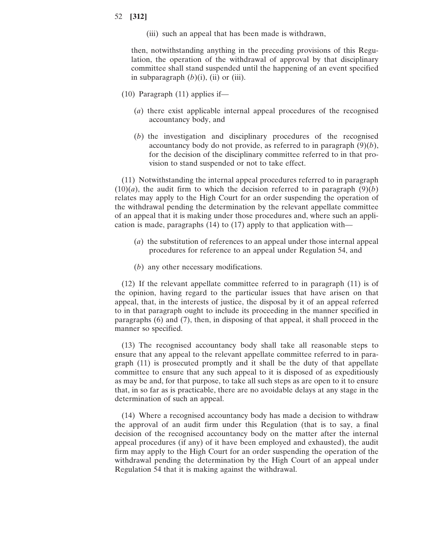(iii) such an appeal that has been made is withdrawn,

then, notwithstanding anything in the preceding provisions of this Regulation, the operation of the withdrawal of approval by that disciplinary committee shall stand suspended until the happening of an event specified in subparagraph  $(b)(i)$ ,  $(ii)$  or  $(iii)$ .

- (10) Paragraph (11) applies if—
	- (*a*) there exist applicable internal appeal procedures of the recognised accountancy body, and
	- (*b*) the investigation and disciplinary procedures of the recognised accountancy body do not provide, as referred to in paragraph (9)(*b*), for the decision of the disciplinary committee referred to in that provision to stand suspended or not to take effect.

(11) Notwithstanding the internal appeal procedures referred to in paragraph  $(10)(a)$ , the audit firm to which the decision referred to in paragraph  $(9)(b)$ relates may apply to the High Court for an order suspending the operation of the withdrawal pending the determination by the relevant appellate committee of an appeal that it is making under those procedures and, where such an application is made, paragraphs (14) to (17) apply to that application with—

- (*a*) the substitution of references to an appeal under those internal appeal procedures for reference to an appeal under Regulation 54, and
- (*b*) any other necessary modifications.

(12) If the relevant appellate committee referred to in paragraph (11) is of the opinion, having regard to the particular issues that have arisen on that appeal, that, in the interests of justice, the disposal by it of an appeal referred to in that paragraph ought to include its proceeding in the manner specified in paragraphs (6) and (7), then, in disposing of that appeal, it shall proceed in the manner so specified.

(13) The recognised accountancy body shall take all reasonable steps to ensure that any appeal to the relevant appellate committee referred to in paragraph (11) is prosecuted promptly and it shall be the duty of that appellate committee to ensure that any such appeal to it is disposed of as expeditiously as may be and, for that purpose, to take all such steps as are open to it to ensure that, in so far as is practicable, there are no avoidable delays at any stage in the determination of such an appeal.

(14) Where a recognised accountancy body has made a decision to withdraw the approval of an audit firm under this Regulation (that is to say, a final decision of the recognised accountancy body on the matter after the internal appeal procedures (if any) of it have been employed and exhausted), the audit firm may apply to the High Court for an order suspending the operation of the withdrawal pending the determination by the High Court of an appeal under Regulation 54 that it is making against the withdrawal.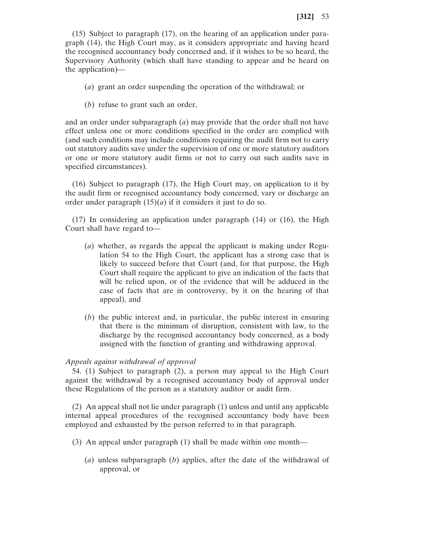(15) Subject to paragraph (17), on the hearing of an application under paragraph (14), the High Court may, as it considers appropriate and having heard the recognised accountancy body concerned and, if it wishes to be so heard, the Supervisory Authority (which shall have standing to appear and be heard on the application)—

- (*a*) grant an order suspending the operation of the withdrawal; or
- (*b*) refuse to grant such an order,

and an order under subparagraph (*a*) may provide that the order shall not have effect unless one or more conditions specified in the order are complied with (and such conditions may include conditions requiring the audit firm not to carry out statutory audits save under the supervision of one or more statutory auditors or one or more statutory audit firms or not to carry out such audits save in specified circumstances).

(16) Subject to paragraph (17), the High Court may, on application to it by the audit firm or recognised accountancy body concerned, vary or discharge an order under paragraph  $(15)(a)$  if it considers it just to do so.

(17) In considering an application under paragraph (14) or (16), the High Court shall have regard to—

- (*a*) whether, as regards the appeal the applicant is making under Regulation 54 to the High Court, the applicant has a strong case that is likely to succeed before that Court (and, for that purpose, the High Court shall require the applicant to give an indication of the facts that will be relied upon, or of the evidence that will be adduced in the case of facts that are in controversy, by it on the hearing of that appeal), and
- (*b*) the public interest and, in particular, the public interest in ensuring that there is the minimum of disruption, consistent with law, to the discharge by the recognised accountancy body concerned, as a body assigned with the function of granting and withdrawing approval.

# *Appeals against withdrawal of approval*

54. (1) Subject to paragraph (2), a person may appeal to the High Court against the withdrawal by a recognised accountancy body of approval under these Regulations of the person as a statutory auditor or audit firm.

(2) An appeal shall not lie under paragraph (1) unless and until any applicable internal appeal procedures of the recognised accountancy body have been employed and exhausted by the person referred to in that paragraph.

- (3) An appeal under paragraph (1) shall be made within one month—
	- (*a*) unless subparagraph (*b*) applies, after the date of the withdrawal of approval, or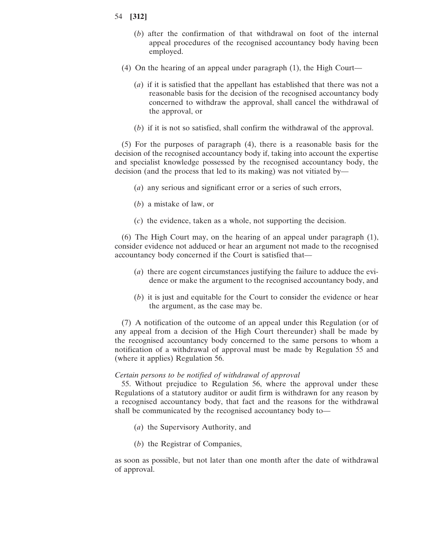- 54 **[312]**
	- (*b*) after the confirmation of that withdrawal on foot of the internal appeal procedures of the recognised accountancy body having been employed.
	- (4) On the hearing of an appeal under paragraph (1), the High Court—
		- (*a*) if it is satisfied that the appellant has established that there was not a reasonable basis for the decision of the recognised accountancy body concerned to withdraw the approval, shall cancel the withdrawal of the approval, or
		- (*b*) if it is not so satisfied, shall confirm the withdrawal of the approval.

(5) For the purposes of paragraph (4), there is a reasonable basis for the decision of the recognised accountancy body if, taking into account the expertise and specialist knowledge possessed by the recognised accountancy body, the decision (and the process that led to its making) was not vitiated by—

- (*a*) any serious and significant error or a series of such errors,
- (*b*) a mistake of law, or
- (*c*) the evidence, taken as a whole, not supporting the decision.

(6) The High Court may, on the hearing of an appeal under paragraph (1), consider evidence not adduced or hear an argument not made to the recognised accountancy body concerned if the Court is satisfied that—

- (*a*) there are cogent circumstances justifying the failure to adduce the evidence or make the argument to the recognised accountancy body, and
- (*b*) it is just and equitable for the Court to consider the evidence or hear the argument, as the case may be.

(7) A notification of the outcome of an appeal under this Regulation (or of any appeal from a decision of the High Court thereunder) shall be made by the recognised accountancy body concerned to the same persons to whom a notification of a withdrawal of approval must be made by Regulation 55 and (where it applies) Regulation 56.

## *Certain persons to be notified of withdrawal of approval*

55. Without prejudice to Regulation 56, where the approval under these Regulations of a statutory auditor or audit firm is withdrawn for any reason by a recognised accountancy body, that fact and the reasons for the withdrawal shall be communicated by the recognised accountancy body to—

- (*a*) the Supervisory Authority, and
- (*b*) the Registrar of Companies,

as soon as possible, but not later than one month after the date of withdrawal of approval.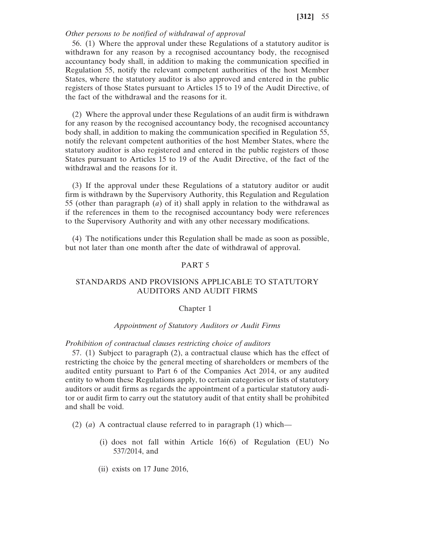# *Other persons to be notified of withdrawal of approval*

56. (1) Where the approval under these Regulations of a statutory auditor is withdrawn for any reason by a recognised accountancy body, the recognised accountancy body shall, in addition to making the communication specified in Regulation 55, notify the relevant competent authorities of the host Member States, where the statutory auditor is also approved and entered in the public registers of those States pursuant to Articles 15 to 19 of the Audit Directive, of the fact of the withdrawal and the reasons for it.

(2) Where the approval under these Regulations of an audit firm is withdrawn for any reason by the recognised accountancy body, the recognised accountancy body shall, in addition to making the communication specified in Regulation 55, notify the relevant competent authorities of the host Member States, where the statutory auditor is also registered and entered in the public registers of those States pursuant to Articles 15 to 19 of the Audit Directive, of the fact of the withdrawal and the reasons for it.

(3) If the approval under these Regulations of a statutory auditor or audit firm is withdrawn by the Supervisory Authority, this Regulation and Regulation 55 (other than paragraph (*a*) of it) shall apply in relation to the withdrawal as if the references in them to the recognised accountancy body were references to the Supervisory Authority and with any other necessary modifications.

(4) The notifications under this Regulation shall be made as soon as possible, but not later than one month after the date of withdrawal of approval.

# PART 5

# STANDARDS AND PROVISIONS APPLICABLE TO STATUTORY AUDITORS AND AUDIT FIRMS

#### Chapter 1

## *Appointment of Statutory Auditors or Audit Firms*

#### *Prohibition of contractual clauses restricting choice of auditors*

57. (1) Subject to paragraph (2), a contractual clause which has the effect of restricting the choice by the general meeting of shareholders or members of the audited entity pursuant to Part 6 of the Companies Act 2014, or any audited entity to whom these Regulations apply, to certain categories or lists of statutory auditors or audit firms as regards the appointment of a particular statutory auditor or audit firm to carry out the statutory audit of that entity shall be prohibited and shall be void.

(2) (*a*) A contractual clause referred to in paragraph (1) which—

- (i) does not fall within Article 16(6) of Regulation (EU) No 537/2014, and
- (ii) exists on 17 June 2016,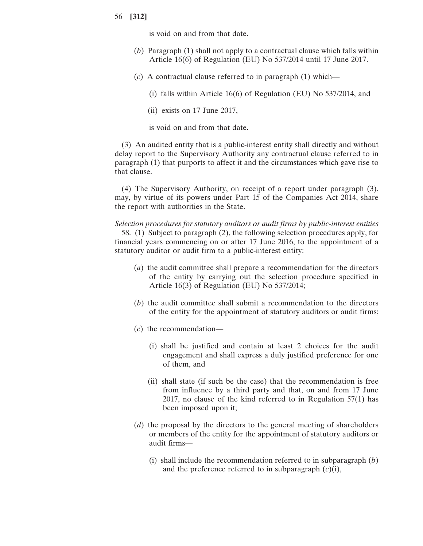is void on and from that date.

- (*b*) Paragraph (1) shall not apply to a contractual clause which falls within Article 16(6) of Regulation (EU) No 537/2014 until 17 June 2017.
- (*c*) A contractual clause referred to in paragraph (1) which—
	- (i) falls within Article 16(6) of Regulation (EU) No 537/2014, and
	- (ii) exists on 17 June 2017,

is void on and from that date.

statutory auditor or audit firm to a public-interest entity:

(3) An audited entity that is a public-interest entity shall directly and without delay report to the Supervisory Authority any contractual clause referred to in paragraph (1) that purports to affect it and the circumstances which gave rise to that clause.

(4) The Supervisory Authority, on receipt of a report under paragraph (3), may, by virtue of its powers under Part 15 of the Companies Act 2014, share the report with authorities in the State.

*Selection procedures for statutory auditors or audit firms by public-interest entities* 58. (1) Subject to paragraph (2), the following selection procedures apply, for financial years commencing on or after 17 June 2016, to the appointment of a

- (*a*) the audit committee shall prepare a recommendation for the directors of the entity by carrying out the selection procedure specified in Article 16(3) of Regulation (EU) No 537/2014;
- (*b*) the audit committee shall submit a recommendation to the directors of the entity for the appointment of statutory auditors or audit firms;
- (*c*) the recommendation—
	- (i) shall be justified and contain at least 2 choices for the audit engagement and shall express a duly justified preference for one of them, and
	- (ii) shall state (if such be the case) that the recommendation is free from influence by a third party and that, on and from 17 June 2017, no clause of the kind referred to in Regulation 57(1) has been imposed upon it;
- (*d*) the proposal by the directors to the general meeting of shareholders or members of the entity for the appointment of statutory auditors or audit firms—
	- (i) shall include the recommendation referred to in subparagraph (*b*) and the preference referred to in subparagraph (*c*)(i),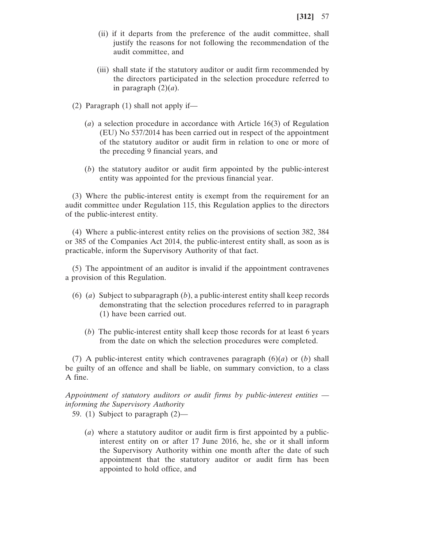- (ii) if it departs from the preference of the audit committee, shall justify the reasons for not following the recommendation of the audit committee, and
- (iii) shall state if the statutory auditor or audit firm recommended by the directors participated in the selection procedure referred to in paragraph  $(2)(a)$ .
- (2) Paragraph (1) shall not apply if—
	- (*a*) a selection procedure in accordance with Article 16(3) of Regulation (EU) No 537/2014 has been carried out in respect of the appointment of the statutory auditor or audit firm in relation to one or more of the preceding 9 financial years, and
	- (*b*) the statutory auditor or audit firm appointed by the public-interest entity was appointed for the previous financial year.

(3) Where the public-interest entity is exempt from the requirement for an audit committee under Regulation 115, this Regulation applies to the directors of the public-interest entity.

(4) Where a public-interest entity relies on the provisions of section 382, 384 or 385 of the Companies Act 2014, the public-interest entity shall, as soon as is practicable, inform the Supervisory Authority of that fact.

(5) The appointment of an auditor is invalid if the appointment contravenes a provision of this Regulation.

- (6) (*a*) Subject to subparagraph (*b*), a public-interest entity shall keep records demonstrating that the selection procedures referred to in paragraph (1) have been carried out.
	- (*b*) The public-interest entity shall keep those records for at least 6 years from the date on which the selection procedures were completed.

(7) A public-interest entity which contravenes paragraph (6)(*a*) or (*b*) shall be guilty of an offence and shall be liable, on summary conviction, to a class A fine.

*Appointment of statutory auditors or audit firms by public-interest entities informing the Supervisory Authority*

59. (1) Subject to paragraph (2)—

(*a*) where a statutory auditor or audit firm is first appointed by a publicinterest entity on or after 17 June 2016, he, she or it shall inform the Supervisory Authority within one month after the date of such appointment that the statutory auditor or audit firm has been appointed to hold office, and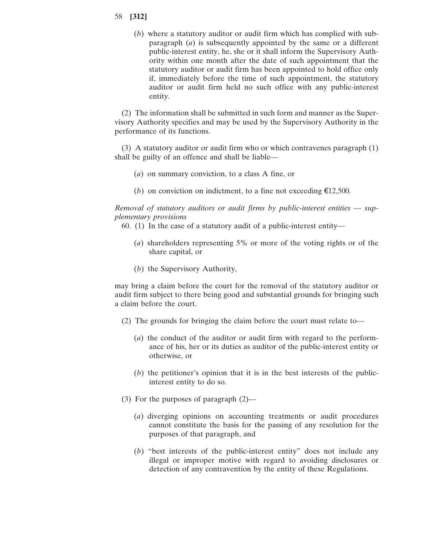(*b*) where a statutory auditor or audit firm which has complied with subparagraph (*a*) is subsequently appointed by the same or a different public-interest entity, he, she or it shall inform the Supervisory Authority within one month after the date of such appointment that the statutory auditor or audit firm has been appointed to hold office only if, immediately before the time of such appointment, the statutory auditor or audit firm held no such office with any public-interest entity.

(2) The information shall be submitted in such form and manner as the Supervisory Authority specifies and may be used by the Supervisory Authority in the performance of its functions.

(3) A statutory auditor or audit firm who or which contravenes paragraph (1) shall be guilty of an offence and shall be liable—

- (*a*) on summary conviction, to a class A fine, or
- (*b*) on conviction on indictment, to a fine not exceeding  $\epsilon$ 12,500.

*Removal of statutory auditors or audit firms by public-interest entities* — *supplementary provisions*

- 60. (1) In the case of a statutory audit of a public-interest entity—
	- (*a*) shareholders representing 5% or more of the voting rights or of the share capital, or
	- (*b*) the Supervisory Authority,

may bring a claim before the court for the removal of the statutory auditor or audit firm subject to there being good and substantial grounds for bringing such a claim before the court.

- (2) The grounds for bringing the claim before the court must relate to—
	- (*a*) the conduct of the auditor or audit firm with regard to the performance of his, her or its duties as auditor of the public-interest entity or otherwise, or
	- (*b*) the petitioner's opinion that it is in the best interests of the publicinterest entity to do so.
- (3) For the purposes of paragraph (2)—
	- (*a*) diverging opinions on accounting treatments or audit procedures cannot constitute the basis for the passing of any resolution for the purposes of that paragraph, and
	- (*b*) "best interests of the public-interest entity" does not include any illegal or improper motive with regard to avoiding disclosures or detection of any contravention by the entity of these Regulations.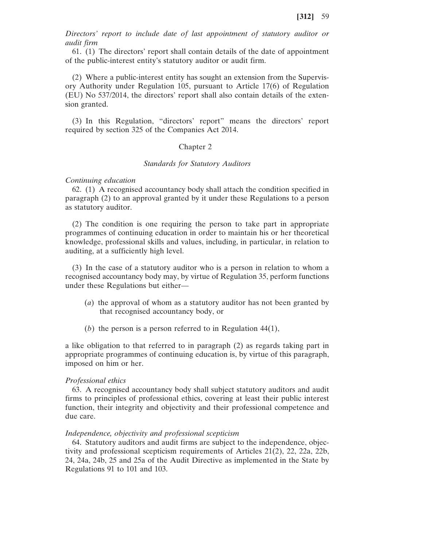*Directors' report to include date of last appointment of statutory auditor or audit firm*

61. (1) The directors' report shall contain details of the date of appointment of the public-interest entity's statutory auditor or audit firm.

(2) Where a public-interest entity has sought an extension from the Supervisory Authority under Regulation 105, pursuant to Article 17(6) of Regulation (EU) No 537/2014, the directors' report shall also contain details of the extension granted.

(3) In this Regulation, "directors' report" means the directors' report required by section 325 of the Companies Act 2014.

## Chapter 2

## *Standards for Statutory Auditors*

## *Continuing education*

62. (1) A recognised accountancy body shall attach the condition specified in paragraph (2) to an approval granted by it under these Regulations to a person as statutory auditor.

(2) The condition is one requiring the person to take part in appropriate programmes of continuing education in order to maintain his or her theoretical knowledge, professional skills and values, including, in particular, in relation to auditing, at a sufficiently high level.

(3) In the case of a statutory auditor who is a person in relation to whom a recognised accountancy body may, by virtue of Regulation 35, perform functions under these Regulations but either—

- (*a*) the approval of whom as a statutory auditor has not been granted by that recognised accountancy body, or
- (*b*) the person is a person referred to in Regulation 44(1),

a like obligation to that referred to in paragraph (2) as regards taking part in appropriate programmes of continuing education is, by virtue of this paragraph, imposed on him or her.

### *Professional ethics*

63. A recognised accountancy body shall subject statutory auditors and audit firms to principles of professional ethics, covering at least their public interest function, their integrity and objectivity and their professional competence and due care.

## *Independence, objectivity and professional scepticism*

64. Statutory auditors and audit firms are subject to the independence, objectivity and professional scepticism requirements of Articles 21(2), 22, 22a, 22b, 24, 24a, 24b, 25 and 25a of the Audit Directive as implemented in the State by Regulations 91 to 101 and 103.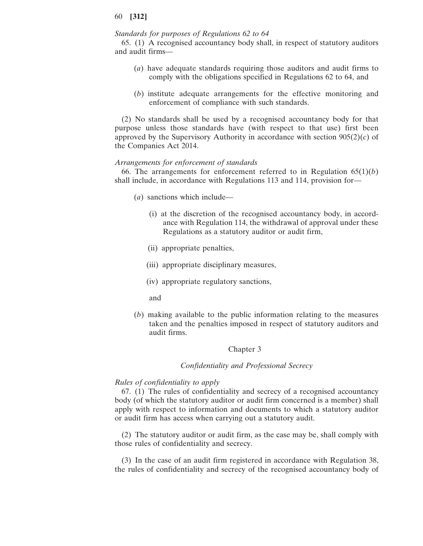# *Standards for purposes of Regulations 62 to 64*

65. (1) A recognised accountancy body shall, in respect of statutory auditors and audit firms—

- (*a*) have adequate standards requiring those auditors and audit firms to comply with the obligations specified in Regulations 62 to 64, and
- (*b*) institute adequate arrangements for the effective monitoring and enforcement of compliance with such standards.

(2) No standards shall be used by a recognised accountancy body for that purpose unless those standards have (with respect to that use) first been approved by the Supervisory Authority in accordance with section 905(2)(*c*) of the Companies Act 2014.

## *Arrangements for enforcement of standards*

66. The arrangements for enforcement referred to in Regulation  $65(1)(b)$ shall include, in accordance with Regulations 113 and 114, provision for—

- (*a*) sanctions which include—
	- (i) at the discretion of the recognised accountancy body, in accordance with Regulation 114, the withdrawal of approval under these Regulations as a statutory auditor or audit firm,
	- (ii) appropriate penalties,
	- (iii) appropriate disciplinary measures,
	- (iv) appropriate regulatory sanctions,
	- and
- (*b*) making available to the public information relating to the measures taken and the penalties imposed in respect of statutory auditors and audit firms.

## Chapter 3

## *Confidentiality and Professional Secrecy*

# *Rules of confidentiality to apply*

67. (1) The rules of confidentiality and secrecy of a recognised accountancy body (of which the statutory auditor or audit firm concerned is a member) shall apply with respect to information and documents to which a statutory auditor or audit firm has access when carrying out a statutory audit.

(2) The statutory auditor or audit firm, as the case may be, shall comply with those rules of confidentiality and secrecy.

(3) In the case of an audit firm registered in accordance with Regulation 38, the rules of confidentiality and secrecy of the recognised accountancy body of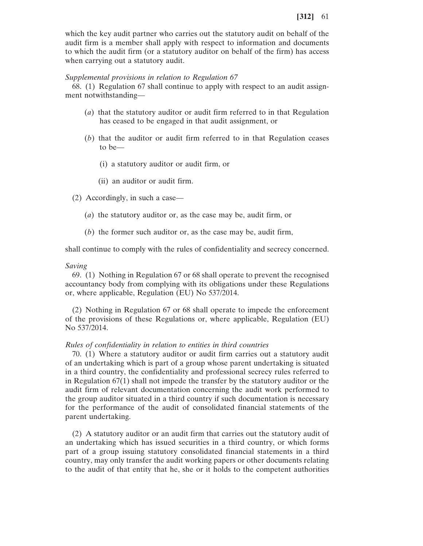which the key audit partner who carries out the statutory audit on behalf of the audit firm is a member shall apply with respect to information and documents to which the audit firm (or a statutory auditor on behalf of the firm) has access when carrying out a statutory audit.

## *Supplemental provisions in relation to Regulation 67*

68. (1) Regulation 67 shall continue to apply with respect to an audit assignment notwithstanding—

- (*a*) that the statutory auditor or audit firm referred to in that Regulation has ceased to be engaged in that audit assignment, or
- (*b*) that the auditor or audit firm referred to in that Regulation ceases to be—
	- (i) a statutory auditor or audit firm, or
	- (ii) an auditor or audit firm.
- (2) Accordingly, in such a case—
	- (*a*) the statutory auditor or, as the case may be, audit firm, or
	- (*b*) the former such auditor or, as the case may be, audit firm,

shall continue to comply with the rules of confidentiality and secrecy concerned.

## *Saving*

69. (1) Nothing in Regulation 67 or 68 shall operate to prevent the recognised accountancy body from complying with its obligations under these Regulations or, where applicable, Regulation (EU) No 537/2014.

(2) Nothing in Regulation 67 or 68 shall operate to impede the enforcement of the provisions of these Regulations or, where applicable, Regulation (EU) No 537/2014.

## *Rules of confidentiality in relation to entities in third countries*

70. (1) Where a statutory auditor or audit firm carries out a statutory audit of an undertaking which is part of a group whose parent undertaking is situated in a third country, the confidentiality and professional secrecy rules referred to in Regulation 67(1) shall not impede the transfer by the statutory auditor or the audit firm of relevant documentation concerning the audit work performed to the group auditor situated in a third country if such documentation is necessary for the performance of the audit of consolidated financial statements of the parent undertaking.

(2) A statutory auditor or an audit firm that carries out the statutory audit of an undertaking which has issued securities in a third country, or which forms part of a group issuing statutory consolidated financial statements in a third country, may only transfer the audit working papers or other documents relating to the audit of that entity that he, she or it holds to the competent authorities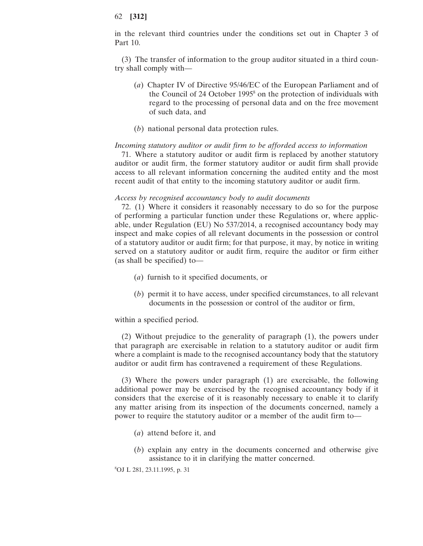in the relevant third countries under the conditions set out in Chapter 3 of Part 10.

(3) The transfer of information to the group auditor situated in a third country shall comply with—

- (*a*) Chapter IV of Directive 95/46/EC of the European Parliament and of the Council of 24 October 1995<sup>8</sup> on the protection of individuals with regard to the processing of personal data and on the free movement of such data, and
- (*b*) national personal data protection rules.

## *Incoming statutory auditor or audit firm to be afforded access to information*

71. Where a statutory auditor or audit firm is replaced by another statutory auditor or audit firm, the former statutory auditor or audit firm shall provide access to all relevant information concerning the audited entity and the most recent audit of that entity to the incoming statutory auditor or audit firm.

#### *Access by recognised accountancy body to audit documents*

72. (1) Where it considers it reasonably necessary to do so for the purpose of performing a particular function under these Regulations or, where applicable, under Regulation (EU) No 537/2014, a recognised accountancy body may inspect and make copies of all relevant documents in the possession or control of a statutory auditor or audit firm; for that purpose, it may, by notice in writing served on a statutory auditor or audit firm, require the auditor or firm either (as shall be specified) to—

- (*a*) furnish to it specified documents, or
- (*b*) permit it to have access, under specified circumstances, to all relevant documents in the possession or control of the auditor or firm,

within a specified period.

(2) Without prejudice to the generality of paragraph (1), the powers under that paragraph are exercisable in relation to a statutory auditor or audit firm where a complaint is made to the recognised accountancy body that the statutory auditor or audit firm has contravened a requirement of these Regulations.

(3) Where the powers under paragraph (1) are exercisable, the following additional power may be exercised by the recognised accountancy body if it considers that the exercise of it is reasonably necessary to enable it to clarify any matter arising from its inspection of the documents concerned, namely a power to require the statutory auditor or a member of the audit firm to—

- (*a*) attend before it, and
- (*b*) explain any entry in the documents concerned and otherwise give assistance to it in clarifying the matter concerned.

8 OJ L 281, 23.11.1995, p. 31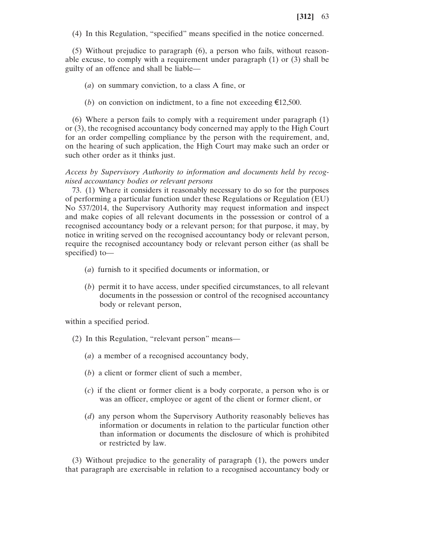(4) In this Regulation, "specified" means specified in the notice concerned.

(5) Without prejudice to paragraph (6), a person who fails, without reasonable excuse, to comply with a requirement under paragraph (1) or (3) shall be guilty of an offence and shall be liable—

- (*a*) on summary conviction, to a class A fine, or
- (*b*) on conviction on indictment, to a fine not exceeding  $\epsilon$ 12,500.

(6) Where a person fails to comply with a requirement under paragraph (1) or (3), the recognised accountancy body concerned may apply to the High Court for an order compelling compliance by the person with the requirement, and, on the hearing of such application, the High Court may make such an order or such other order as it thinks just.

*Access by Supervisory Authority to information and documents held by recognised accountancy bodies or relevant persons*

73. (1) Where it considers it reasonably necessary to do so for the purposes of performing a particular function under these Regulations or Regulation (EU) No 537/2014, the Supervisory Authority may request information and inspect and make copies of all relevant documents in the possession or control of a recognised accountancy body or a relevant person; for that purpose, it may, by notice in writing served on the recognised accountancy body or relevant person, require the recognised accountancy body or relevant person either (as shall be specified) to—

- (*a*) furnish to it specified documents or information, or
- (*b*) permit it to have access, under specified circumstances, to all relevant documents in the possession or control of the recognised accountancy body or relevant person,

within a specified period.

- (2) In this Regulation, "relevant person" means—
	- (*a*) a member of a recognised accountancy body,
	- (*b*) a client or former client of such a member,
	- (*c*) if the client or former client is a body corporate, a person who is or was an officer, employee or agent of the client or former client, or
	- (*d*) any person whom the Supervisory Authority reasonably believes has information or documents in relation to the particular function other than information or documents the disclosure of which is prohibited or restricted by law.

(3) Without prejudice to the generality of paragraph (1), the powers under that paragraph are exercisable in relation to a recognised accountancy body or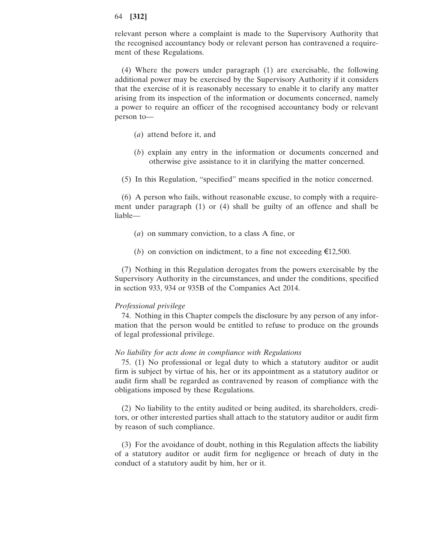relevant person where a complaint is made to the Supervisory Authority that the recognised accountancy body or relevant person has contravened a requirement of these Regulations.

(4) Where the powers under paragraph (1) are exercisable, the following additional power may be exercised by the Supervisory Authority if it considers that the exercise of it is reasonably necessary to enable it to clarify any matter arising from its inspection of the information or documents concerned, namely a power to require an officer of the recognised accountancy body or relevant person to—

- (*a*) attend before it, and
- (*b*) explain any entry in the information or documents concerned and otherwise give assistance to it in clarifying the matter concerned.
- (5) In this Regulation, "specified" means specified in the notice concerned.

(6) A person who fails, without reasonable excuse, to comply with a requirement under paragraph (1) or (4) shall be guilty of an offence and shall be liable—

- (*a*) on summary conviction, to a class A fine, or
- (*b*) on conviction on indictment, to a fine not exceeding  $\epsilon$ 12,500.

(7) Nothing in this Regulation derogates from the powers exercisable by the Supervisory Authority in the circumstances, and under the conditions, specified in section 933, 934 or 935B of the Companies Act 2014.

# *Professional privilege*

74. Nothing in this Chapter compels the disclosure by any person of any information that the person would be entitled to refuse to produce on the grounds of legal professional privilege.

# *No liability for acts done in compliance with Regulations*

75. (1) No professional or legal duty to which a statutory auditor or audit firm is subject by virtue of his, her or its appointment as a statutory auditor or audit firm shall be regarded as contravened by reason of compliance with the obligations imposed by these Regulations.

(2) No liability to the entity audited or being audited, its shareholders, creditors, or other interested parties shall attach to the statutory auditor or audit firm by reason of such compliance.

(3) For the avoidance of doubt, nothing in this Regulation affects the liability of a statutory auditor or audit firm for negligence or breach of duty in the conduct of a statutory audit by him, her or it.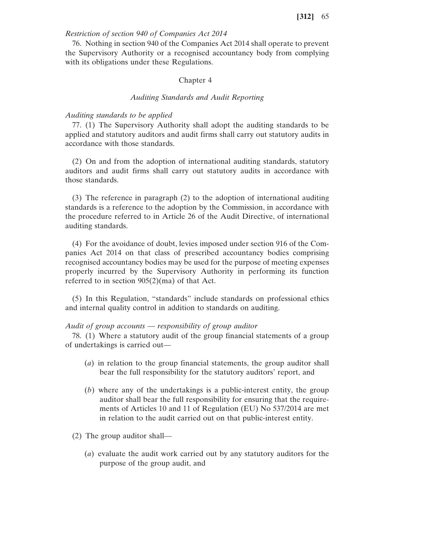# *Restriction of section 940 of Companies Act 2014*

76. Nothing in section 940 of the Companies Act 2014 shall operate to prevent the Supervisory Authority or a recognised accountancy body from complying with its obligations under these Regulations.

### Chapter 4

#### *Auditing Standards and Audit Reporting*

## *Auditing standards to be applied*

77. (1) The Supervisory Authority shall adopt the auditing standards to be applied and statutory auditors and audit firms shall carry out statutory audits in accordance with those standards.

(2) On and from the adoption of international auditing standards, statutory auditors and audit firms shall carry out statutory audits in accordance with those standards.

(3) The reference in paragraph (2) to the adoption of international auditing standards is a reference to the adoption by the Commission, in accordance with the procedure referred to in Article 26 of the Audit Directive, of international auditing standards.

(4) For the avoidance of doubt, levies imposed under section 916 of the Companies Act 2014 on that class of prescribed accountancy bodies comprising recognised accountancy bodies may be used for the purpose of meeting expenses properly incurred by the Supervisory Authority in performing its function referred to in section 905(2)(ma) of that Act.

(5) In this Regulation, "standards" include standards on professional ethics and internal quality control in addition to standards on auditing.

## *Audit of group accounts* — *responsibility of group auditor*

78. (1) Where a statutory audit of the group financial statements of a group of undertakings is carried out—

- (*a*) in relation to the group financial statements, the group auditor shall bear the full responsibility for the statutory auditors' report, and
- (*b*) where any of the undertakings is a public-interest entity, the group auditor shall bear the full responsibility for ensuring that the requirements of Articles 10 and 11 of Regulation (EU) No 537/2014 are met in relation to the audit carried out on that public-interest entity.
- (2) The group auditor shall—
	- (*a*) evaluate the audit work carried out by any statutory auditors for the purpose of the group audit, and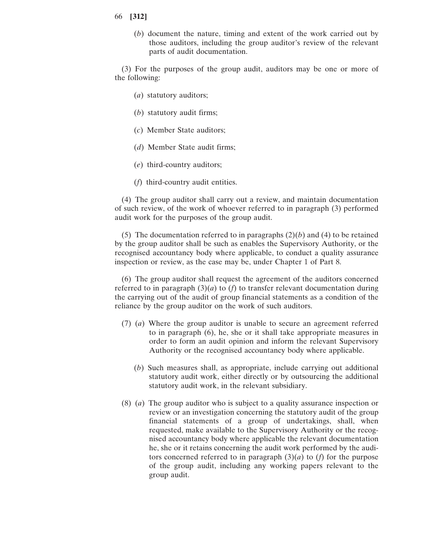(*b*) document the nature, timing and extent of the work carried out by those auditors, including the group auditor's review of the relevant parts of audit documentation.

(3) For the purposes of the group audit, auditors may be one or more of the following:

- (*a*) statutory auditors;
- (*b*) statutory audit firms;
- (*c*) Member State auditors;
- (*d*) Member State audit firms;
- (*e*) third-country auditors;
- (*f*) third-country audit entities.

(4) The group auditor shall carry out a review, and maintain documentation of such review, of the work of whoever referred to in paragraph (3) performed audit work for the purposes of the group audit.

(5) The documentation referred to in paragraphs  $(2)(b)$  and  $(4)$  to be retained by the group auditor shall be such as enables the Supervisory Authority, or the recognised accountancy body where applicable, to conduct a quality assurance inspection or review, as the case may be, under Chapter 1 of Part 8.

(6) The group auditor shall request the agreement of the auditors concerned referred to in paragraph  $(3)(a)$  to  $(f)$  to transfer relevant documentation during the carrying out of the audit of group financial statements as a condition of the reliance by the group auditor on the work of such auditors.

- (7) (*a*) Where the group auditor is unable to secure an agreement referred to in paragraph (6), he, she or it shall take appropriate measures in order to form an audit opinion and inform the relevant Supervisory Authority or the recognised accountancy body where applicable.
	- (*b*) Such measures shall, as appropriate, include carrying out additional statutory audit work, either directly or by outsourcing the additional statutory audit work, in the relevant subsidiary.
- (8) (*a*) The group auditor who is subject to a quality assurance inspection or review or an investigation concerning the statutory audit of the group financial statements of a group of undertakings, shall, when requested, make available to the Supervisory Authority or the recognised accountancy body where applicable the relevant documentation he, she or it retains concerning the audit work performed by the auditors concerned referred to in paragraph  $(3)(a)$  to  $(f)$  for the purpose of the group audit, including any working papers relevant to the group audit.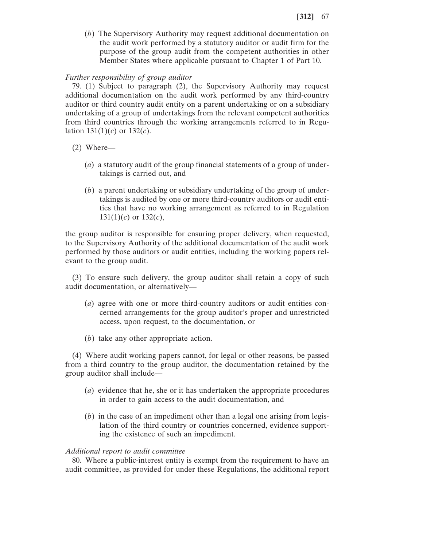(*b*) The Supervisory Authority may request additional documentation on the audit work performed by a statutory auditor or audit firm for the purpose of the group audit from the competent authorities in other Member States where applicable pursuant to Chapter 1 of Part 10.

# *Further responsibility of group auditor*

79. (1) Subject to paragraph (2), the Supervisory Authority may request additional documentation on the audit work performed by any third-country auditor or third country audit entity on a parent undertaking or on a subsidiary undertaking of a group of undertakings from the relevant competent authorities from third countries through the working arrangements referred to in Regulation  $131(1)(c)$  or  $132(c)$ .

- (2) Where—
	- (*a*) a statutory audit of the group financial statements of a group of undertakings is carried out, and
	- (*b*) a parent undertaking or subsidiary undertaking of the group of undertakings is audited by one or more third-country auditors or audit entities that have no working arrangement as referred to in Regulation 131(1)(*c*) or 132(*c*),

the group auditor is responsible for ensuring proper delivery, when requested, to the Supervisory Authority of the additional documentation of the audit work performed by those auditors or audit entities, including the working papers relevant to the group audit.

(3) To ensure such delivery, the group auditor shall retain a copy of such audit documentation, or alternatively—

- (*a*) agree with one or more third-country auditors or audit entities concerned arrangements for the group auditor's proper and unrestricted access, upon request, to the documentation, or
- (*b*) take any other appropriate action.

(4) Where audit working papers cannot, for legal or other reasons, be passed from a third country to the group auditor, the documentation retained by the group auditor shall include—

- (*a*) evidence that he, she or it has undertaken the appropriate procedures in order to gain access to the audit documentation, and
- (*b*) in the case of an impediment other than a legal one arising from legislation of the third country or countries concerned, evidence supporting the existence of such an impediment.

# *Additional report to audit committee*

80. Where a public-interest entity is exempt from the requirement to have an audit committee, as provided for under these Regulations, the additional report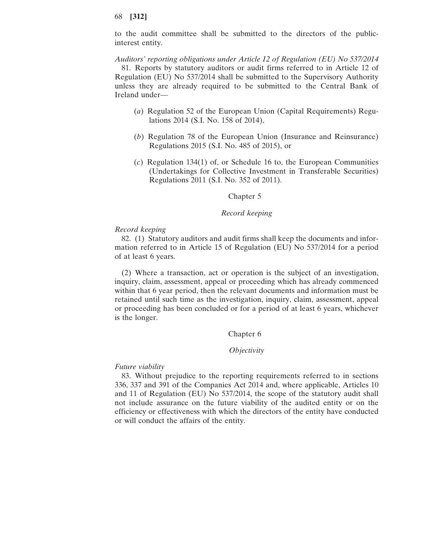to the audit committee shall be submitted to the directors of the publicinterest entity.

*Auditors' reporting obligations under Article 12 of Regulation (EU) No 537/2014* 81. Reports by statutory auditors or audit firms referred to in Article 12 of Regulation (EU) No 537/2014 shall be submitted to the Supervisory Authority unless they are already required to be submitted to the Central Bank of Ireland under—

- (*a*) Regulation 52 of the European Union (Capital Requirements) Regulations 2014 (S.I. No. 158 of 2014),
- (*b*) Regulation 78 of the European Union (Insurance and Reinsurance) Regulations 2015 (S.I. No. 485 of 2015), or
- (*c*) Regulation 134(1) of, or Schedule 16 to, the European Communities (Undertakings for Collective Investment in Transferable Securities) Regulations 2011 (S.I. No. 352 of 2011).

## Chapter 5

# *Record keeping*

## *Record keeping*

82. (1) Statutory auditors and audit firms shall keep the documents and information referred to in Article 15 of Regulation (EU) No 537/2014 for a period of at least 6 years.

(2) Where a transaction, act or operation is the subject of an investigation, inquiry, claim, assessment, appeal or proceeding which has already commenced within that 6 year period, then the relevant documents and information must be retained until such time as the investigation, inquiry, claim, assessment, appeal or proceeding has been concluded or for a period of at least 6 years, whichever is the longer.

# Chapter 6

#### *Objectivity*

### *Future viability*

83. Without prejudice to the reporting requirements referred to in sections 336, 337 and 391 of the Companies Act 2014 and, where applicable, Articles 10 and 11 of Regulation (EU) No 537/2014, the scope of the statutory audit shall not include assurance on the future viability of the audited entity or on the efficiency or effectiveness with which the directors of the entity have conducted or will conduct the affairs of the entity.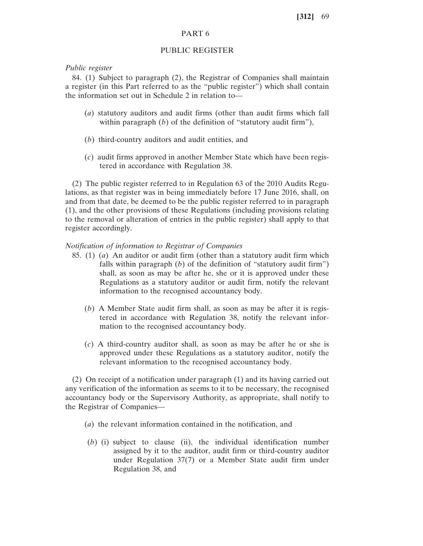# PART 6

# PUBLIC REGISTER

# *Public register*

84. (1) Subject to paragraph (2), the Registrar of Companies shall maintain a register (in this Part referred to as the "public register") which shall contain the information set out in Schedule 2 in relation to—

- (*a*) statutory auditors and audit firms (other than audit firms which fall within paragraph (*b*) of the definition of "statutory audit firm"),
- (*b*) third-country auditors and audit entities, and
- (*c*) audit firms approved in another Member State which have been registered in accordance with Regulation 38.

(2) The public register referred to in Regulation 63 of the 2010 Audits Regulations, as that register was in being immediately before 17 June 2016, shall, on and from that date, be deemed to be the public register referred to in paragraph (1), and the other provisions of these Regulations (including provisions relating to the removal or alteration of entries in the public register) shall apply to that register accordingly.

*Notification of information to Registrar of Companies*

- 85. (1) (*a*) An auditor or audit firm (other than a statutory audit firm which falls within paragraph (*b*) of the definition of "statutory audit firm") shall, as soon as may be after he, she or it is approved under these Regulations as a statutory auditor or audit firm, notify the relevant information to the recognised accountancy body.
	- (*b*) A Member State audit firm shall, as soon as may be after it is registered in accordance with Regulation 38, notify the relevant information to the recognised accountancy body.
	- (*c*) A third-country auditor shall, as soon as may be after he or she is approved under these Regulations as a statutory auditor, notify the relevant information to the recognised accountancy body.

(2) On receipt of a notification under paragraph (1) and its having carried out any verification of the information as seems to it to be necessary, the recognised accountancy body or the Supervisory Authority, as appropriate, shall notify to the Registrar of Companies—

- (*a*) the relevant information contained in the notification, and
- (*b*) (i) subject to clause (ii), the individual identification number assigned by it to the auditor, audit firm or third-country auditor under Regulation 37(7) or a Member State audit firm under Regulation 38, and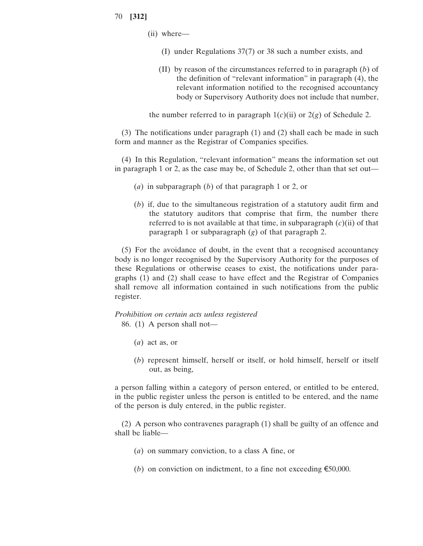- (ii) where—
	- (I) under Regulations 37(7) or 38 such a number exists, and
	- (II) by reason of the circumstances referred to in paragraph (*b*) of the definition of "relevant information" in paragraph (4), the relevant information notified to the recognised accountancy body or Supervisory Authority does not include that number,

the number referred to in paragraph  $1(c)(ii)$  or  $2(g)$  of Schedule 2.

(3) The notifications under paragraph (1) and (2) shall each be made in such form and manner as the Registrar of Companies specifies.

(4) In this Regulation, "relevant information" means the information set out in paragraph 1 or 2, as the case may be, of Schedule 2, other than that set out—

- (*a*) in subparagraph (*b*) of that paragraph 1 or 2, or
- (*b*) if, due to the simultaneous registration of a statutory audit firm and the statutory auditors that comprise that firm, the number there referred to is not available at that time, in subparagraph (*c*)(ii) of that paragraph 1 or subparagraph (*g*) of that paragraph 2.

(5) For the avoidance of doubt, in the event that a recognised accountancy body is no longer recognised by the Supervisory Authority for the purposes of these Regulations or otherwise ceases to exist, the notifications under paragraphs (1) and (2) shall cease to have effect and the Registrar of Companies shall remove all information contained in such notifications from the public register.

*Prohibition on certain acts unless registered* 86. (1) A person shall not—

- (*a*) act as, or
- (*b*) represent himself, herself or itself, or hold himself, herself or itself out, as being,

a person falling within a category of person entered, or entitled to be entered, in the public register unless the person is entitled to be entered, and the name of the person is duly entered, in the public register.

(2) A person who contravenes paragraph (1) shall be guilty of an offence and shall be liable—

- (*a*) on summary conviction, to a class A fine, or
- (*b*) on conviction on indictment, to a fine not exceeding  $\epsilon$ 50,000.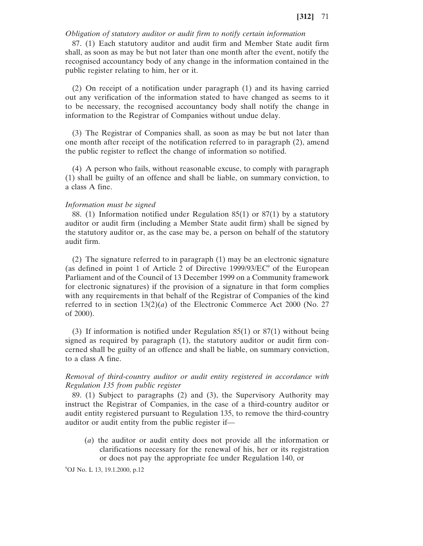## *Obligation of statutory auditor or audit firm to notify certain information*

87. (1) Each statutory auditor and audit firm and Member State audit firm shall, as soon as may be but not later than one month after the event, notify the recognised accountancy body of any change in the information contained in the public register relating to him, her or it.

(2) On receipt of a notification under paragraph (1) and its having carried out any verification of the information stated to have changed as seems to it to be necessary, the recognised accountancy body shall notify the change in information to the Registrar of Companies without undue delay.

(3) The Registrar of Companies shall, as soon as may be but not later than one month after receipt of the notification referred to in paragraph (2), amend the public register to reflect the change of information so notified.

(4) A person who fails, without reasonable excuse, to comply with paragraph (1) shall be guilty of an offence and shall be liable, on summary conviction, to a class A fine.

# *Information must be signed*

88. (1) Information notified under Regulation 85(1) or 87(1) by a statutory auditor or audit firm (including a Member State audit firm) shall be signed by the statutory auditor or, as the case may be, a person on behalf of the statutory audit firm.

(2) The signature referred to in paragraph (1) may be an electronic signature (as defined in point 1 of Article 2 of Directive  $1999/93/EC^9$  of the European Parliament and of the Council of 13 December 1999 on a Community framework for electronic signatures) if the provision of a signature in that form complies with any requirements in that behalf of the Registrar of Companies of the kind referred to in section  $13(2)(a)$  of the Electronic Commerce Act 2000 (No. 27) of 2000).

(3) If information is notified under Regulation 85(1) or 87(1) without being signed as required by paragraph (1), the statutory auditor or audit firm concerned shall be guilty of an offence and shall be liable, on summary conviction, to a class A fine.

*Removal of third-country auditor or audit entity registered in accordance with Regulation 135 from public register*

89. (1) Subject to paragraphs (2) and (3), the Supervisory Authority may instruct the Registrar of Companies, in the case of a third-country auditor or audit entity registered pursuant to Regulation 135, to remove the third-country auditor or audit entity from the public register if—

(*a*) the auditor or audit entity does not provide all the information or clarifications necessary for the renewal of his, her or its registration or does not pay the appropriate fee under Regulation 140, or

9 OJ No. L 13, 19.1.2000, p.12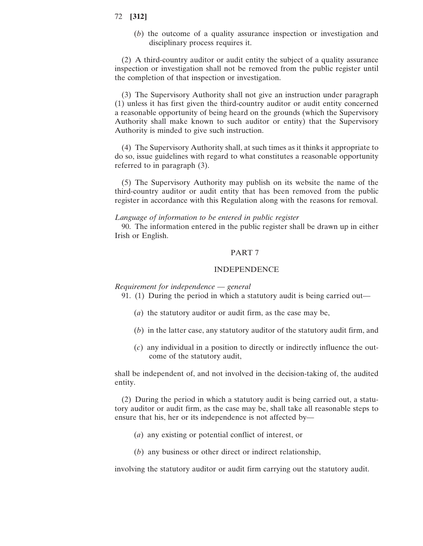(*b*) the outcome of a quality assurance inspection or investigation and disciplinary process requires it.

(2) A third-country auditor or audit entity the subject of a quality assurance inspection or investigation shall not be removed from the public register until the completion of that inspection or investigation.

(3) The Supervisory Authority shall not give an instruction under paragraph (1) unless it has first given the third-country auditor or audit entity concerned a reasonable opportunity of being heard on the grounds (which the Supervisory Authority shall make known to such auditor or entity) that the Supervisory Authority is minded to give such instruction.

(4) The Supervisory Authority shall, at such times as it thinks it appropriate to do so, issue guidelines with regard to what constitutes a reasonable opportunity referred to in paragraph (3).

(5) The Supervisory Authority may publish on its website the name of the third-country auditor or audit entity that has been removed from the public register in accordance with this Regulation along with the reasons for removal.

# *Language of information to be entered in public register*

90. The information entered in the public register shall be drawn up in either Irish or English.

#### PART 7

## INDEPENDENCE

*Requirement for independence* — *general*

91. (1) During the period in which a statutory audit is being carried out—

- (*a*) the statutory auditor or audit firm, as the case may be,
- (*b*) in the latter case, any statutory auditor of the statutory audit firm, and
- (*c*) any individual in a position to directly or indirectly influence the outcome of the statutory audit,

shall be independent of, and not involved in the decision-taking of, the audited entity.

(2) During the period in which a statutory audit is being carried out, a statutory auditor or audit firm, as the case may be, shall take all reasonable steps to ensure that his, her or its independence is not affected by—

- (*a*) any existing or potential conflict of interest, or
- (*b*) any business or other direct or indirect relationship,

involving the statutory auditor or audit firm carrying out the statutory audit.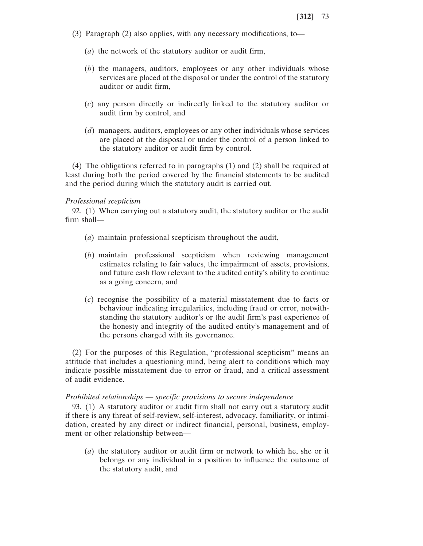- (3) Paragraph (2) also applies, with any necessary modifications, to—
	- (*a*) the network of the statutory auditor or audit firm,
	- (*b*) the managers, auditors, employees or any other individuals whose services are placed at the disposal or under the control of the statutory auditor or audit firm,
	- (*c*) any person directly or indirectly linked to the statutory auditor or audit firm by control, and
	- (*d*) managers, auditors, employees or any other individuals whose services are placed at the disposal or under the control of a person linked to the statutory auditor or audit firm by control.

(4) The obligations referred to in paragraphs (1) and (2) shall be required at least during both the period covered by the financial statements to be audited and the period during which the statutory audit is carried out.

#### *Professional scepticism*

92. (1) When carrying out a statutory audit, the statutory auditor or the audit firm shall—

- (*a*) maintain professional scepticism throughout the audit,
- (*b*) maintain professional scepticism when reviewing management estimates relating to fair values, the impairment of assets, provisions, and future cash flow relevant to the audited entity's ability to continue as a going concern, and
- (*c*) recognise the possibility of a material misstatement due to facts or behaviour indicating irregularities, including fraud or error, notwithstanding the statutory auditor's or the audit firm's past experience of the honesty and integrity of the audited entity's management and of the persons charged with its governance.

(2) For the purposes of this Regulation, "professional scepticism" means an attitude that includes a questioning mind, being alert to conditions which may indicate possible misstatement due to error or fraud, and a critical assessment of audit evidence.

#### *Prohibited relationships* — *specific provisions to secure independence*

93. (1) A statutory auditor or audit firm shall not carry out a statutory audit if there is any threat of self-review, self-interest, advocacy, familiarity, or intimidation, created by any direct or indirect financial, personal, business, employment or other relationship between—

(*a*) the statutory auditor or audit firm or network to which he, she or it belongs or any individual in a position to influence the outcome of the statutory audit, and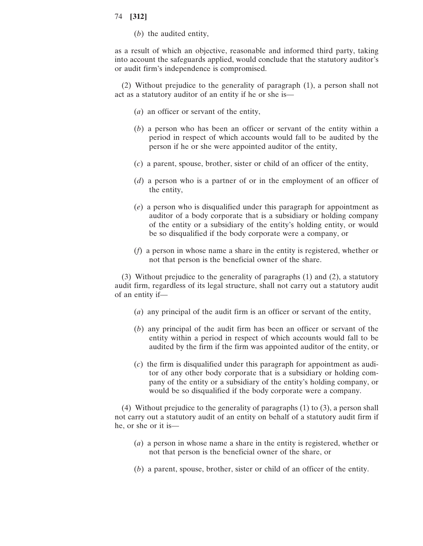(*b*) the audited entity,

as a result of which an objective, reasonable and informed third party, taking into account the safeguards applied, would conclude that the statutory auditor's or audit firm's independence is compromised.

(2) Without prejudice to the generality of paragraph (1), a person shall not act as a statutory auditor of an entity if he or she is—

- (*a*) an officer or servant of the entity,
- (*b*) a person who has been an officer or servant of the entity within a period in respect of which accounts would fall to be audited by the person if he or she were appointed auditor of the entity,
- (*c*) a parent, spouse, brother, sister or child of an officer of the entity,
- (*d*) a person who is a partner of or in the employment of an officer of the entity,
- (*e*) a person who is disqualified under this paragraph for appointment as auditor of a body corporate that is a subsidiary or holding company of the entity or a subsidiary of the entity's holding entity, or would be so disqualified if the body corporate were a company, or
- (*f*) a person in whose name a share in the entity is registered, whether or not that person is the beneficial owner of the share.

(3) Without prejudice to the generality of paragraphs (1) and (2), a statutory audit firm, regardless of its legal structure, shall not carry out a statutory audit of an entity if—

- (*a*) any principal of the audit firm is an officer or servant of the entity,
- (*b*) any principal of the audit firm has been an officer or servant of the entity within a period in respect of which accounts would fall to be audited by the firm if the firm was appointed auditor of the entity, or
- (*c*) the firm is disqualified under this paragraph for appointment as auditor of any other body corporate that is a subsidiary or holding company of the entity or a subsidiary of the entity's holding company, or would be so disqualified if the body corporate were a company.

(4) Without prejudice to the generality of paragraphs (1) to (3), a person shall not carry out a statutory audit of an entity on behalf of a statutory audit firm if he, or she or it is—

- (*a*) a person in whose name a share in the entity is registered, whether or not that person is the beneficial owner of the share, or
- (*b*) a parent, spouse, brother, sister or child of an officer of the entity.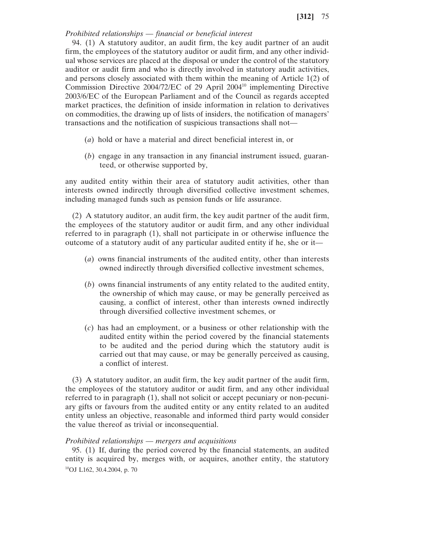# *Prohibited relationships* — *financial or beneficial interest*

94. (1) A statutory auditor, an audit firm, the key audit partner of an audit firm, the employees of the statutory auditor or audit firm, and any other individual whose services are placed at the disposal or under the control of the statutory auditor or audit firm and who is directly involved in statutory audit activities, and persons closely associated with them within the meaning of Article 1(2) of Commission Directive 2004/72/EC of 29 April 200410 implementing Directive 2003/6/EC of the European Parliament and of the Council as regards accepted market practices, the definition of inside information in relation to derivatives on commodities, the drawing up of lists of insiders, the notification of managers' transactions and the notification of suspicious transactions shall not—

- (*a*) hold or have a material and direct beneficial interest in, or
- (*b*) engage in any transaction in any financial instrument issued, guaranteed, or otherwise supported by,

any audited entity within their area of statutory audit activities, other than interests owned indirectly through diversified collective investment schemes, including managed funds such as pension funds or life assurance.

(2) A statutory auditor, an audit firm, the key audit partner of the audit firm, the employees of the statutory auditor or audit firm, and any other individual referred to in paragraph (1), shall not participate in or otherwise influence the outcome of a statutory audit of any particular audited entity if he, she or it—

- (*a*) owns financial instruments of the audited entity, other than interests owned indirectly through diversified collective investment schemes,
- (*b*) owns financial instruments of any entity related to the audited entity, the ownership of which may cause, or may be generally perceived as causing, a conflict of interest, other than interests owned indirectly through diversified collective investment schemes, or
- (*c*) has had an employment, or a business or other relationship with the audited entity within the period covered by the financial statements to be audited and the period during which the statutory audit is carried out that may cause, or may be generally perceived as causing, a conflict of interest.

(3) A statutory auditor, an audit firm, the key audit partner of the audit firm, the employees of the statutory auditor or audit firm, and any other individual referred to in paragraph (1), shall not solicit or accept pecuniary or non-pecuniary gifts or favours from the audited entity or any entity related to an audited entity unless an objective, reasonable and informed third party would consider the value thereof as trivial or inconsequential.

## *Prohibited relationships* — *mergers and acquisitions*

95. (1) If, during the period covered by the financial statements, an audited entity is acquired by, merges with, or acquires, another entity, the statutory 10OJ L162, 30.4.2004, p. 70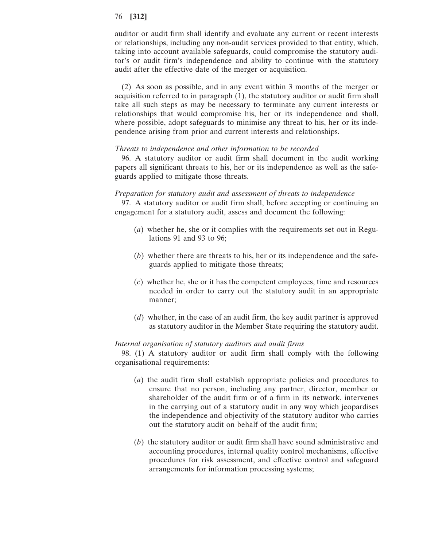auditor or audit firm shall identify and evaluate any current or recent interests or relationships, including any non-audit services provided to that entity, which, taking into account available safeguards, could compromise the statutory auditor's or audit firm's independence and ability to continue with the statutory audit after the effective date of the merger or acquisition.

(2) As soon as possible, and in any event within 3 months of the merger or acquisition referred to in paragraph  $(1)$ , the statutory auditor or audit firm shall take all such steps as may be necessary to terminate any current interests or relationships that would compromise his, her or its independence and shall, where possible, adopt safeguards to minimise any threat to his, her or its independence arising from prior and current interests and relationships.

#### *Threats to independence and other information to be recorded*

96. A statutory auditor or audit firm shall document in the audit working papers all significant threats to his, her or its independence as well as the safeguards applied to mitigate those threats.

## *Preparation for statutory audit and assessment of threats to independence*

97. A statutory auditor or audit firm shall, before accepting or continuing an engagement for a statutory audit, assess and document the following:

- (*a*) whether he, she or it complies with the requirements set out in Regulations 91 and 93 to 96;
- (*b*) whether there are threats to his, her or its independence and the safeguards applied to mitigate those threats;
- (*c*) whether he, she or it has the competent employees, time and resources needed in order to carry out the statutory audit in an appropriate manner;
- (*d*) whether, in the case of an audit firm, the key audit partner is approved as statutory auditor in the Member State requiring the statutory audit.

#### *Internal organisation of statutory auditors and audit firms*

98. (1) A statutory auditor or audit firm shall comply with the following organisational requirements:

- (*a*) the audit firm shall establish appropriate policies and procedures to ensure that no person, including any partner, director, member or shareholder of the audit firm or of a firm in its network, intervenes in the carrying out of a statutory audit in any way which jeopardises the independence and objectivity of the statutory auditor who carries out the statutory audit on behalf of the audit firm;
- (*b*) the statutory auditor or audit firm shall have sound administrative and accounting procedures, internal quality control mechanisms, effective procedures for risk assessment, and effective control and safeguard arrangements for information processing systems;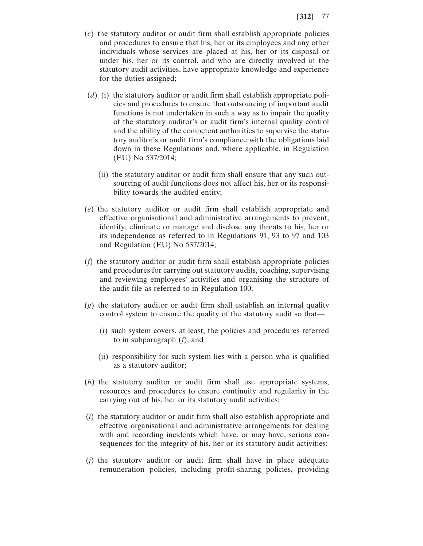- (*c*) the statutory auditor or audit firm shall establish appropriate policies and procedures to ensure that his, her or its employees and any other individuals whose services are placed at his, her or its disposal or under his, her or its control, and who are directly involved in the statutory audit activities, have appropriate knowledge and experience for the duties assigned;
- (*d*) (i) the statutory auditor or audit firm shall establish appropriate policies and procedures to ensure that outsourcing of important audit functions is not undertaken in such a way as to impair the quality of the statutory auditor's or audit firm's internal quality control and the ability of the competent authorities to supervise the statutory auditor's or audit firm's compliance with the obligations laid down in these Regulations and, where applicable, in Regulation (EU) No 537/2014;
	- (ii) the statutory auditor or audit firm shall ensure that any such outsourcing of audit functions does not affect his, her or its responsibility towards the audited entity;
- (*e*) the statutory auditor or audit firm shall establish appropriate and effective organisational and administrative arrangements to prevent, identify, eliminate or manage and disclose any threats to his, her or its independence as referred to in Regulations 91, 93 to 97 and 103 and Regulation (EU) No 537/2014;
- (*f*) the statutory auditor or audit firm shall establish appropriate policies and procedures for carrying out statutory audits, coaching, supervising and reviewing employees' activities and organising the structure of the audit file as referred to in Regulation 100;
- (*g*) the statutory auditor or audit firm shall establish an internal quality control system to ensure the quality of the statutory audit so that—
	- (i) such system covers, at least, the policies and procedures referred to in subparagraph (*f*), and
	- (ii) responsibility for such system lies with a person who is qualified as a statutory auditor;
- (*h*) the statutory auditor or audit firm shall use appropriate systems, resources and procedures to ensure continuity and regularity in the carrying out of his, her or its statutory audit activities;
- (*i*) the statutory auditor or audit firm shall also establish appropriate and effective organisational and administrative arrangements for dealing with and recording incidents which have, or may have, serious consequences for the integrity of his, her or its statutory audit activities;
- (*j*) the statutory auditor or audit firm shall have in place adequate remuneration policies, including profit-sharing policies, providing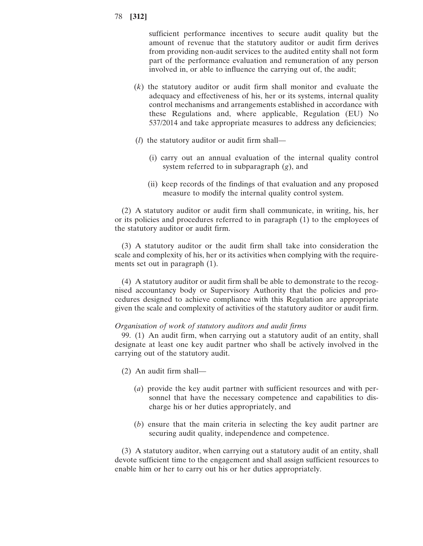sufficient performance incentives to secure audit quality but the amount of revenue that the statutory auditor or audit firm derives from providing non-audit services to the audited entity shall not form part of the performance evaluation and remuneration of any person involved in, or able to influence the carrying out of, the audit;

- (*k*) the statutory auditor or audit firm shall monitor and evaluate the adequacy and effectiveness of his, her or its systems, internal quality control mechanisms and arrangements established in accordance with these Regulations and, where applicable, Regulation (EU) No 537/2014 and take appropriate measures to address any deficiencies;
- (*l*) the statutory auditor or audit firm shall—
	- (i) carry out an annual evaluation of the internal quality control system referred to in subparagraph (*g*), and
	- (ii) keep records of the findings of that evaluation and any proposed measure to modify the internal quality control system.

(2) A statutory auditor or audit firm shall communicate, in writing, his, her or its policies and procedures referred to in paragraph (1) to the employees of the statutory auditor or audit firm.

(3) A statutory auditor or the audit firm shall take into consideration the scale and complexity of his, her or its activities when complying with the requirements set out in paragraph (1).

(4) A statutory auditor or audit firm shall be able to demonstrate to the recognised accountancy body or Supervisory Authority that the policies and procedures designed to achieve compliance with this Regulation are appropriate given the scale and complexity of activities of the statutory auditor or audit firm.

# *Organisation of work of statutory auditors and audit firms*

99. (1) An audit firm, when carrying out a statutory audit of an entity, shall designate at least one key audit partner who shall be actively involved in the carrying out of the statutory audit.

- (2) An audit firm shall—
	- (*a*) provide the key audit partner with sufficient resources and with personnel that have the necessary competence and capabilities to discharge his or her duties appropriately, and
	- (*b*) ensure that the main criteria in selecting the key audit partner are securing audit quality, independence and competence.

(3) A statutory auditor, when carrying out a statutory audit of an entity, shall devote sufficient time to the engagement and shall assign sufficient resources to enable him or her to carry out his or her duties appropriately.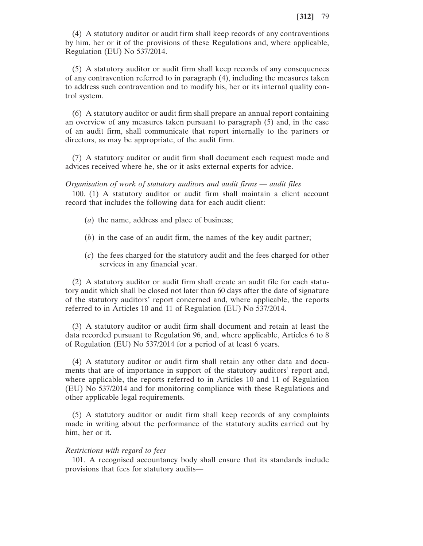(4) A statutory auditor or audit firm shall keep records of any contraventions by him, her or it of the provisions of these Regulations and, where applicable, Regulation (EU) No 537/2014.

(5) A statutory auditor or audit firm shall keep records of any consequences of any contravention referred to in paragraph (4), including the measures taken to address such contravention and to modify his, her or its internal quality control system.

(6) A statutory auditor or audit firm shall prepare an annual report containing an overview of any measures taken pursuant to paragraph (5) and, in the case of an audit firm, shall communicate that report internally to the partners or directors, as may be appropriate, of the audit firm.

(7) A statutory auditor or audit firm shall document each request made and advices received where he, she or it asks external experts for advice.

*Organisation of work of statutory auditors and audit firms* — *audit files*

100. (1) A statutory auditor or audit firm shall maintain a client account record that includes the following data for each audit client:

- (*a*) the name, address and place of business;
- (*b*) in the case of an audit firm, the names of the key audit partner;
- (*c*) the fees charged for the statutory audit and the fees charged for other services in any financial year.

(2) A statutory auditor or audit firm shall create an audit file for each statutory audit which shall be closed not later than 60 days after the date of signature of the statutory auditors' report concerned and, where applicable, the reports referred to in Articles 10 and 11 of Regulation (EU) No 537/2014.

(3) A statutory auditor or audit firm shall document and retain at least the data recorded pursuant to Regulation 96, and, where applicable, Articles 6 to 8 of Regulation (EU) No 537/2014 for a period of at least 6 years.

(4) A statutory auditor or audit firm shall retain any other data and documents that are of importance in support of the statutory auditors' report and, where applicable, the reports referred to in Articles 10 and 11 of Regulation (EU) No 537/2014 and for monitoring compliance with these Regulations and other applicable legal requirements.

(5) A statutory auditor or audit firm shall keep records of any complaints made in writing about the performance of the statutory audits carried out by him, her or it.

#### *Restrictions with regard to fees*

101. A recognised accountancy body shall ensure that its standards include provisions that fees for statutory audits—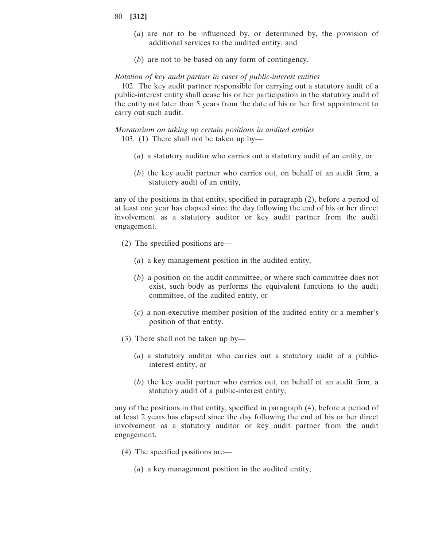- 80 **[312]**
	- (*a*) are not to be influenced by, or determined by, the provision of additional services to the audited entity, and
	- (*b*) are not to be based on any form of contingency.

#### *Rotation of key audit partner in cases of public-interest entities*

102. The key audit partner responsible for carrying out a statutory audit of a public-interest entity shall cease his or her participation in the statutory audit of the entity not later than 5 years from the date of his or her first appointment to carry out such audit.

*Moratorium on taking up certain positions in audited entities* 103. (1) There shall not be taken up by—

- (*a*) a statutory auditor who carries out a statutory audit of an entity, or
- (*b*) the key audit partner who carries out, on behalf of an audit firm, a statutory audit of an entity,

any of the positions in that entity, specified in paragraph (2), before a period of at least one year has elapsed since the day following the end of his or her direct involvement as a statutory auditor or key audit partner from the audit engagement.

- (2) The specified positions are—
	- (*a*) a key management position in the audited entity,
	- (*b*) a position on the audit committee, or where such committee does not exist, such body as performs the equivalent functions to the audit committee, of the audited entity, or
	- (*c*) a non-executive member position of the audited entity or a member's position of that entity.
- (3) There shall not be taken up by—
	- (*a*) a statutory auditor who carries out a statutory audit of a publicinterest entity, or
	- (*b*) the key audit partner who carries out, on behalf of an audit firm, a statutory audit of a public-interest entity,

any of the positions in that entity, specified in paragraph (4), before a period of at least 2 years has elapsed since the day following the end of his or her direct involvement as a statutory auditor or key audit partner from the audit engagement.

- (4) The specified positions are—
	- (*a*) a key management position in the audited entity,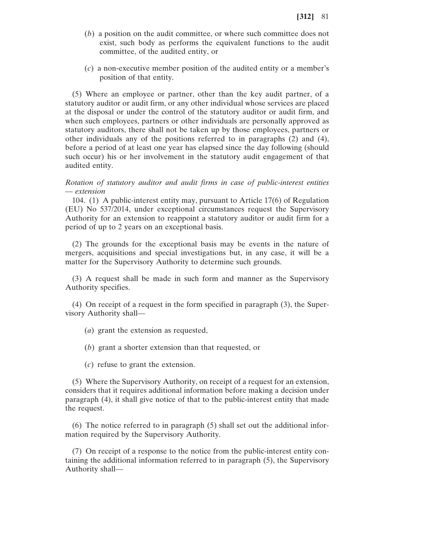- (*b*) a position on the audit committee, or where such committee does not exist, such body as performs the equivalent functions to the audit committee, of the audited entity, or
- (*c*) a non-executive member position of the audited entity or a member's position of that entity.

(5) Where an employee or partner, other than the key audit partner, of a statutory auditor or audit firm, or any other individual whose services are placed at the disposal or under the control of the statutory auditor or audit firm, and when such employees, partners or other individuals are personally approved as statutory auditors, there shall not be taken up by those employees, partners or other individuals any of the positions referred to in paragraphs (2) and (4), before a period of at least one year has elapsed since the day following (should such occur) his or her involvement in the statutory audit engagement of that audited entity.

*Rotation of statutory auditor and audit firms in case of public-interest entities* — *extension*

104. (1) A public-interest entity may, pursuant to Article 17(6) of Regulation (EU) No 537/2014, under exceptional circumstances request the Supervisory Authority for an extension to reappoint a statutory auditor or audit firm for a period of up to 2 years on an exceptional basis.

(2) The grounds for the exceptional basis may be events in the nature of mergers, acquisitions and special investigations but, in any case, it will be a matter for the Supervisory Authority to determine such grounds.

(3) A request shall be made in such form and manner as the Supervisory Authority specifies.

(4) On receipt of a request in the form specified in paragraph (3), the Supervisory Authority shall—

(*a*) grant the extension as requested,

(*b*) grant a shorter extension than that requested, or

(*c*) refuse to grant the extension.

(5) Where the Supervisory Authority, on receipt of a request for an extension, considers that it requires additional information before making a decision under paragraph (4), it shall give notice of that to the public-interest entity that made the request.

(6) The notice referred to in paragraph (5) shall set out the additional information required by the Supervisory Authority.

(7) On receipt of a response to the notice from the public-interest entity containing the additional information referred to in paragraph (5), the Supervisory Authority shall—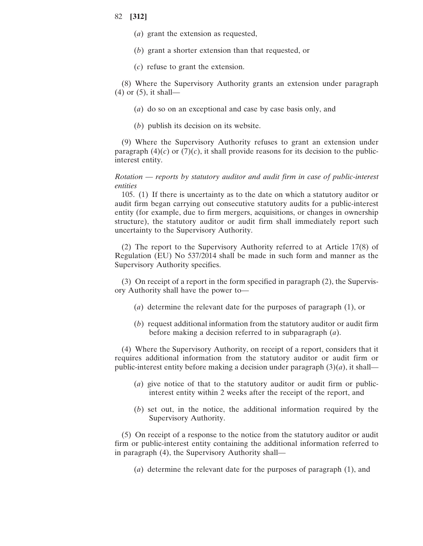- (*a*) grant the extension as requested,
- (*b*) grant a shorter extension than that requested, or
- (*c*) refuse to grant the extension.

(8) Where the Supervisory Authority grants an extension under paragraph (4) or (5), it shall—

- (*a*) do so on an exceptional and case by case basis only, and
- (*b*) publish its decision on its website.

(9) Where the Supervisory Authority refuses to grant an extension under paragraph  $(4)(c)$  or  $(7)(c)$ , it shall provide reasons for its decision to the publicinterest entity.

*Rotation* — *reports by statutory auditor and audit firm in case of public-interest entities*

105. (1) If there is uncertainty as to the date on which a statutory auditor or audit firm began carrying out consecutive statutory audits for a public-interest entity (for example, due to firm mergers, acquisitions, or changes in ownership structure), the statutory auditor or audit firm shall immediately report such uncertainty to the Supervisory Authority.

(2) The report to the Supervisory Authority referred to at Article 17(8) of Regulation (EU) No 537/2014 shall be made in such form and manner as the Supervisory Authority specifies.

(3) On receipt of a report in the form specified in paragraph (2), the Supervisory Authority shall have the power to—

- (*a*) determine the relevant date for the purposes of paragraph (1), or
- (*b*) request additional information from the statutory auditor or audit firm before making a decision referred to in subparagraph (*a*).

(4) Where the Supervisory Authority, on receipt of a report, considers that it requires additional information from the statutory auditor or audit firm or public-interest entity before making a decision under paragraph  $(3)(a)$ , it shall—

- (*a*) give notice of that to the statutory auditor or audit firm or publicinterest entity within 2 weeks after the receipt of the report, and
- (*b*) set out, in the notice, the additional information required by the Supervisory Authority.

(5) On receipt of a response to the notice from the statutory auditor or audit firm or public-interest entity containing the additional information referred to in paragraph (4), the Supervisory Authority shall—

(*a*) determine the relevant date for the purposes of paragraph (1), and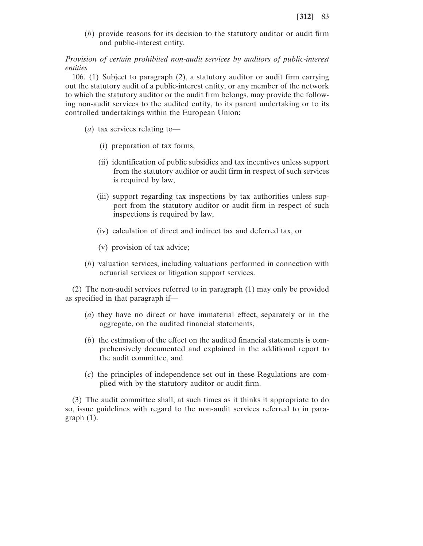(*b*) provide reasons for its decision to the statutory auditor or audit firm and public-interest entity.

# *Provision of certain prohibited non-audit services by auditors of public-interest entities*

106. (1) Subject to paragraph  $(2)$ , a statutory auditor or audit firm carrying out the statutory audit of a public-interest entity, or any member of the network to which the statutory auditor or the audit firm belongs, may provide the following non-audit services to the audited entity, to its parent undertaking or to its controlled undertakings within the European Union:

- (*a*) tax services relating to—
	- (i) preparation of tax forms,
	- (ii) identification of public subsidies and tax incentives unless support from the statutory auditor or audit firm in respect of such services is required by law,
	- (iii) support regarding tax inspections by tax authorities unless support from the statutory auditor or audit firm in respect of such inspections is required by law,
	- (iv) calculation of direct and indirect tax and deferred tax, or
	- (v) provision of tax advice;
- (*b*) valuation services, including valuations performed in connection with actuarial services or litigation support services.

(2) The non-audit services referred to in paragraph (1) may only be provided as specified in that paragraph if—

- (*a*) they have no direct or have immaterial effect, separately or in the aggregate, on the audited financial statements,
- (*b*) the estimation of the effect on the audited financial statements is comprehensively documented and explained in the additional report to the audit committee, and
- (*c*) the principles of independence set out in these Regulations are complied with by the statutory auditor or audit firm.

(3) The audit committee shall, at such times as it thinks it appropriate to do so, issue guidelines with regard to the non-audit services referred to in para $graph(1)$ .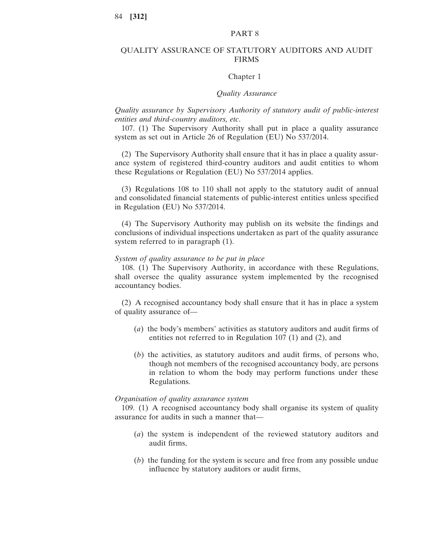# PART 8

### QUALITY ASSURANCE OF STATUTORY AUDITORS AND AUDIT FIRMS

#### Chapter 1

## *Quality Assurance*

# *Quality assurance by Supervisory Authority of statutory audit of public-interest entities and third-country auditors, etc*.

107. (1) The Supervisory Authority shall put in place a quality assurance system as set out in Article 26 of Regulation (EU) No 537/2014.

(2) The Supervisory Authority shall ensure that it has in place a quality assurance system of registered third-country auditors and audit entities to whom these Regulations or Regulation (EU) No 537/2014 applies.

(3) Regulations 108 to 110 shall not apply to the statutory audit of annual and consolidated financial statements of public-interest entities unless specified in Regulation (EU) No 537/2014.

(4) The Supervisory Authority may publish on its website the findings and conclusions of individual inspections undertaken as part of the quality assurance system referred to in paragraph (1).

#### *System of quality assurance to be put in place*

108. (1) The Supervisory Authority, in accordance with these Regulations, shall oversee the quality assurance system implemented by the recognised accountancy bodies.

(2) A recognised accountancy body shall ensure that it has in place a system of quality assurance of—

- (*a*) the body's members' activities as statutory auditors and audit firms of entities not referred to in Regulation 107 (1) and (2), and
- (*b*) the activities, as statutory auditors and audit firms, of persons who, though not members of the recognised accountancy body, are persons in relation to whom the body may perform functions under these Regulations.

#### *Organisation of quality assurance system*

109. (1) A recognised accountancy body shall organise its system of quality assurance for audits in such a manner that—

- (*a*) the system is independent of the reviewed statutory auditors and audit firms,
- (*b*) the funding for the system is secure and free from any possible undue influence by statutory auditors or audit firms,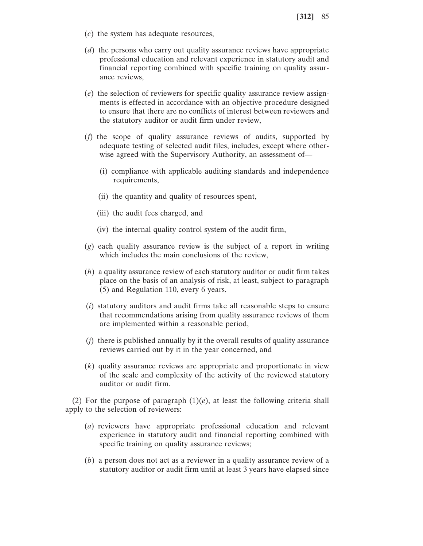- (*c*) the system has adequate resources,
- (*d*) the persons who carry out quality assurance reviews have appropriate professional education and relevant experience in statutory audit and financial reporting combined with specific training on quality assurance reviews,
- (*e*) the selection of reviewers for specific quality assurance review assignments is effected in accordance with an objective procedure designed to ensure that there are no conflicts of interest between reviewers and the statutory auditor or audit firm under review,
- (*f*) the scope of quality assurance reviews of audits, supported by adequate testing of selected audit files, includes, except where otherwise agreed with the Supervisory Authority, an assessment of—
	- (i) compliance with applicable auditing standards and independence requirements,
	- (ii) the quantity and quality of resources spent,
	- (iii) the audit fees charged, and
	- (iv) the internal quality control system of the audit firm,
- (*g*) each quality assurance review is the subject of a report in writing which includes the main conclusions of the review,
- (*h*) a quality assurance review of each statutory auditor or audit firm takes place on the basis of an analysis of risk, at least, subject to paragraph (5) and Regulation 110, every 6 years,
- (*i*) statutory auditors and audit firms take all reasonable steps to ensure that recommendations arising from quality assurance reviews of them are implemented within a reasonable period,
- (*j*) there is published annually by it the overall results of quality assurance reviews carried out by it in the year concerned, and
- (*k*) quality assurance reviews are appropriate and proportionate in view of the scale and complexity of the activity of the reviewed statutory auditor or audit firm.

(2) For the purpose of paragraph  $(1)(e)$ , at least the following criteria shall apply to the selection of reviewers:

- (*a*) reviewers have appropriate professional education and relevant experience in statutory audit and financial reporting combined with specific training on quality assurance reviews;
- (*b*) a person does not act as a reviewer in a quality assurance review of a statutory auditor or audit firm until at least 3 years have elapsed since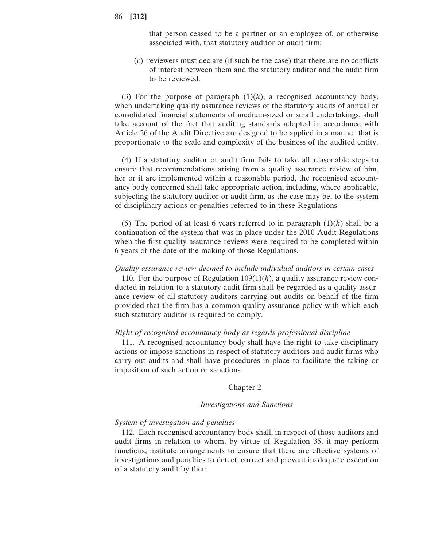that person ceased to be a partner or an employee of, or otherwise associated with, that statutory auditor or audit firm;

(*c*) reviewers must declare (if such be the case) that there are no conflicts of interest between them and the statutory auditor and the audit firm to be reviewed.

(3) For the purpose of paragraph  $(1)(k)$ , a recognised accountancy body, when undertaking quality assurance reviews of the statutory audits of annual or consolidated financial statements of medium-sized or small undertakings, shall take account of the fact that auditing standards adopted in accordance with Article 26 of the Audit Directive are designed to be applied in a manner that is proportionate to the scale and complexity of the business of the audited entity.

(4) If a statutory auditor or audit firm fails to take all reasonable steps to ensure that recommendations arising from a quality assurance review of him, her or it are implemented within a reasonable period, the recognised accountancy body concerned shall take appropriate action, including, where applicable, subjecting the statutory auditor or audit firm, as the case may be, to the system of disciplinary actions or penalties referred to in these Regulations.

(5) The period of at least 6 years referred to in paragraph (1)(*h*) shall be a continuation of the system that was in place under the 2010 Audit Regulations when the first quality assurance reviews were required to be completed within 6 years of the date of the making of those Regulations.

## *Quality assurance review deemed to include individual auditors in certain cases*

110. For the purpose of Regulation  $109(1)(h)$ , a quality assurance review conducted in relation to a statutory audit firm shall be regarded as a quality assurance review of all statutory auditors carrying out audits on behalf of the firm provided that the firm has a common quality assurance policy with which each such statutory auditor is required to comply.

#### *Right of recognised accountancy body as regards professional discipline*

111. A recognised accountancy body shall have the right to take disciplinary actions or impose sanctions in respect of statutory auditors and audit firms who carry out audits and shall have procedures in place to facilitate the taking or imposition of such action or sanctions.

#### Chapter 2

#### *Investigations and Sanctions*

#### *System of investigation and penalties*

112. Each recognised accountancy body shall, in respect of those auditors and audit firms in relation to whom, by virtue of Regulation 35, it may perform functions, institute arrangements to ensure that there are effective systems of investigations and penalties to detect, correct and prevent inadequate execution of a statutory audit by them.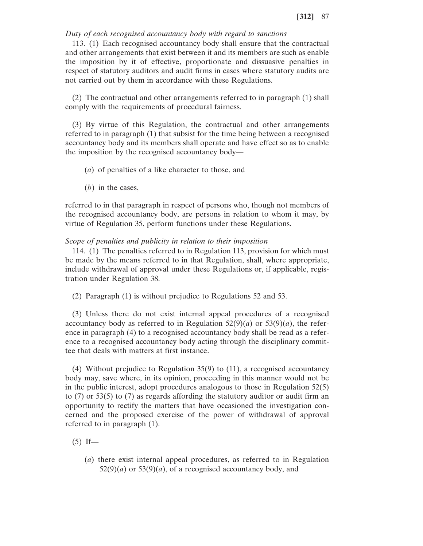## *Duty of each recognised accountancy body with regard to sanctions*

113. (1) Each recognised accountancy body shall ensure that the contractual and other arrangements that exist between it and its members are such as enable the imposition by it of effective, proportionate and dissuasive penalties in respect of statutory auditors and audit firms in cases where statutory audits are not carried out by them in accordance with these Regulations.

(2) The contractual and other arrangements referred to in paragraph (1) shall comply with the requirements of procedural fairness.

(3) By virtue of this Regulation, the contractual and other arrangements referred to in paragraph (1) that subsist for the time being between a recognised accountancy body and its members shall operate and have effect so as to enable the imposition by the recognised accountancy body—

- (*a*) of penalties of a like character to those, and
- (*b*) in the cases,

referred to in that paragraph in respect of persons who, though not members of the recognised accountancy body, are persons in relation to whom it may, by virtue of Regulation 35, perform functions under these Regulations.

#### *Scope of penalties and publicity in relation to their imposition*

114. (1) The penalties referred to in Regulation 113, provision for which must be made by the means referred to in that Regulation, shall, where appropriate, include withdrawal of approval under these Regulations or, if applicable, registration under Regulation 38.

(2) Paragraph (1) is without prejudice to Regulations 52 and 53.

(3) Unless there do not exist internal appeal procedures of a recognised accountancy body as referred to in Regulation  $52(9)(a)$  or  $53(9)(a)$ , the reference in paragraph (4) to a recognised accountancy body shall be read as a reference to a recognised accountancy body acting through the disciplinary committee that deals with matters at first instance.

(4) Without prejudice to Regulation 35(9) to (11), a recognised accountancy body may, save where, in its opinion, proceeding in this manner would not be in the public interest, adopt procedures analogous to those in Regulation 52(5) to  $(7)$  or 53 $(5)$  to  $(7)$  as regards affording the statutory auditor or audit firm an opportunity to rectify the matters that have occasioned the investigation concerned and the proposed exercise of the power of withdrawal of approval referred to in paragraph (1).

 $(5)$  If—

(*a*) there exist internal appeal procedures, as referred to in Regulation  $52(9)(a)$  or  $53(9)(a)$ , of a recognised accountancy body, and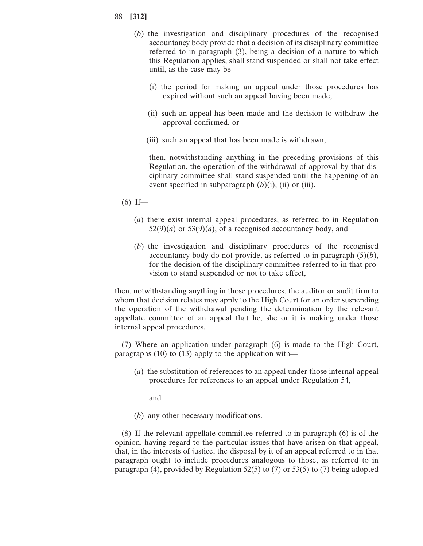- (*b*) the investigation and disciplinary procedures of the recognised accountancy body provide that a decision of its disciplinary committee referred to in paragraph (3), being a decision of a nature to which this Regulation applies, shall stand suspended or shall not take effect until, as the case may be—
	- (i) the period for making an appeal under those procedures has expired without such an appeal having been made,
	- (ii) such an appeal has been made and the decision to withdraw the approval confirmed, or
	- (iii) such an appeal that has been made is withdrawn,

then, notwithstanding anything in the preceding provisions of this Regulation, the operation of the withdrawal of approval by that disciplinary committee shall stand suspended until the happening of an event specified in subparagraph (*b*)(i), (ii) or (iii).

- $(6)$  If—
	- (*a*) there exist internal appeal procedures, as referred to in Regulation  $52(9)(a)$  or  $53(9)(a)$ , of a recognised accountancy body, and
	- (*b*) the investigation and disciplinary procedures of the recognised accountancy body do not provide, as referred to in paragraph (5)(*b*), for the decision of the disciplinary committee referred to in that provision to stand suspended or not to take effect,

then, notwithstanding anything in those procedures, the auditor or audit firm to whom that decision relates may apply to the High Court for an order suspending the operation of the withdrawal pending the determination by the relevant appellate committee of an appeal that he, she or it is making under those internal appeal procedures.

(7) Where an application under paragraph (6) is made to the High Court, paragraphs (10) to (13) apply to the application with—

(*a*) the substitution of references to an appeal under those internal appeal procedures for references to an appeal under Regulation 54,

and

(*b*) any other necessary modifications.

(8) If the relevant appellate committee referred to in paragraph (6) is of the opinion, having regard to the particular issues that have arisen on that appeal, that, in the interests of justice, the disposal by it of an appeal referred to in that paragraph ought to include procedures analogous to those, as referred to in paragraph (4), provided by Regulation 52(5) to (7) or 53(5) to (7) being adopted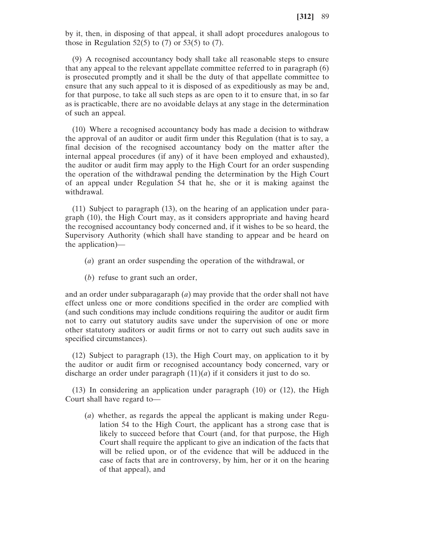by it, then, in disposing of that appeal, it shall adopt procedures analogous to those in Regulation 52(5) to  $(7)$  or 53(5) to  $(7)$ .

(9) A recognised accountancy body shall take all reasonable steps to ensure that any appeal to the relevant appellate committee referred to in paragraph (6) is prosecuted promptly and it shall be the duty of that appellate committee to ensure that any such appeal to it is disposed of as expeditiously as may be and, for that purpose, to take all such steps as are open to it to ensure that, in so far as is practicable, there are no avoidable delays at any stage in the determination of such an appeal.

(10) Where a recognised accountancy body has made a decision to withdraw the approval of an auditor or audit firm under this Regulation (that is to say, a final decision of the recognised accountancy body on the matter after the internal appeal procedures (if any) of it have been employed and exhausted), the auditor or audit firm may apply to the High Court for an order suspending the operation of the withdrawal pending the determination by the High Court of an appeal under Regulation 54 that he, she or it is making against the withdrawal.

(11) Subject to paragraph (13), on the hearing of an application under paragraph (10), the High Court may, as it considers appropriate and having heard the recognised accountancy body concerned and, if it wishes to be so heard, the Supervisory Authority (which shall have standing to appear and be heard on the application)—

- (*a*) grant an order suspending the operation of the withdrawal, or
- (*b*) refuse to grant such an order,

and an order under subparagaraph (*a*) may provide that the order shall not have effect unless one or more conditions specified in the order are complied with (and such conditions may include conditions requiring the auditor or audit firm not to carry out statutory audits save under the supervision of one or more other statutory auditors or audit firms or not to carry out such audits save in specified circumstances).

(12) Subject to paragraph (13), the High Court may, on application to it by the auditor or audit firm or recognised accountancy body concerned, vary or discharge an order under paragraph  $(11)(a)$  if it considers it just to do so.

(13) In considering an application under paragraph (10) or (12), the High Court shall have regard to—

(*a*) whether, as regards the appeal the applicant is making under Regulation 54 to the High Court, the applicant has a strong case that is likely to succeed before that Court (and, for that purpose, the High Court shall require the applicant to give an indication of the facts that will be relied upon, or of the evidence that will be adduced in the case of facts that are in controversy, by him, her or it on the hearing of that appeal), and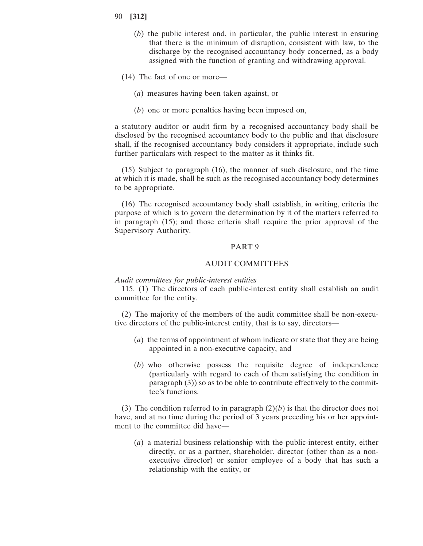- 90 **[312]**
	- (*b*) the public interest and, in particular, the public interest in ensuring that there is the minimum of disruption, consistent with law, to the discharge by the recognised accountancy body concerned, as a body assigned with the function of granting and withdrawing approval.
	- (14) The fact of one or more—
		- (*a*) measures having been taken against, or
		- (*b*) one or more penalties having been imposed on,

a statutory auditor or audit firm by a recognised accountancy body shall be disclosed by the recognised accountancy body to the public and that disclosure shall, if the recognised accountancy body considers it appropriate, include such further particulars with respect to the matter as it thinks fit.

(15) Subject to paragraph (16), the manner of such disclosure, and the time at which it is made, shall be such as the recognised accountancy body determines to be appropriate.

(16) The recognised accountancy body shall establish, in writing, criteria the purpose of which is to govern the determination by it of the matters referred to in paragraph (15); and those criteria shall require the prior approval of the Supervisory Authority.

#### PART 9

#### AUDIT COMMITTEES

#### *Audit committees for public-interest entities*

115. (1) The directors of each public-interest entity shall establish an audit committee for the entity.

(2) The majority of the members of the audit committee shall be non-executive directors of the public-interest entity, that is to say, directors—

- (*a*) the terms of appointment of whom indicate or state that they are being appointed in a non-executive capacity, and
- (*b*) who otherwise possess the requisite degree of independence (particularly with regard to each of them satisfying the condition in paragraph (3)) so as to be able to contribute effectively to the committee's functions.

(3) The condition referred to in paragraph  $(2)(b)$  is that the director does not have, and at no time during the period of 3 years preceding his or her appointment to the committee did have—

(*a*) a material business relationship with the public-interest entity, either directly, or as a partner, shareholder, director (other than as a nonexecutive director) or senior employee of a body that has such a relationship with the entity, or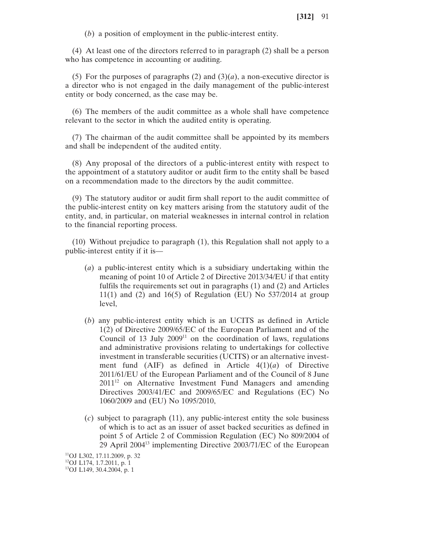(*b*) a position of employment in the public-interest entity.

(4) At least one of the directors referred to in paragraph (2) shall be a person who has competence in accounting or auditing.

(5) For the purposes of paragraphs (2) and  $(3)(a)$ , a non-executive director is a director who is not engaged in the daily management of the public-interest entity or body concerned, as the case may be.

(6) The members of the audit committee as a whole shall have competence relevant to the sector in which the audited entity is operating.

(7) The chairman of the audit committee shall be appointed by its members and shall be independent of the audited entity.

(8) Any proposal of the directors of a public-interest entity with respect to the appointment of a statutory auditor or audit firm to the entity shall be based on a recommendation made to the directors by the audit committee.

(9) The statutory auditor or audit firm shall report to the audit committee of the public-interest entity on key matters arising from the statutory audit of the entity, and, in particular, on material weaknesses in internal control in relation to the financial reporting process.

(10) Without prejudice to paragraph (1), this Regulation shall not apply to a public-interest entity if it is—

- (*a*) a public-interest entity which is a subsidiary undertaking within the meaning of point 10 of Article 2 of Directive 2013/34/EU if that entity fulfils the requirements set out in paragraphs (1) and (2) and Articles 11(1) and (2) and 16(5) of Regulation (EU) No 537/2014 at group level,
- (*b*) any public-interest entity which is an UCITS as defined in Article 1(2) of Directive 2009/65/EC of the European Parliament and of the Council of  $13$  July  $2009<sup>11</sup>$  on the coordination of laws, regulations and administrative provisions relating to undertakings for collective investment in transferable securities (UCITS) or an alternative investment fund (AIF) as defined in Article 4(1)(*a*) of Directive 2011/61/EU of the European Parliament and of the Council of 8 June 2011<sup>12</sup> on Alternative Investment Fund Managers and amending Directives 2003/41/EC and 2009/65/EC and Regulations (EC) No 1060/2009 and (EU) No 1095/2010,
- (*c*) subject to paragraph (11), any public-interest entity the sole business of which is to act as an issuer of asset backed securities as defined in point 5 of Article 2 of Commission Regulation (EC) No 809/2004 of 29 April 200413 implementing Directive 2003/71/EC of the European

11OJ L302, 17.11.2009, p. 32 12OJ L174, 1.7.2011, p. 1

<sup>13</sup>OJ L149, 30.4.2004, p. 1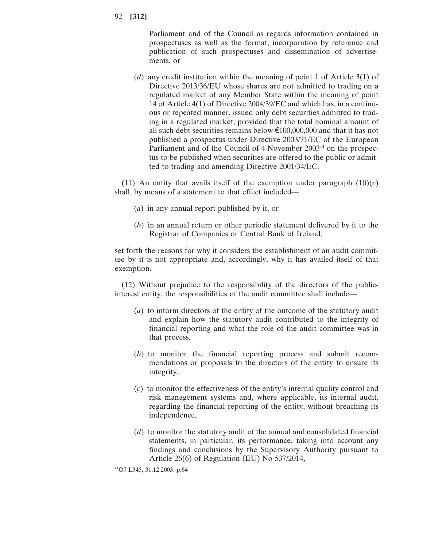Parliament and of the Council as regards information contained in prospectuses as well as the format, incorporation by reference and publication of such prospectuses and dissemination of advertisements, or

(*d*) any credit institution within the meaning of point 1 of Article 3(1) of Directive 2013/36/EU whose shares are not admitted to trading on a regulated market of any Member State within the meaning of point 14 of Article 4(1) of Directive 2004/39/EC and which has, in a continuous or repeated manner, issued only debt securities admitted to trading in a regulated market, provided that the total nominal amount of all such debt securities remains below  $\epsilon$ 100,000,000 and that it has not published a prospectus under Directive 2003/71/EC of the European Parliament and of the Council of 4 November 2003<sup>14</sup> on the prospectus to be published when securities are offered to the public or admitted to trading and amending Directive 2001/34/EC.

(11) An entity that avails itself of the exemption under paragraph  $(10)(c)$ shall, by means of a statement to that effect included—

- (*a*) in any annual report published by it, or
- (*b*) in an annual return or other periodic statement delivered by it to the Registrar of Companies or Central Bank of Ireland,

set forth the reasons for why it considers the establishment of an audit committee by it is not appropriate and, accordingly, why it has availed itself of that exemption.

(12) Without prejudice to the responsibility of the directors of the publicinterest entity, the responsibilities of the audit committee shall include—

- (*a*) to inform directors of the entity of the outcome of the statutory audit and explain how the statutory audit contributed to the integrity of financial reporting and what the role of the audit committee was in that process,
- (*b*) to monitor the financial reporting process and submit recommendations or proposals to the directors of the entity to ensure its integrity,
- (*c*) to monitor the effectiveness of the entity's internal quality control and risk management systems and, where applicable, its internal audit, regarding the financial reporting of the entity, without breaching its independence,
- (*d*) to monitor the statutory audit of the annual and consolidated financial statements, in particular, its performance, taking into account any findings and conclusions by the Supervisory Authority pursuant to Article 26(6) of Regulation (EU) No 537/2014,

14OJ L345, 31.12.2003, p.64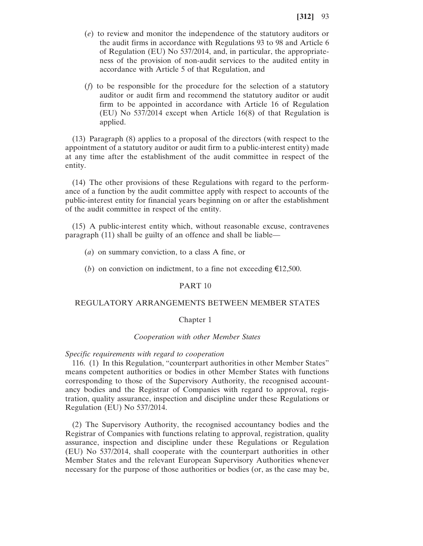- (*e*) to review and monitor the independence of the statutory auditors or the audit firms in accordance with Regulations 93 to 98 and Article 6 of Regulation (EU) No 537/2014, and, in particular, the appropriateness of the provision of non-audit services to the audited entity in accordance with Article 5 of that Regulation, and
- (*f*) to be responsible for the procedure for the selection of a statutory auditor or audit firm and recommend the statutory auditor or audit firm to be appointed in accordance with Article 16 of Regulation (EU) No 537/2014 except when Article 16(8) of that Regulation is applied.

(13) Paragraph (8) applies to a proposal of the directors (with respect to the appointment of a statutory auditor or audit firm to a public-interest entity) made at any time after the establishment of the audit committee in respect of the entity.

(14) The other provisions of these Regulations with regard to the performance of a function by the audit committee apply with respect to accounts of the public-interest entity for financial years beginning on or after the establishment of the audit committee in respect of the entity.

(15) A public-interest entity which, without reasonable excuse, contravenes paragraph (11) shall be guilty of an offence and shall be liable—

- (*a*) on summary conviction, to a class A fine, or
- (*b*) on conviction on indictment, to a fine not exceeding  $\epsilon$ 12,500.

## PART 10

# REGULATORY ARRANGEMENTS BETWEEN MEMBER STATES

## Chapter 1

#### *Cooperation with other Member States*

#### *Specific requirements with regard to cooperation*

116. (1) In this Regulation, "counterpart authorities in other Member States" means competent authorities or bodies in other Member States with functions corresponding to those of the Supervisory Authority, the recognised accountancy bodies and the Registrar of Companies with regard to approval, registration, quality assurance, inspection and discipline under these Regulations or Regulation (EU) No 537/2014.

(2) The Supervisory Authority, the recognised accountancy bodies and the Registrar of Companies with functions relating to approval, registration, quality assurance, inspection and discipline under these Regulations or Regulation (EU) No 537/2014, shall cooperate with the counterpart authorities in other Member States and the relevant European Supervisory Authorities whenever necessary for the purpose of those authorities or bodies (or, as the case may be,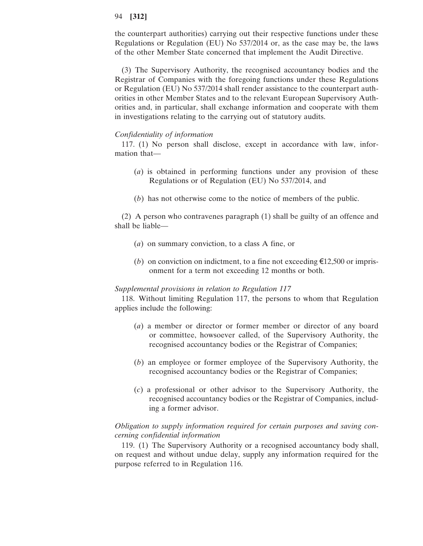the counterpart authorities) carrying out their respective functions under these Regulations or Regulation (EU) No 537/2014 or, as the case may be, the laws of the other Member State concerned that implement the Audit Directive.

(3) The Supervisory Authority, the recognised accountancy bodies and the Registrar of Companies with the foregoing functions under these Regulations or Regulation (EU) No 537/2014 shall render assistance to the counterpart authorities in other Member States and to the relevant European Supervisory Authorities and, in particular, shall exchange information and cooperate with them in investigations relating to the carrying out of statutory audits.

## *Confidentiality of information*

117. (1) No person shall disclose, except in accordance with law, information that—

- (*a*) is obtained in performing functions under any provision of these Regulations or of Regulation (EU) No 537/2014, and
- (*b*) has not otherwise come to the notice of members of the public.

(2) A person who contravenes paragraph (1) shall be guilty of an offence and shall be liable—

- (*a*) on summary conviction, to a class A fine, or
- (*b*) on conviction on indictment, to a fine not exceeding  $\epsilon$ 12,500 or imprisonment for a term not exceeding 12 months or both.

#### *Supplemental provisions in relation to Regulation 117*

118. Without limiting Regulation 117, the persons to whom that Regulation applies include the following:

- (*a*) a member or director or former member or director of any board or committee, howsoever called, of the Supervisory Authority, the recognised accountancy bodies or the Registrar of Companies;
- (*b*) an employee or former employee of the Supervisory Authority, the recognised accountancy bodies or the Registrar of Companies;
- (*c*) a professional or other advisor to the Supervisory Authority, the recognised accountancy bodies or the Registrar of Companies, including a former advisor.

# *Obligation to supply information required for certain purposes and saving concerning confidential information*

119. (1) The Supervisory Authority or a recognised accountancy body shall, on request and without undue delay, supply any information required for the purpose referred to in Regulation 116.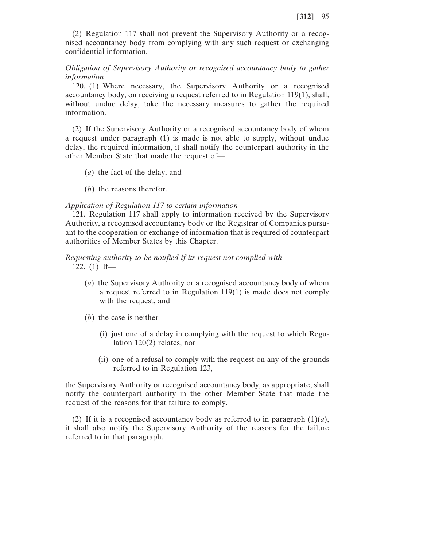(2) Regulation 117 shall not prevent the Supervisory Authority or a recognised accountancy body from complying with any such request or exchanging confidential information.

# *Obligation of Supervisory Authority or recognised accountancy body to gather information*

120. (1) Where necessary, the Supervisory Authority or a recognised accountancy body, on receiving a request referred to in Regulation 119(1), shall, without undue delay, take the necessary measures to gather the required information.

(2) If the Supervisory Authority or a recognised accountancy body of whom a request under paragraph (1) is made is not able to supply, without undue delay, the required information, it shall notify the counterpart authority in the other Member State that made the request of—

- (*a*) the fact of the delay, and
- (*b*) the reasons therefor.

## *Application of Regulation 117 to certain information*

121. Regulation 117 shall apply to information received by the Supervisory Authority, a recognised accountancy body or the Registrar of Companies pursuant to the cooperation or exchange of information that is required of counterpart authorities of Member States by this Chapter.

# *Requesting authority to be notified if its request not complied with*

122. (1) If—

- (*a*) the Supervisory Authority or a recognised accountancy body of whom a request referred to in Regulation 119(1) is made does not comply with the request, and
- (*b*) the case is neither—
	- (i) just one of a delay in complying with the request to which Regulation 120(2) relates, nor
	- (ii) one of a refusal to comply with the request on any of the grounds referred to in Regulation 123,

the Supervisory Authority or recognised accountancy body, as appropriate, shall notify the counterpart authority in the other Member State that made the request of the reasons for that failure to comply.

(2) If it is a recognised accountancy body as referred to in paragraph  $(1)(a)$ , it shall also notify the Supervisory Authority of the reasons for the failure referred to in that paragraph.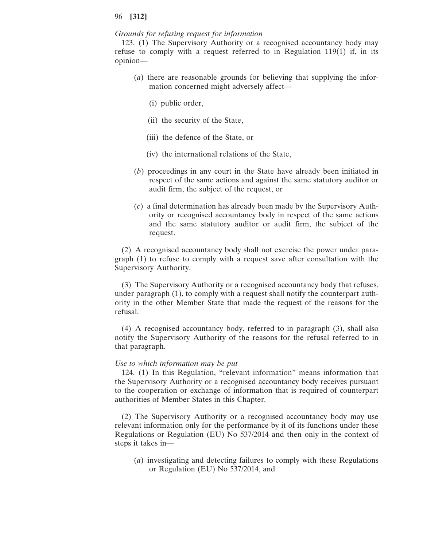#### *Grounds for refusing request for information*

123. (1) The Supervisory Authority or a recognised accountancy body may refuse to comply with a request referred to in Regulation  $119(1)$  if, in its opinion—

- (*a*) there are reasonable grounds for believing that supplying the information concerned might adversely affect—
	- (i) public order,
	- (ii) the security of the State,
	- (iii) the defence of the State, or
	- (iv) the international relations of the State,
- (*b*) proceedings in any court in the State have already been initiated in respect of the same actions and against the same statutory auditor or audit firm, the subject of the request, or
- (*c*) a final determination has already been made by the Supervisory Authority or recognised accountancy body in respect of the same actions and the same statutory auditor or audit firm, the subject of the request.

(2) A recognised accountancy body shall not exercise the power under paragraph (1) to refuse to comply with a request save after consultation with the Supervisory Authority.

(3) The Supervisory Authority or a recognised accountancy body that refuses, under paragraph (1), to comply with a request shall notify the counterpart authority in the other Member State that made the request of the reasons for the refusal.

(4) A recognised accountancy body, referred to in paragraph (3), shall also notify the Supervisory Authority of the reasons for the refusal referred to in that paragraph.

#### *Use to which information may be put*

124. (1) In this Regulation, "relevant information" means information that the Supervisory Authority or a recognised accountancy body receives pursuant to the cooperation or exchange of information that is required of counterpart authorities of Member States in this Chapter.

(2) The Supervisory Authority or a recognised accountancy body may use relevant information only for the performance by it of its functions under these Regulations or Regulation (EU) No 537/2014 and then only in the context of steps it takes in—

(*a*) investigating and detecting failures to comply with these Regulations or Regulation (EU) No 537/2014, and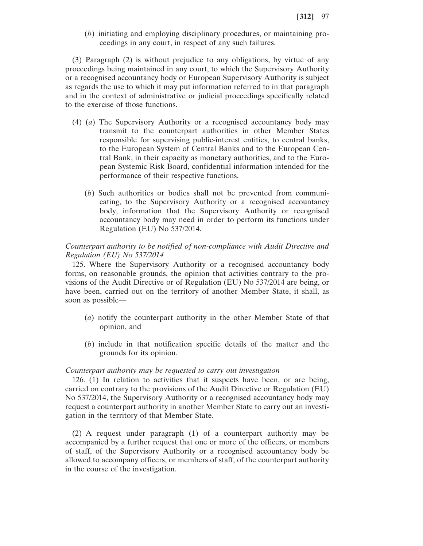(*b*) initiating and employing disciplinary procedures, or maintaining proceedings in any court, in respect of any such failures.

(3) Paragraph (2) is without prejudice to any obligations, by virtue of any proceedings being maintained in any court, to which the Supervisory Authority or a recognised accountancy body or European Supervisory Authority is subject as regards the use to which it may put information referred to in that paragraph and in the context of administrative or judicial proceedings specifically related to the exercise of those functions.

- (4) (*a*) The Supervisory Authority or a recognised accountancy body may transmit to the counterpart authorities in other Member States responsible for supervising public-interest entities, to central banks, to the European System of Central Banks and to the European Central Bank, in their capacity as monetary authorities, and to the European Systemic Risk Board, confidential information intended for the performance of their respective functions.
	- (*b*) Such authorities or bodies shall not be prevented from communicating, to the Supervisory Authority or a recognised accountancy body, information that the Supervisory Authority or recognised accountancy body may need in order to perform its functions under Regulation (EU) No 537/2014.

# *Counterpart authority to be notified of non-compliance with Audit Directive and Regulation (EU) No 537/2014*

125. Where the Supervisory Authority or a recognised accountancy body forms, on reasonable grounds, the opinion that activities contrary to the provisions of the Audit Directive or of Regulation (EU) No 537/2014 are being, or have been, carried out on the territory of another Member State, it shall, as soon as possible—

- (*a*) notify the counterpart authority in the other Member State of that opinion, and
- (*b*) include in that notification specific details of the matter and the grounds for its opinion.

#### *Counterpart authority may be requested to carry out investigation*

126. (1) In relation to activities that it suspects have been, or are being, carried on contrary to the provisions of the Audit Directive or Regulation (EU) No 537/2014, the Supervisory Authority or a recognised accountancy body may request a counterpart authority in another Member State to carry out an investigation in the territory of that Member State.

(2) A request under paragraph (1) of a counterpart authority may be accompanied by a further request that one or more of the officers, or members of staff, of the Supervisory Authority or a recognised accountancy body be allowed to accompany officers, or members of staff, of the counterpart authority in the course of the investigation.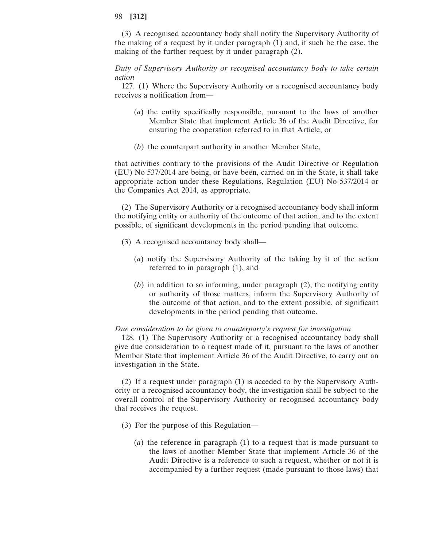(3) A recognised accountancy body shall notify the Supervisory Authority of the making of a request by it under paragraph (1) and, if such be the case, the making of the further request by it under paragraph (2).

*Duty of Supervisory Authority or recognised accountancy body to take certain action*

127. (1) Where the Supervisory Authority or a recognised accountancy body receives a notification from—

- (*a*) the entity specifically responsible, pursuant to the laws of another Member State that implement Article 36 of the Audit Directive, for ensuring the cooperation referred to in that Article, or
- (*b*) the counterpart authority in another Member State,

that activities contrary to the provisions of the Audit Directive or Regulation (EU) No 537/2014 are being, or have been, carried on in the State, it shall take appropriate action under these Regulations, Regulation (EU) No 537/2014 or the Companies Act 2014, as appropriate.

(2) The Supervisory Authority or a recognised accountancy body shall inform the notifying entity or authority of the outcome of that action, and to the extent possible, of significant developments in the period pending that outcome.

- (3) A recognised accountancy body shall—
	- (*a*) notify the Supervisory Authority of the taking by it of the action referred to in paragraph (1), and
	- (*b*) in addition to so informing, under paragraph (2), the notifying entity or authority of those matters, inform the Supervisory Authority of the outcome of that action, and to the extent possible, of significant developments in the period pending that outcome.

## *Due consideration to be given to counterparty's request for investigation*

128. (1) The Supervisory Authority or a recognised accountancy body shall give due consideration to a request made of it, pursuant to the laws of another Member State that implement Article 36 of the Audit Directive, to carry out an investigation in the State.

(2) If a request under paragraph (1) is acceded to by the Supervisory Authority or a recognised accountancy body, the investigation shall be subject to the overall control of the Supervisory Authority or recognised accountancy body that receives the request.

- (3) For the purpose of this Regulation—
	- (*a*) the reference in paragraph (1) to a request that is made pursuant to the laws of another Member State that implement Article 36 of the Audit Directive is a reference to such a request, whether or not it is accompanied by a further request (made pursuant to those laws) that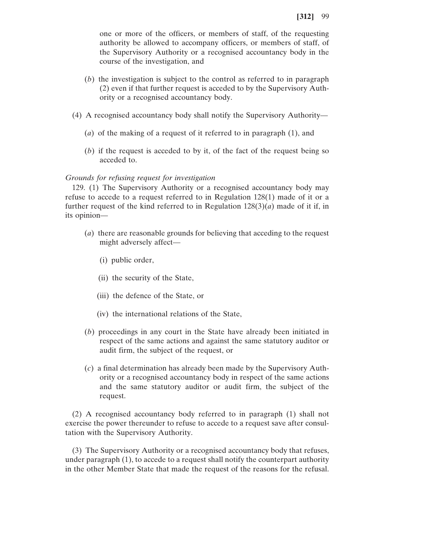one or more of the officers, or members of staff, of the requesting authority be allowed to accompany officers, or members of staff, of the Supervisory Authority or a recognised accountancy body in the course of the investigation, and

- (*b*) the investigation is subject to the control as referred to in paragraph (2) even if that further request is acceded to by the Supervisory Authority or a recognised accountancy body.
- (4) A recognised accountancy body shall notify the Supervisory Authority—
	- (*a*) of the making of a request of it referred to in paragraph (1), and
	- (*b*) if the request is acceded to by it, of the fact of the request being so acceded to.

#### *Grounds for refusing request for investigation*

129. (1) The Supervisory Authority or a recognised accountancy body may refuse to accede to a request referred to in Regulation 128(1) made of it or a further request of the kind referred to in Regulation  $128(3)(a)$  made of it if, in its opinion—

- (*a*) there are reasonable grounds for believing that acceding to the request might adversely affect—
	- (i) public order,
	- (ii) the security of the State,
	- (iii) the defence of the State, or
	- (iv) the international relations of the State,
- (*b*) proceedings in any court in the State have already been initiated in respect of the same actions and against the same statutory auditor or audit firm, the subject of the request, or
- (*c*) a final determination has already been made by the Supervisory Authority or a recognised accountancy body in respect of the same actions and the same statutory auditor or audit firm, the subject of the request.

(2) A recognised accountancy body referred to in paragraph (1) shall not exercise the power thereunder to refuse to accede to a request save after consultation with the Supervisory Authority.

(3) The Supervisory Authority or a recognised accountancy body that refuses, under paragraph (1), to accede to a request shall notify the counterpart authority in the other Member State that made the request of the reasons for the refusal.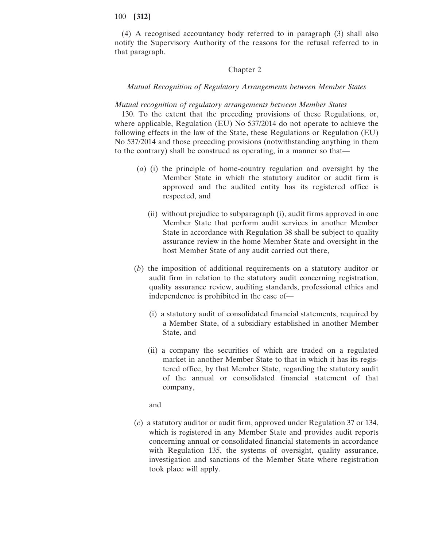(4) A recognised accountancy body referred to in paragraph (3) shall also notify the Supervisory Authority of the reasons for the refusal referred to in that paragraph.

## Chapter 2

## *Mutual Recognition of Regulatory Arrangements between Member States*

#### *Mutual recognition of regulatory arrangements between Member States*

130. To the extent that the preceding provisions of these Regulations, or, where applicable, Regulation (EU) No 537/2014 do not operate to achieve the following effects in the law of the State, these Regulations or Regulation (EU) No 537/2014 and those preceding provisions (notwithstanding anything in them to the contrary) shall be construed as operating, in a manner so that—

- (*a*) (i) the principle of home-country regulation and oversight by the Member State in which the statutory auditor or audit firm is approved and the audited entity has its registered office is respected, and
	- (ii) without prejudice to subparagraph (i), audit firms approved in one Member State that perform audit services in another Member State in accordance with Regulation 38 shall be subject to quality assurance review in the home Member State and oversight in the host Member State of any audit carried out there,
- (*b*) the imposition of additional requirements on a statutory auditor or audit firm in relation to the statutory audit concerning registration, quality assurance review, auditing standards, professional ethics and independence is prohibited in the case of—
	- (i) a statutory audit of consolidated financial statements, required by a Member State, of a subsidiary established in another Member State, and
	- (ii) a company the securities of which are traded on a regulated market in another Member State to that in which it has its registered office, by that Member State, regarding the statutory audit of the annual or consolidated financial statement of that company,

and

(*c*) a statutory auditor or audit firm, approved under Regulation 37 or 134, which is registered in any Member State and provides audit reports concerning annual or consolidated financial statements in accordance with Regulation 135, the systems of oversight, quality assurance, investigation and sanctions of the Member State where registration took place will apply.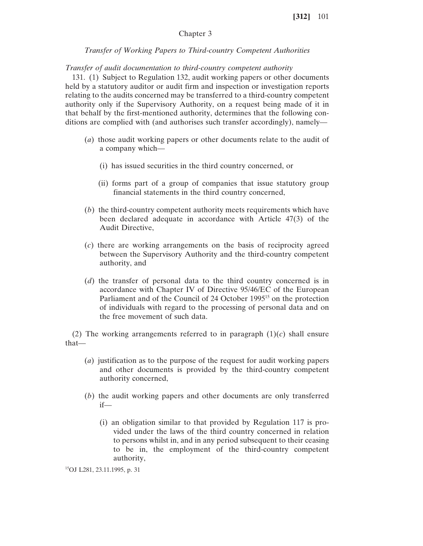# Chapter 3

## *Transfer of Working Papers to Third-country Competent Authorities*

*Transfer of audit documentation to third-country competent authority*

131. (1) Subject to Regulation 132, audit working papers or other documents held by a statutory auditor or audit firm and inspection or investigation reports relating to the audits concerned may be transferred to a third-country competent authority only if the Supervisory Authority, on a request being made of it in that behalf by the first-mentioned authority, determines that the following conditions are complied with (and authorises such transfer accordingly), namely—

- (*a*) those audit working papers or other documents relate to the audit of a company which—
	- (i) has issued securities in the third country concerned, or
	- (ii) forms part of a group of companies that issue statutory group financial statements in the third country concerned,
- (*b*) the third-country competent authority meets requirements which have been declared adequate in accordance with Article 47(3) of the Audit Directive,
- (*c*) there are working arrangements on the basis of reciprocity agreed between the Supervisory Authority and the third-country competent authority, and
- (*d*) the transfer of personal data to the third country concerned is in accordance with Chapter IV of Directive 95/46/EC of the European Parliament and of the Council of 24 October 1995<sup>15</sup> on the protection of individuals with regard to the processing of personal data and on the free movement of such data.

(2) The working arrangements referred to in paragraph  $(1)(c)$  shall ensure that—

- (*a*) justification as to the purpose of the request for audit working papers and other documents is provided by the third-country competent authority concerned,
- (*b*) the audit working papers and other documents are only transferred if—
	- (i) an obligation similar to that provided by Regulation 117 is provided under the laws of the third country concerned in relation to persons whilst in, and in any period subsequent to their ceasing to be in, the employment of the third-country competent authority,

15OJ L281, 23.11.1995, p. 31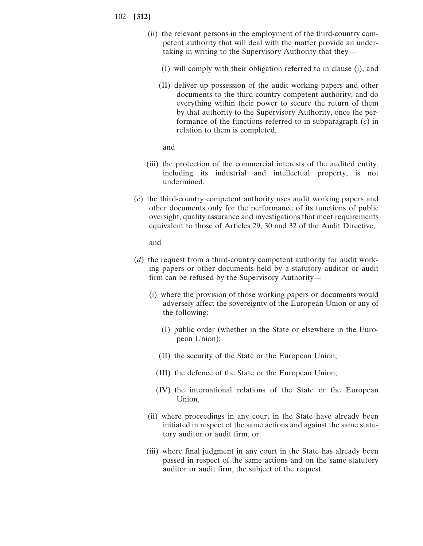- (ii) the relevant persons in the employment of the third-country competent authority that will deal with the matter provide an undertaking in writing to the Supervisory Authority that they—
	- (I) will comply with their obligation referred to in clause (i), and
	- (II) deliver up possession of the audit working papers and other documents to the third-country competent authority, and do everything within their power to secure the return of them by that authority to the Supervisory Authority, once the performance of the functions referred to in subparagraph (*c*) in relation to them is completed,

and

- (iii) the protection of the commercial interests of the audited entity, including its industrial and intellectual property, is not undermined,
- (*c*) the third-country competent authority uses audit working papers and other documents only for the performance of its functions of public oversight, quality assurance and investigations that meet requirements equivalent to those of Articles 29, 30 and 32 of the Audit Directive,

and

- (*d*) the request from a third-country competent authority for audit working papers or other documents held by a statutory auditor or audit firm can be refused by the Supervisory Authority—
	- (i) where the provision of those working papers or documents would adversely affect the sovereignty of the European Union or any of the following:
		- (I) public order (whether in the State or elsewhere in the European Union);
		- (II) the security of the State or the European Union;
		- (III) the defence of the State or the European Union;
		- (IV) the international relations of the State or the European Union,
	- (ii) where proceedings in any court in the State have already been initiated in respect of the same actions and against the same statutory auditor or audit firm, or
	- (iii) where final judgment in any court in the State has already been passed in respect of the same actions and on the same statutory auditor or audit firm, the subject of the request.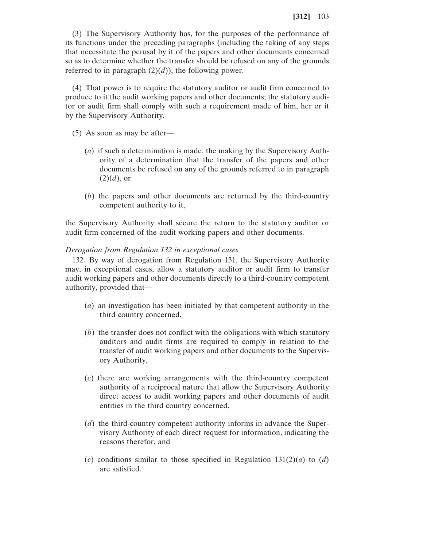(3) The Supervisory Authority has, for the purposes of the performance of its functions under the preceding paragraphs (including the taking of any steps that necessitate the perusal by it of the papers and other documents concerned so as to determine whether the transfer should be refused on any of the grounds referred to in paragraph  $(2)(d)$ ), the following power.

(4) That power is to require the statutory auditor or audit firm concerned to produce to it the audit working papers and other documents; the statutory auditor or audit firm shall comply with such a requirement made of him, her or it by the Supervisory Authority.

- (5) As soon as may be after—
	- (*a*) if such a determination is made, the making by the Supervisory Authority of a determination that the transfer of the papers and other documents be refused on any of the grounds referred to in paragraph  $(2)(d)$ , or
	- (*b*) the papers and other documents are returned by the third-country competent authority to it,

the Supervisory Authority shall secure the return to the statutory auditor or audit firm concerned of the audit working papers and other documents.

# *Derogation from Regulation 132 in exceptional cases*

132. By way of derogation from Regulation 131, the Supervisory Authority may, in exceptional cases, allow a statutory auditor or audit firm to transfer audit working papers and other documents directly to a third-country competent authority, provided that—

- (*a*) an investigation has been initiated by that competent authority in the third country concerned,
- (*b*) the transfer does not conflict with the obligations with which statutory auditors and audit firms are required to comply in relation to the transfer of audit working papers and other documents to the Supervisory Authority,
- (*c*) there are working arrangements with the third-country competent authority of a reciprocal nature that allow the Supervisory Authority direct access to audit working papers and other documents of audit entities in the third country concerned,
- (*d*) the third-country competent authority informs in advance the Supervisory Authority of each direct request for information, indicating the reasons therefor, and
- (*e*) conditions similar to those specified in Regulation 131(2)(*a*) to (*d*) are satisfied.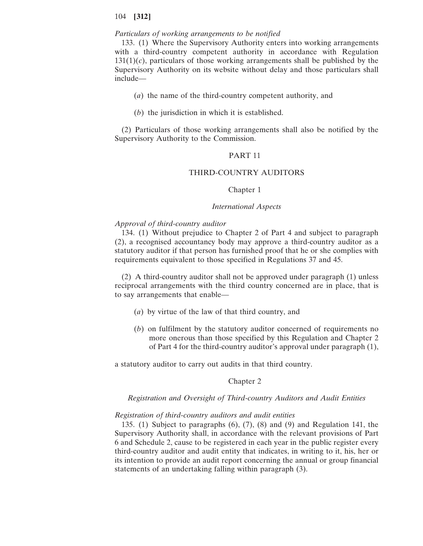# *Particulars of working arrangements to be notified*

133. (1) Where the Supervisory Authority enters into working arrangements with a third-country competent authority in accordance with Regulation  $131(1)(c)$ , particulars of those working arrangements shall be published by the Supervisory Authority on its website without delay and those particulars shall include—

- (*a*) the name of the third-country competent authority, and
- (*b*) the jurisdiction in which it is established.

(2) Particulars of those working arrangements shall also be notified by the Supervisory Authority to the Commission.

# PART 11

## THIRD-COUNTRY AUDITORS

#### Chapter 1

## *International Aspects*

#### *Approval of third-country auditor*

134. (1) Without prejudice to Chapter 2 of Part 4 and subject to paragraph (2), a recognised accountancy body may approve a third-country auditor as a statutory auditor if that person has furnished proof that he or she complies with requirements equivalent to those specified in Regulations 37 and 45.

(2) A third-country auditor shall not be approved under paragraph (1) unless reciprocal arrangements with the third country concerned are in place, that is to say arrangements that enable—

- (*a*) by virtue of the law of that third country, and
- (*b*) on fulfilment by the statutory auditor concerned of requirements no more onerous than those specified by this Regulation and Chapter 2 of Part 4 for the third-country auditor's approval under paragraph (1),

a statutory auditor to carry out audits in that third country.

#### Chapter 2

# *Registration and Oversight of Third-country Auditors and Audit Entities*

#### *Registration of third-country auditors and audit entities*

135. (1) Subject to paragraphs (6), (7), (8) and (9) and Regulation 141, the Supervisory Authority shall, in accordance with the relevant provisions of Part 6 and Schedule 2, cause to be registered in each year in the public register every third-country auditor and audit entity that indicates, in writing to it, his, her or its intention to provide an audit report concerning the annual or group financial statements of an undertaking falling within paragraph (3).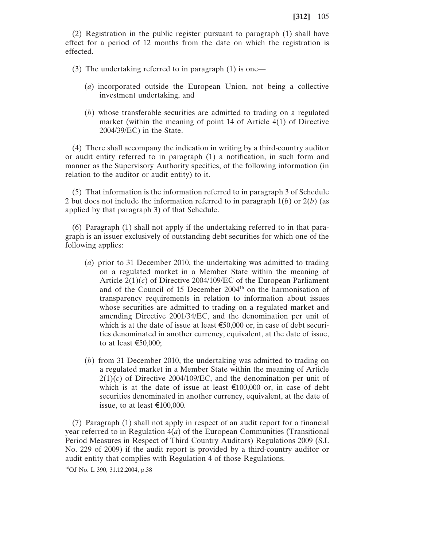(2) Registration in the public register pursuant to paragraph (1) shall have effect for a period of 12 months from the date on which the registration is effected.

(3) The undertaking referred to in paragraph (1) is one—

- (*a*) incorporated outside the European Union, not being a collective investment undertaking, and
- (*b*) whose transferable securities are admitted to trading on a regulated market (within the meaning of point 14 of Article 4(1) of Directive 2004/39/EC) in the State.

(4) There shall accompany the indication in writing by a third-country auditor or audit entity referred to in paragraph (1) a notification, in such form and manner as the Supervisory Authority specifies, of the following information (in relation to the auditor or audit entity) to it.

(5) That information is the information referred to in paragraph 3 of Schedule 2 but does not include the information referred to in paragraph 1(*b*) or 2(*b*) (as applied by that paragraph 3) of that Schedule.

(6) Paragraph (1) shall not apply if the undertaking referred to in that paragraph is an issuer exclusively of outstanding debt securities for which one of the following applies:

- (*a*) prior to 31 December 2010, the undertaking was admitted to trading on a regulated market in a Member State within the meaning of Article 2(1)(*c*) of Directive 2004/109/EC of the European Parliament and of the Council of 15 December 200416 on the harmonisation of transparency requirements in relation to information about issues whose securities are admitted to trading on a regulated market and amending Directive 2001/34/EC, and the denomination per unit of which is at the date of issue at least  $\epsilon$ 50,000 or, in case of debt securities denominated in another currency, equivalent, at the date of issue, to at least  $\epsilon$ 50,000;
- (*b*) from 31 December 2010, the undertaking was admitted to trading on a regulated market in a Member State within the meaning of Article  $2(1)(c)$  of Directive 2004/109/EC, and the denomination per unit of which is at the date of issue at least  $\epsilon$ 100,000 or, in case of debt securities denominated in another currency, equivalent, at the date of issue, to at least €100,000.

(7) Paragraph (1) shall not apply in respect of an audit report for a financial year referred to in Regulation 4(*a*) of the European Communities (Transitional Period Measures in Respect of Third Country Auditors) Regulations 2009 (S.I. No. 229 of 2009) if the audit report is provided by a third-country auditor or audit entity that complies with Regulation 4 of those Regulations.

16OJ No. L 390, 31.12.2004, p.38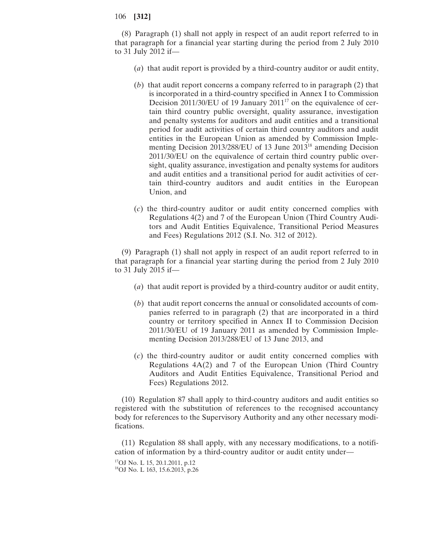(8) Paragraph (1) shall not apply in respect of an audit report referred to in that paragraph for a financial year starting during the period from 2 July 2010 to 31 July 2012 if—

- (*a*) that audit report is provided by a third-country auditor or audit entity,
- (*b*) that audit report concerns a company referred to in paragraph (2) that is incorporated in a third-country specified in Annex I to Commission Decision 2011/30/EU of 19 January 2011<sup>17</sup> on the equivalence of certain third country public oversight, quality assurance, investigation and penalty systems for auditors and audit entities and a transitional period for audit activities of certain third country auditors and audit entities in the European Union as amended by Commission Implementing Decision 2013/288/EU of 13 June 2013<sup>18</sup> amending Decision 2011/30/EU on the equivalence of certain third country public oversight, quality assurance, investigation and penalty systems for auditors and audit entities and a transitional period for audit activities of certain third-country auditors and audit entities in the European Union, and
- (*c*) the third-country auditor or audit entity concerned complies with Regulations 4(2) and 7 of the European Union (Third Country Auditors and Audit Entities Equivalence, Transitional Period Measures and Fees) Regulations 2012 (S.I. No. 312 of 2012).

(9) Paragraph (1) shall not apply in respect of an audit report referred to in that paragraph for a financial year starting during the period from 2 July 2010 to 31 July 2015 if—

- (*a*) that audit report is provided by a third-country auditor or audit entity,
- (*b*) that audit report concerns the annual or consolidated accounts of companies referred to in paragraph (2) that are incorporated in a third country or territory specified in Annex II to Commission Decision 2011/30/EU of 19 January 2011 as amended by Commission Implementing Decision 2013/288/EU of 13 June 2013, and
- (*c*) the third-country auditor or audit entity concerned complies with Regulations 4A(2) and 7 of the European Union (Third Country Auditors and Audit Entities Equivalence, Transitional Period and Fees) Regulations 2012.

(10) Regulation 87 shall apply to third-country auditors and audit entities so registered with the substitution of references to the recognised accountancy body for references to the Supervisory Authority and any other necessary modifications.

(11) Regulation 88 shall apply, with any necessary modifications, to a notification of information by a third-country auditor or audit entity under— 17OJ No. L 15, 20.1.2011, p.12

18OJ No. L 163, 15.6.2013, p.26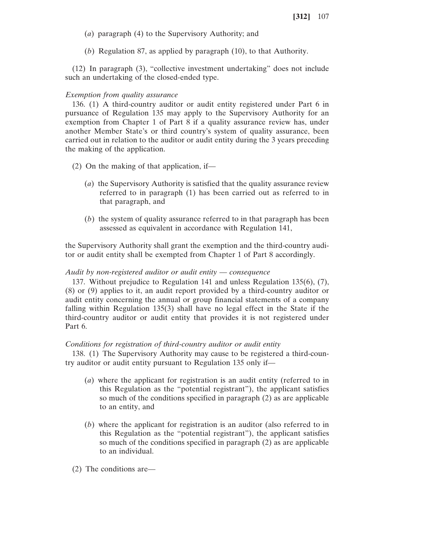- (*a*) paragraph (4) to the Supervisory Authority; and
- (*b*) Regulation 87, as applied by paragraph (10), to that Authority.

(12) In paragraph (3), "collective investment undertaking" does not include such an undertaking of the closed-ended type.

## *Exemption from quality assurance*

136. (1) A third-country auditor or audit entity registered under Part 6 in pursuance of Regulation 135 may apply to the Supervisory Authority for an exemption from Chapter 1 of Part 8 if a quality assurance review has, under another Member State's or third country's system of quality assurance, been carried out in relation to the auditor or audit entity during the 3 years preceding the making of the application.

- (2) On the making of that application, if—
	- (*a*) the Supervisory Authority is satisfied that the quality assurance review referred to in paragraph (1) has been carried out as referred to in that paragraph, and
	- (*b*) the system of quality assurance referred to in that paragraph has been assessed as equivalent in accordance with Regulation 141,

the Supervisory Authority shall grant the exemption and the third-country auditor or audit entity shall be exempted from Chapter 1 of Part 8 accordingly.

#### *Audit by non-registered auditor or audit entity* — *consequence*

137. Without prejudice to Regulation 141 and unless Regulation 135(6), (7), (8) or (9) applies to it, an audit report provided by a third-country auditor or audit entity concerning the annual or group financial statements of a company falling within Regulation 135(3) shall have no legal effect in the State if the third-country auditor or audit entity that provides it is not registered under Part 6.

#### *Conditions for registration of third-country auditor or audit entity*

138. (1) The Supervisory Authority may cause to be registered a third-country auditor or audit entity pursuant to Regulation 135 only if—

- (*a*) where the applicant for registration is an audit entity (referred to in this Regulation as the "potential registrant"), the applicant satisfies so much of the conditions specified in paragraph (2) as are applicable to an entity, and
- (*b*) where the applicant for registration is an auditor (also referred to in this Regulation as the "potential registrant"), the applicant satisfies so much of the conditions specified in paragraph (2) as are applicable to an individual.
- (2) The conditions are—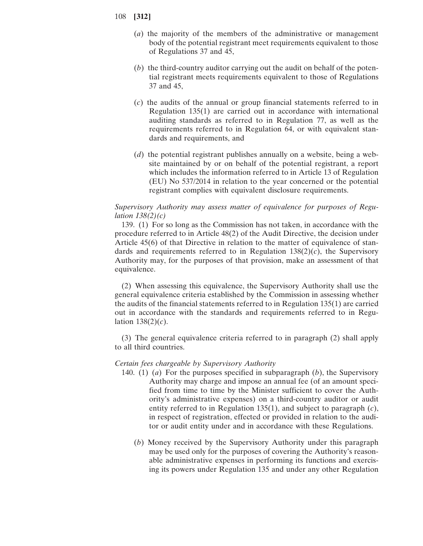- (*a*) the majority of the members of the administrative or management body of the potential registrant meet requirements equivalent to those of Regulations 37 and 45,
- (*b*) the third-country auditor carrying out the audit on behalf of the potential registrant meets requirements equivalent to those of Regulations 37 and 45,
- (*c*) the audits of the annual or group financial statements referred to in Regulation 135(1) are carried out in accordance with international auditing standards as referred to in Regulation 77, as well as the requirements referred to in Regulation 64, or with equivalent standards and requirements, and
- (*d*) the potential registrant publishes annually on a website, being a website maintained by or on behalf of the potential registrant, a report which includes the information referred to in Article 13 of Regulation (EU) No 537/2014 in relation to the year concerned or the potential registrant complies with equivalent disclosure requirements.

# *Supervisory Authority may assess matter of equivalence for purposes of Regulation 138(2)(c)*

139. (1) For so long as the Commission has not taken, in accordance with the procedure referred to in Article 48(2) of the Audit Directive, the decision under Article 45(6) of that Directive in relation to the matter of equivalence of standards and requirements referred to in Regulation  $138(2)(c)$ , the Supervisory Authority may, for the purposes of that provision, make an assessment of that equivalence.

(2) When assessing this equivalence, the Supervisory Authority shall use the general equivalence criteria established by the Commission in assessing whether the audits of the financial statements referred to in Regulation 135(1) are carried out in accordance with the standards and requirements referred to in Regulation 138(2)(*c*).

(3) The general equivalence criteria referred to in paragraph (2) shall apply to all third countries.

## *Certain fees chargeable by Supervisory Authority*

- 140. (1) (*a*) For the purposes specified in subparagraph (*b*), the Supervisory Authority may charge and impose an annual fee (of an amount specified from time to time by the Minister sufficient to cover the Authority's administrative expenses) on a third-country auditor or audit entity referred to in Regulation 135(1), and subject to paragraph (*c*), in respect of registration, effected or provided in relation to the auditor or audit entity under and in accordance with these Regulations.
	- (*b*) Money received by the Supervisory Authority under this paragraph may be used only for the purposes of covering the Authority's reasonable administrative expenses in performing its functions and exercising its powers under Regulation 135 and under any other Regulation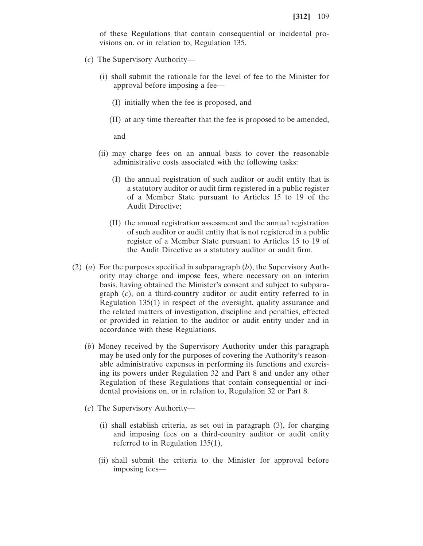of these Regulations that contain consequential or incidental provisions on, or in relation to, Regulation 135.

- (*c*) The Supervisory Authority—
	- (i) shall submit the rationale for the level of fee to the Minister for approval before imposing a fee—
		- (I) initially when the fee is proposed, and
		- (II) at any time thereafter that the fee is proposed to be amended,

and

- (ii) may charge fees on an annual basis to cover the reasonable administrative costs associated with the following tasks:
	- (I) the annual registration of such auditor or audit entity that is a statutory auditor or audit firm registered in a public register of a Member State pursuant to Articles 15 to 19 of the Audit Directive;
	- (II) the annual registration assessment and the annual registration of such auditor or audit entity that is not registered in a public register of a Member State pursuant to Articles 15 to 19 of the Audit Directive as a statutory auditor or audit firm.
- (2) (*a*) For the purposes specified in subparagraph (*b*), the Supervisory Authority may charge and impose fees, where necessary on an interim basis, having obtained the Minister's consent and subject to subparagraph (*c*), on a third-country auditor or audit entity referred to in Regulation 135(1) in respect of the oversight, quality assurance and the related matters of investigation, discipline and penalties, effected or provided in relation to the auditor or audit entity under and in accordance with these Regulations.
	- (*b*) Money received by the Supervisory Authority under this paragraph may be used only for the purposes of covering the Authority's reasonable administrative expenses in performing its functions and exercising its powers under Regulation 32 and Part 8 and under any other Regulation of these Regulations that contain consequential or incidental provisions on, or in relation to, Regulation 32 or Part 8.
	- (*c*) The Supervisory Authority—
		- (i) shall establish criteria, as set out in paragraph (3), for charging and imposing fees on a third-country auditor or audit entity referred to in Regulation 135(1),
		- (ii) shall submit the criteria to the Minister for approval before imposing fees—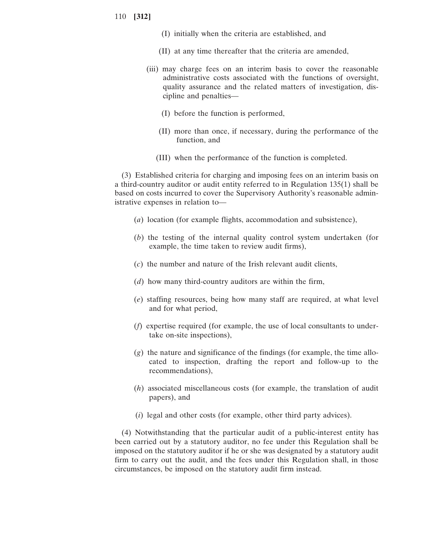- (I) initially when the criteria are established, and
- (II) at any time thereafter that the criteria are amended,
- (iii) may charge fees on an interim basis to cover the reasonable administrative costs associated with the functions of oversight, quality assurance and the related matters of investigation, discipline and penalties—
	- (I) before the function is performed,
	- (II) more than once, if necessary, during the performance of the function, and
	- (III) when the performance of the function is completed.

(3) Established criteria for charging and imposing fees on an interim basis on a third-country auditor or audit entity referred to in Regulation 135(1) shall be based on costs incurred to cover the Supervisory Authority's reasonable administrative expenses in relation to—

- (*a*) location (for example flights, accommodation and subsistence),
- (*b*) the testing of the internal quality control system undertaken (for example, the time taken to review audit firms),
- (*c*) the number and nature of the Irish relevant audit clients,
- (*d*) how many third-country auditors are within the firm,
- (*e*) staffing resources, being how many staff are required, at what level and for what period,
- (*f*) expertise required (for example, the use of local consultants to undertake on-site inspections),
- (*g*) the nature and significance of the findings (for example, the time allocated to inspection, drafting the report and follow-up to the recommendations),
- (*h*) associated miscellaneous costs (for example, the translation of audit papers), and
- (*i*) legal and other costs (for example, other third party advices).

(4) Notwithstanding that the particular audit of a public-interest entity has been carried out by a statutory auditor, no fee under this Regulation shall be imposed on the statutory auditor if he or she was designated by a statutory audit firm to carry out the audit, and the fees under this Regulation shall, in those circumstances, be imposed on the statutory audit firm instead.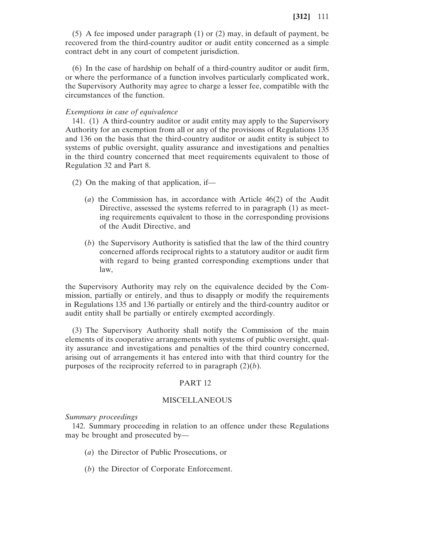(5) A fee imposed under paragraph (1) or (2) may, in default of payment, be recovered from the third-country auditor or audit entity concerned as a simple contract debt in any court of competent jurisdiction.

(6) In the case of hardship on behalf of a third-country auditor or audit firm, or where the performance of a function involves particularly complicated work, the Supervisory Authority may agree to charge a lesser fee, compatible with the circumstances of the function.

## *Exemptions in case of equivalence*

141. (1) A third-country auditor or audit entity may apply to the Supervisory Authority for an exemption from all or any of the provisions of Regulations 135 and 136 on the basis that the third-country auditor or audit entity is subject to systems of public oversight, quality assurance and investigations and penalties in the third country concerned that meet requirements equivalent to those of Regulation 32 and Part 8.

- (2) On the making of that application, if—
	- (*a*) the Commission has, in accordance with Article 46(2) of the Audit Directive, assessed the systems referred to in paragraph (1) as meeting requirements equivalent to those in the corresponding provisions of the Audit Directive, and
	- (*b*) the Supervisory Authority is satisfied that the law of the third country concerned affords reciprocal rights to a statutory auditor or audit firm with regard to being granted corresponding exemptions under that law,

the Supervisory Authority may rely on the equivalence decided by the Commission, partially or entirely, and thus to disapply or modify the requirements in Regulations 135 and 136 partially or entirely and the third-country auditor or audit entity shall be partially or entirely exempted accordingly.

(3) The Supervisory Authority shall notify the Commission of the main elements of its cooperative arrangements with systems of public oversight, quality assurance and investigations and penalties of the third country concerned, arising out of arrangements it has entered into with that third country for the purposes of the reciprocity referred to in paragraph (2)(*b*).

## PART 12

# MISCELLANEOUS

#### *Summary proceedings*

142. Summary proceeding in relation to an offence under these Regulations may be brought and prosecuted by—

- (*a*) the Director of Public Prosecutions, or
- (*b*) the Director of Corporate Enforcement.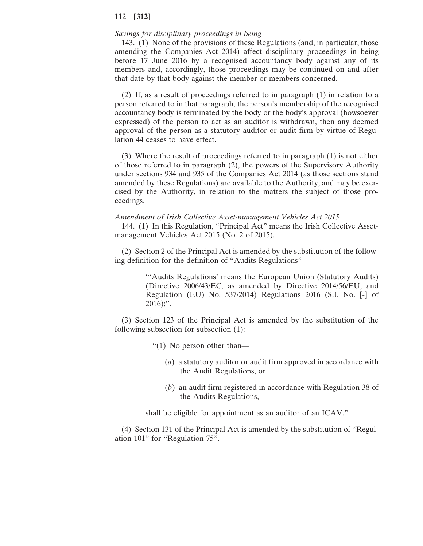# *Savings for disciplinary proceedings in being*

143. (1) None of the provisions of these Regulations (and, in particular, those amending the Companies Act 2014) affect disciplinary proceedings in being before 17 June 2016 by a recognised accountancy body against any of its members and, accordingly, those proceedings may be continued on and after that date by that body against the member or members concerned.

(2) If, as a result of proceedings referred to in paragraph (1) in relation to a person referred to in that paragraph, the person's membership of the recognised accountancy body is terminated by the body or the body's approval (howsoever expressed) of the person to act as an auditor is withdrawn, then any deemed approval of the person as a statutory auditor or audit firm by virtue of Regulation 44 ceases to have effect.

(3) Where the result of proceedings referred to in paragraph (1) is not either of those referred to in paragraph (2), the powers of the Supervisory Authority under sections 934 and 935 of the Companies Act 2014 (as those sections stand amended by these Regulations) are available to the Authority, and may be exercised by the Authority, in relation to the matters the subject of those proceedings.

#### *Amendment of Irish Collective Asset-management Vehicles Act 2015*

144. (1) In this Regulation, "Principal Act" means the Irish Collective Assetmanagement Vehicles Act 2015 (No. 2 of 2015).

(2) Section 2 of the Principal Act is amended by the substitution of the following definition for the definition of "Audits Regulations"—

> "'Audits Regulations' means the European Union (Statutory Audits) (Directive 2006/43/EC, as amended by Directive 2014/56/EU, and Regulation (EU) No. 537/2014) Regulations 2016 (S.I. No. [-] of  $2016$ ;".

(3) Section 123 of the Principal Act is amended by the substitution of the following subsection for subsection (1):

"(1) No person other than—

- (*a*) a statutory auditor or audit firm approved in accordance with the Audit Regulations, or
- (*b*) an audit firm registered in accordance with Regulation 38 of the Audits Regulations,

shall be eligible for appointment as an auditor of an ICAV.".

(4) Section 131 of the Principal Act is amended by the substitution of "Regulation 101" for "Regulation 75".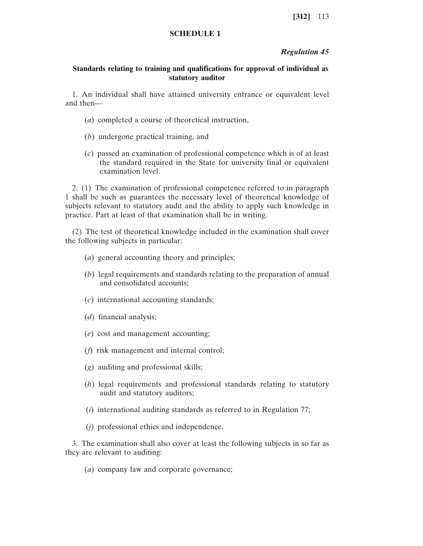# **SCHEDULE 1**

## *Regulation 45*

# **Standards relating to training and qualifications for approval of individual as statutory auditor**

1. An individual shall have attained university entrance or equivalent level and then—

- (*a*) completed a course of theoretical instruction,
- (*b*) undergone practical training, and
- (*c*) passed an examination of professional competence which is of at least the standard required in the State for university final or equivalent examination level.

2. (1) The examination of professional competence referred to in paragraph 1 shall be such as guarantees the necessary level of theoretical knowledge of subjects relevant to statutory audit and the ability to apply such knowledge in practice. Part at least of that examination shall be in writing.

(2) The test of theoretical knowledge included in the examination shall cover the following subjects in particular:

- (*a*) general accounting theory and principles;
- (*b*) legal requirements and standards relating to the preparation of annual and consolidated accounts;
- (*c*) international accounting standards;
- (*d*) financial analysis;
- (*e*) cost and management accounting;
- (*f*) risk management and internal control;
- (*g*) auditing and professional skills;
- (*h*) legal requirements and professional standards relating to statutory audit and statutory auditors;
- (*i*) international auditing standards as referred to in Regulation 77;
- (*j*) professional ethics and independence.

3. The examination shall also cover at least the following subjects in so far as they are relevant to auditing:

(*a*) company law and corporate governance;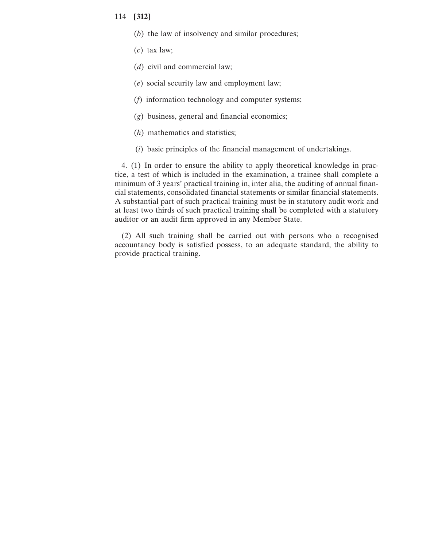- (*b*) the law of insolvency and similar procedures;
- (*c*) tax law;
- (*d*) civil and commercial law;
- (*e*) social security law and employment law;
- (*f*) information technology and computer systems;
- (*g*) business, general and financial economics;
- (*h*) mathematics and statistics;
- (*i*) basic principles of the financial management of undertakings.

4. (1) In order to ensure the ability to apply theoretical knowledge in practice, a test of which is included in the examination, a trainee shall complete a minimum of 3 years' practical training in, inter alia, the auditing of annual financial statements, consolidated financial statements or similar financial statements. A substantial part of such practical training must be in statutory audit work and at least two thirds of such practical training shall be completed with a statutory auditor or an audit firm approved in any Member State.

(2) All such training shall be carried out with persons who a recognised accountancy body is satisfied possess, to an adequate standard, the ability to provide practical training.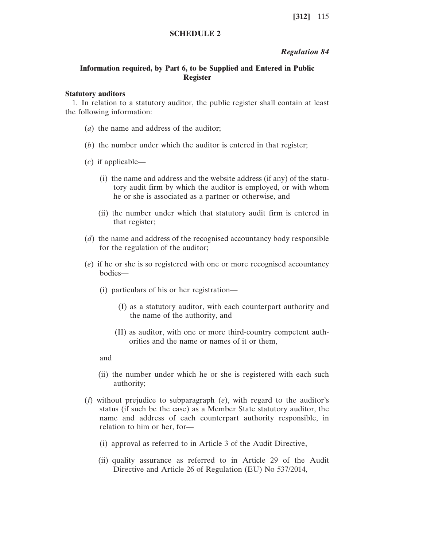# **SCHEDULE 2**

## *Regulation 84*

# **Information required, by Part 6, to be Supplied and Entered in Public Register**

#### **Statutory auditors**

1. In relation to a statutory auditor, the public register shall contain at least the following information:

- (*a*) the name and address of the auditor;
- (*b*) the number under which the auditor is entered in that register;
- (*c*) if applicable—
	- (i) the name and address and the website address (if any) of the statutory audit firm by which the auditor is employed, or with whom he or she is associated as a partner or otherwise, and
	- (ii) the number under which that statutory audit firm is entered in that register;
- (*d*) the name and address of the recognised accountancy body responsible for the regulation of the auditor;
- (*e*) if he or she is so registered with one or more recognised accountancy bodies—
	- (i) particulars of his or her registration—
		- (I) as a statutory auditor, with each counterpart authority and the name of the authority, and
		- (II) as auditor, with one or more third-country competent authorities and the name or names of it or them,

and

- (ii) the number under which he or she is registered with each such authority;
- (*f*) without prejudice to subparagraph (*e*), with regard to the auditor's status (if such be the case) as a Member State statutory auditor, the name and address of each counterpart authority responsible, in relation to him or her, for—
	- (i) approval as referred to in Article 3 of the Audit Directive,
	- (ii) quality assurance as referred to in Article 29 of the Audit Directive and Article 26 of Regulation (EU) No 537/2014,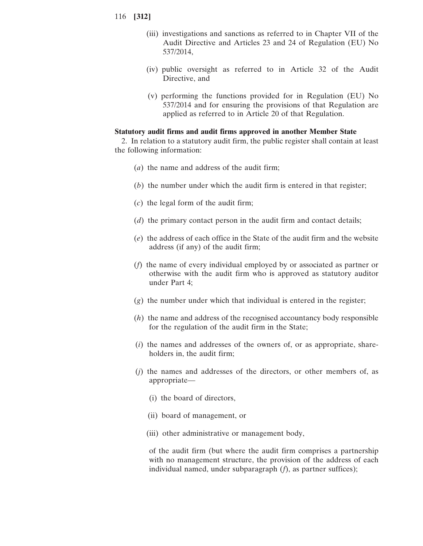- (iii) investigations and sanctions as referred to in Chapter VII of the Audit Directive and Articles 23 and 24 of Regulation (EU) No 537/2014,
- (iv) public oversight as referred to in Article 32 of the Audit Directive, and
- (v) performing the functions provided for in Regulation (EU) No 537/2014 and for ensuring the provisions of that Regulation are applied as referred to in Article 20 of that Regulation.

## **Statutory audit firms and audit firms approved in another Member State**

2. In relation to a statutory audit firm, the public register shall contain at least the following information:

- (*a*) the name and address of the audit firm;
- (*b*) the number under which the audit firm is entered in that register;
- (*c*) the legal form of the audit firm;
- (*d*) the primary contact person in the audit firm and contact details;
- (*e*) the address of each office in the State of the audit firm and the website address (if any) of the audit firm;
- (*f*) the name of every individual employed by or associated as partner or otherwise with the audit firm who is approved as statutory auditor under Part 4;
- (*g*) the number under which that individual is entered in the register;
- (*h*) the name and address of the recognised accountancy body responsible for the regulation of the audit firm in the State;
- (*i*) the names and addresses of the owners of, or as appropriate, shareholders in, the audit firm;
- (*j*) the names and addresses of the directors, or other members of, as appropriate—
	- (i) the board of directors,
	- (ii) board of management, or
	- (iii) other administrative or management body,

of the audit firm (but where the audit firm comprises a partnership with no management structure, the provision of the address of each individual named, under subparagraph (*f*), as partner suffices);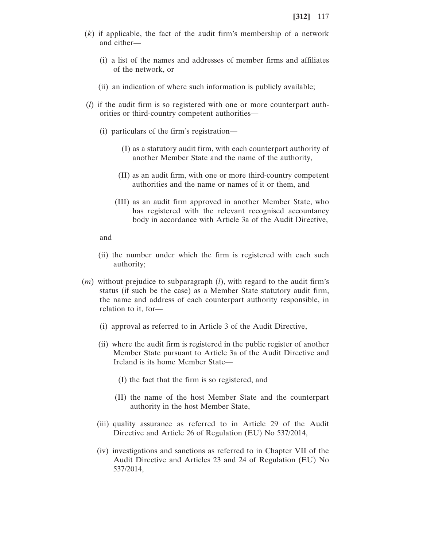- (*k*) if applicable, the fact of the audit firm's membership of a network and either—
	- (i) a list of the names and addresses of member firms and affiliates of the network, or
	- (ii) an indication of where such information is publicly available;
- (*l*) if the audit firm is so registered with one or more counterpart authorities or third-country competent authorities—
	- (i) particulars of the firm's registration—
		- (I) as a statutory audit firm, with each counterpart authority of another Member State and the name of the authority,
		- (II) as an audit firm, with one or more third-country competent authorities and the name or names of it or them, and
		- (III) as an audit firm approved in another Member State, who has registered with the relevant recognised accountancy body in accordance with Article 3a of the Audit Directive,

and

- (ii) the number under which the firm is registered with each such authority;
- (*m*) without prejudice to subparagraph (*l*), with regard to the audit firm's status (if such be the case) as a Member State statutory audit firm, the name and address of each counterpart authority responsible, in relation to it, for—
	- (i) approval as referred to in Article 3 of the Audit Directive,
	- (ii) where the audit firm is registered in the public register of another Member State pursuant to Article 3a of the Audit Directive and Ireland is its home Member State—
		- (I) the fact that the firm is so registered, and
		- (II) the name of the host Member State and the counterpart authority in the host Member State,
	- (iii) quality assurance as referred to in Article 29 of the Audit Directive and Article 26 of Regulation (EU) No 537/2014,
	- (iv) investigations and sanctions as referred to in Chapter VII of the Audit Directive and Articles 23 and 24 of Regulation (EU) No 537/2014,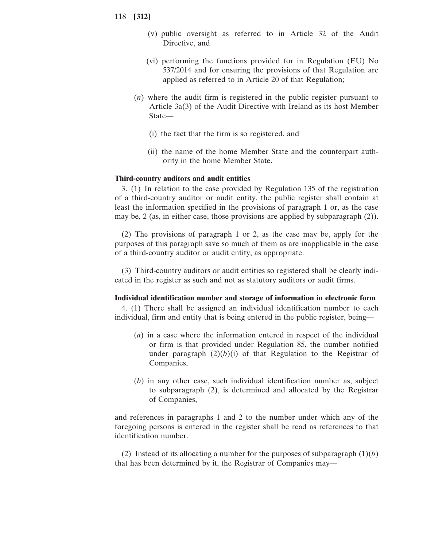- (v) public oversight as referred to in Article 32 of the Audit Directive, and
- (vi) performing the functions provided for in Regulation (EU) No 537/2014 and for ensuring the provisions of that Regulation are applied as referred to in Article 20 of that Regulation;
- (*n*) where the audit firm is registered in the public register pursuant to Article 3a(3) of the Audit Directive with Ireland as its host Member State—
	- (i) the fact that the firm is so registered, and
	- (ii) the name of the home Member State and the counterpart authority in the home Member State.

# **Third-country auditors and audit entities**

3. (1) In relation to the case provided by Regulation 135 of the registration of a third-country auditor or audit entity, the public register shall contain at least the information specified in the provisions of paragraph 1 or, as the case may be, 2 (as, in either case, those provisions are applied by subparagraph (2)).

(2) The provisions of paragraph 1 or 2, as the case may be, apply for the purposes of this paragraph save so much of them as are inapplicable in the case of a third-country auditor or audit entity, as appropriate.

(3) Third-country auditors or audit entities so registered shall be clearly indicated in the register as such and not as statutory auditors or audit firms.

#### **Individual identification number and storage of information in electronic form**

4. (1) There shall be assigned an individual identification number to each individual, firm and entity that is being entered in the public register, being—

- (*a*) in a case where the information entered in respect of the individual or firm is that provided under Regulation 85, the number notified under paragraph  $(2)(b)(i)$  of that Regulation to the Registrar of Companies,
- (*b*) in any other case, such individual identification number as, subject to subparagraph (2), is determined and allocated by the Registrar of Companies,

and references in paragraphs 1 and 2 to the number under which any of the foregoing persons is entered in the register shall be read as references to that identification number.

(2) Instead of its allocating a number for the purposes of subparagraph  $(1)(b)$ that has been determined by it, the Registrar of Companies may—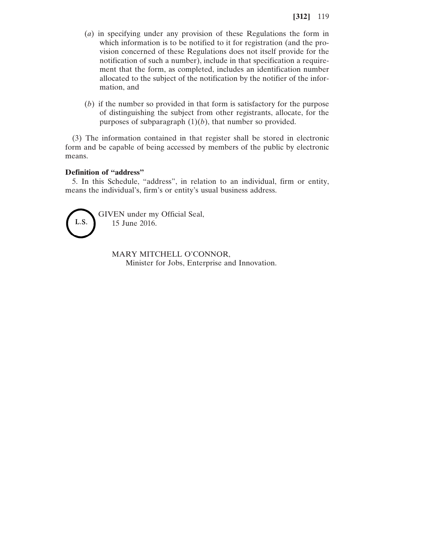- (*a*) in specifying under any provision of these Regulations the form in which information is to be notified to it for registration (and the provision concerned of these Regulations does not itself provide for the notification of such a number), include in that specification a requirement that the form, as completed, includes an identification number allocated to the subject of the notification by the notifier of the information, and
- (*b*) if the number so provided in that form is satisfactory for the purpose of distinguishing the subject from other registrants, allocate, for the purposes of subparagraph  $(1)(b)$ , that number so provided.

(3) The information contained in that register shall be stored in electronic form and be capable of being accessed by members of the public by electronic means.

## **Definition of "address"**

5. In this Schedule, "address", in relation to an individual, firm or entity, means the individual's, firm's or entity's usual business address.



GIVEN under my Official Seal, 15 June 2016.

> MARY MITCHELL O'CONNOR, Minister for Jobs, Enterprise and Innovation.